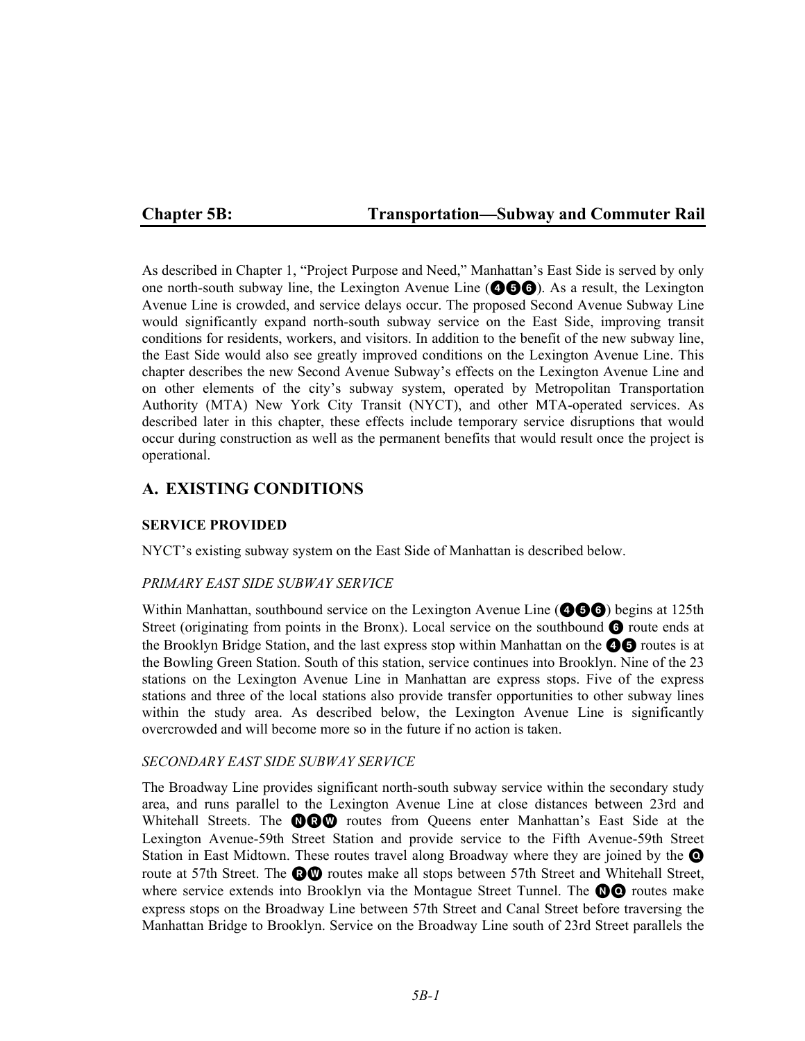# **Chapter 5B: Transportation—Subway and Commuter Rail**

As described in Chapter 1, "Project Purpose and Need," Manhattan's East Side is served by only one north-south subway line, the Lexington Avenue Line  $(\bigcirc \mathbf{\odot} \bigcirc)$ . As a result, the Lexington Avenue Line is crowded, and service delays occur. The proposed Second Avenue Subway Line would significantly expand north-south subway service on the East Side, improving transit conditions for residents, workers, and visitors. In addition to the benefit of the new subway line, the East Side would also see greatly improved conditions on the Lexington Avenue Line. This chapter describes the new Second Avenue Subway's effects on the Lexington Avenue Line and on other elements of the city's subway system, operated by Metropolitan Transportation Authority (MTA) New York City Transit (NYCT), and other MTA-operated services. As described later in this chapter, these effects include temporary service disruptions that would occur during construction as well as the permanent benefits that would result once the project is operational.

# **A. EXISTING CONDITIONS**

### **SERVICE PROVIDED**

NYCT's existing subway system on the East Side of Manhattan is described below.

### *PRIMARY EAST SIDE SUBWAY SERVICE*

Within Manhattan, southbound service on the Lexington Avenue Line  $(①⑤③)$  begins at 125th Street (originating from points in the Bronx). Local service on the southbound  $\bigodot$  route ends at the Brooklyn Bridge Station, and the last express stop within Manhattan on the  $\bullet \bullet$  routes is at the Bowling Green Station. South of this station, service continues into Brooklyn. Nine of the 23 stations on the Lexington Avenue Line in Manhattan are express stops. Five of the express stations and three of the local stations also provide transfer opportunities to other subway lines within the study area. As described below, the Lexington Avenue Line is significantly overcrowded and will become more so in the future if no action is taken.

### *SECONDARY EAST SIDE SUBWAY SERVICE*

The Broadway Line provides significant north-south subway service within the secondary study area, and runs parallel to the Lexington Avenue Line at close distances between 23rd and Whitehall Streets. The **OCO** routes from Queens enter Manhattan's East Side at the Lexington Avenue-59th Street Station and provide service to the Fifth Avenue-59th Street Station in East Midtown. These routes travel along Broadway where they are joined by the  $\bullet$ route at 57th Street. The **RW** routes make all stops between 57th Street and Whitehall Street, where service extends into Brooklyn via the Montague Street Tunnel. The  $\mathbf{O}$  routes make express stops on the Broadway Line between 57th Street and Canal Street before traversing the Manhattan Bridge to Brooklyn. Service on the Broadway Line south of 23rd Street parallels the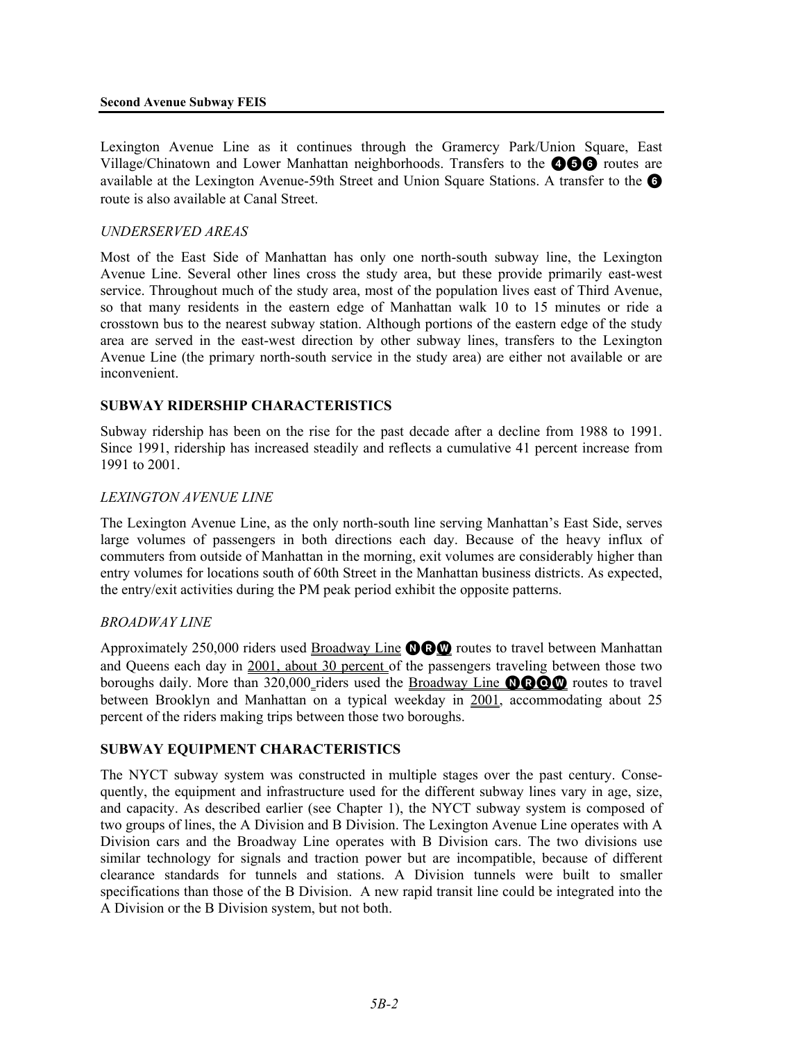#### **Second Avenue Subway FEIS**

Lexington Avenue Line as it continues through the Gramercy Park/Union Square, East Village/Chinatown and Lower Manhattan neighborhoods. Transfers to the **456** routes are available at the Lexington Avenue-59th Street and Union Square Stations. A transfer to the  $\bullet$ route is also available at Canal Street.

### *UNDERSERVED AREAS*

Most of the East Side of Manhattan has only one north-south subway line, the Lexington Avenue Line. Several other lines cross the study area, but these provide primarily east-west service. Throughout much of the study area, most of the population lives east of Third Avenue, so that many residents in the eastern edge of Manhattan walk 10 to 15 minutes or ride a crosstown bus to the nearest subway station. Although portions of the eastern edge of the study area are served in the east-west direction by other subway lines, transfers to the Lexington Avenue Line (the primary north-south service in the study area) are either not available or are inconvenient.

### **SUBWAY RIDERSHIP CHARACTERISTICS**

Subway ridership has been on the rise for the past decade after a decline from 1988 to 1991. Since 1991, ridership has increased steadily and reflects a cumulative 41 percent increase from 1991 to 2001.

### *LEXINGTON AVENUE LINE*

The Lexington Avenue Line, as the only north-south line serving Manhattan's East Side, serves large volumes of passengers in both directions each day. Because of the heavy influx of commuters from outside of Manhattan in the morning, exit volumes are considerably higher than entry volumes for locations south of 60th Street in the Manhattan business districts. As expected, the entry/exit activities during the PM peak period exhibit the opposite patterns.

### *BROADWAY LINE*

Approximately 250,000 riders used Broadway Line  $\mathbf{QQ}$  routes to travel between Manhattan and Queens each day in 2001, about 30 percent of the passengers traveling between those two boroughs daily. More than 320,000 riders used the Broadway Line **ODOW** routes to travel between Brooklyn and Manhattan on a typical weekday in 2001, accommodating about 25 percent of the riders making trips between those two boroughs.

#### **SUBWAY EQUIPMENT CHARACTERISTICS**

The NYCT subway system was constructed in multiple stages over the past century. Consequently, the equipment and infrastructure used for the different subway lines vary in age, size, and capacity. As described earlier (see Chapter 1), the NYCT subway system is composed of two groups of lines, the A Division and B Division. The Lexington Avenue Line operates with A Division cars and the Broadway Line operates with B Division cars. The two divisions use similar technology for signals and traction power but are incompatible, because of different clearance standards for tunnels and stations. A Division tunnels were built to smaller specifications than those of the B Division. A new rapid transit line could be integrated into the A Division or the B Division system, but not both.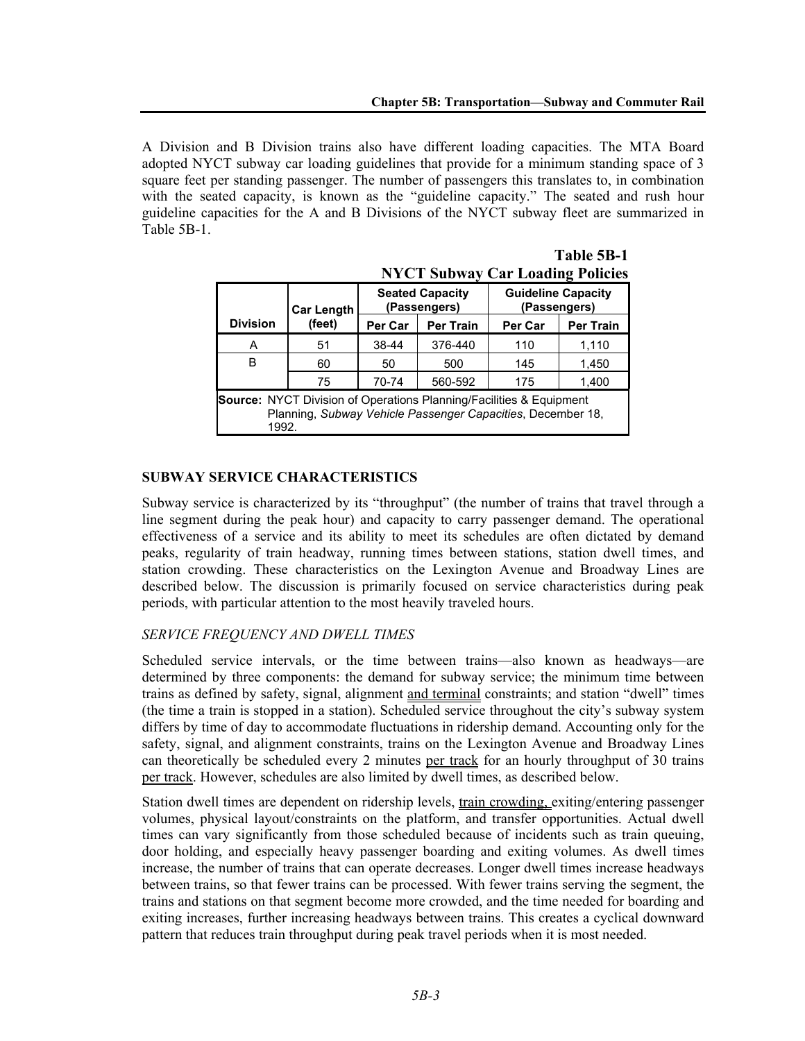A Division and B Division trains also have different loading capacities. The MTA Board adopted NYCT subway car loading guidelines that provide for a minimum standing space of 3 square feet per standing passenger. The number of passengers this translates to, in combination with the seated capacity, is known as the "guideline capacity." The seated and rush hour guideline capacities for the A and B Divisions of the NYCT subway fleet are summarized in Table 5B-1.

|                                                                                                                                                    | <b>Car Length</b> | <b>Seated Capacity</b><br>(Passengers) |                  | <b>Guideline Capacity</b><br>(Passengers) |                  |  |  |  |
|----------------------------------------------------------------------------------------------------------------------------------------------------|-------------------|----------------------------------------|------------------|-------------------------------------------|------------------|--|--|--|
| <b>Division</b>                                                                                                                                    | (feet)            | Per Car                                | <b>Per Train</b> | <b>Per Car</b>                            | <b>Per Train</b> |  |  |  |
| А                                                                                                                                                  | 51                | 38-44                                  | 376-440          | 110                                       | 1,110            |  |  |  |
| в                                                                                                                                                  | 60                | 50                                     | 500              | 145                                       | 1,450            |  |  |  |
|                                                                                                                                                    | 75                | 70-74                                  | 560-592          | 175                                       | 1,400            |  |  |  |
| <b>Source:</b> NYCT Division of Operations Planning/Facilities & Equipment<br>Planning, Subway Vehicle Passenger Capacities, December 18,<br>1992. |                   |                                        |                  |                                           |                  |  |  |  |

|                                         |  | Table 5B-1 |
|-----------------------------------------|--|------------|
| <b>NYCT Subway Car Loading Policies</b> |  |            |

### **SUBWAY SERVICE CHARACTERISTICS**

Subway service is characterized by its "throughput" (the number of trains that travel through a line segment during the peak hour) and capacity to carry passenger demand. The operational effectiveness of a service and its ability to meet its schedules are often dictated by demand peaks, regularity of train headway, running times between stations, station dwell times, and station crowding. These characteristics on the Lexington Avenue and Broadway Lines are described below. The discussion is primarily focused on service characteristics during peak periods, with particular attention to the most heavily traveled hours.

### *SERVICE FREQUENCY AND DWELL TIMES*

Scheduled service intervals, or the time between trains—also known as headways—are determined by three components: the demand for subway service; the minimum time between trains as defined by safety, signal, alignment and terminal constraints; and station "dwell" times (the time a train is stopped in a station). Scheduled service throughout the city's subway system differs by time of day to accommodate fluctuations in ridership demand. Accounting only for the safety, signal, and alignment constraints, trains on the Lexington Avenue and Broadway Lines can theoretically be scheduled every 2 minutes per track for an hourly throughput of 30 trains per track. However, schedules are also limited by dwell times, as described below.

Station dwell times are dependent on ridership levels, train crowding, exiting/entering passenger volumes, physical layout/constraints on the platform, and transfer opportunities. Actual dwell times can vary significantly from those scheduled because of incidents such as train queuing, door holding, and especially heavy passenger boarding and exiting volumes. As dwell times increase, the number of trains that can operate decreases. Longer dwell times increase headways between trains, so that fewer trains can be processed. With fewer trains serving the segment, the trains and stations on that segment become more crowded, and the time needed for boarding and exiting increases, further increasing headways between trains. This creates a cyclical downward pattern that reduces train throughput during peak travel periods when it is most needed.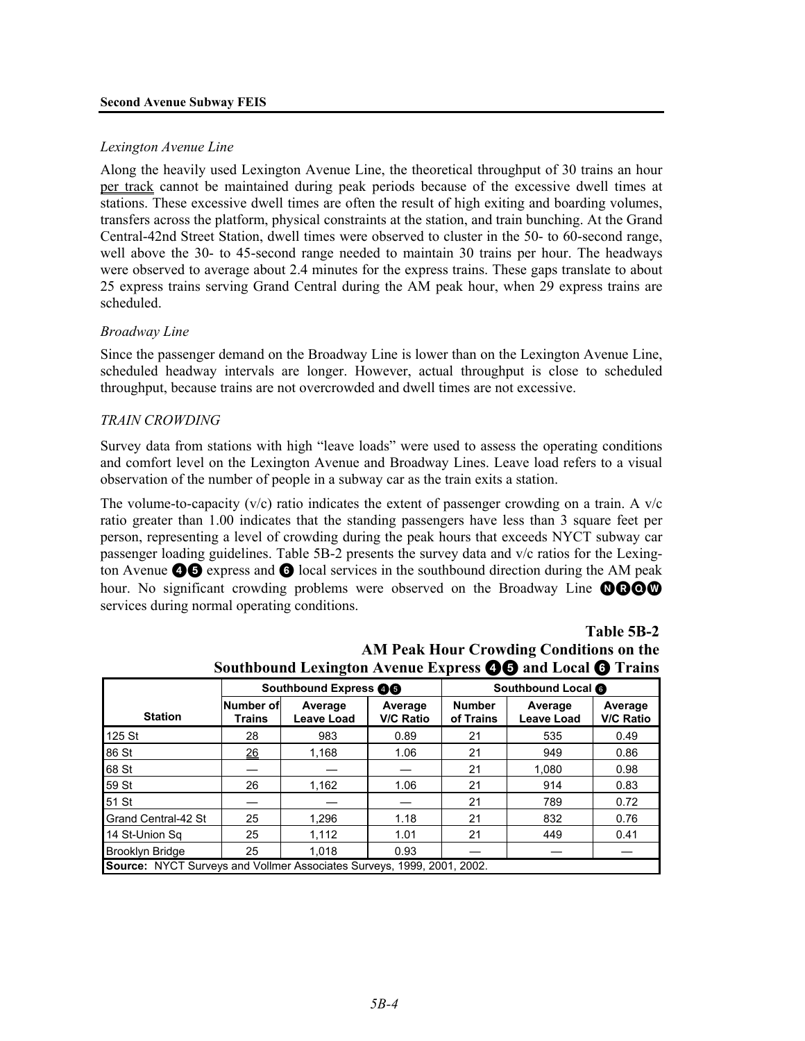#### **Second Avenue Subway FEIS**

### *Lexington Avenue Line*

Along the heavily used Lexington Avenue Line, the theoretical throughput of 30 trains an hour per track cannot be maintained during peak periods because of the excessive dwell times at stations. These excessive dwell times are often the result of high exiting and boarding volumes, transfers across the platform, physical constraints at the station, and train bunching. At the Grand Central-42nd Street Station, dwell times were observed to cluster in the 50- to 60-second range, well above the 30- to 45-second range needed to maintain 30 trains per hour. The headways were observed to average about 2.4 minutes for the express trains. These gaps translate to about 25 express trains serving Grand Central during the AM peak hour, when 29 express trains are scheduled.

### *Broadway Line*

Since the passenger demand on the Broadway Line is lower than on the Lexington Avenue Line, scheduled headway intervals are longer. However, actual throughput is close to scheduled throughput, because trains are not overcrowded and dwell times are not excessive.

### *TRAIN CROWDING*

Survey data from stations with high "leave loads" were used to assess the operating conditions and comfort level on the Lexington Avenue and Broadway Lines. Leave load refers to a visual observation of the number of people in a subway car as the train exits a station.

The volume-to-capacity  $(v/c)$  ratio indicates the extent of passenger crowding on a train. A  $v/c$ ratio greater than 1.00 indicates that the standing passengers have less than 3 square feet per person, representing a level of crowding during the peak hours that exceeds NYCT subway car passenger loading guidelines. Table 5B-2 presents the survey data and v/c ratios for the Lexington Avenue  $\bigcirc$  express and  $\bigcirc$  local services in the southbound direction during the AM peak hour. No significant crowding problems were observed on the Broadway Line  $\mathbf{QQQQ}$ services during normal operating conditions.

|                                                                               |                     | Southbound Express <b>OG</b> |                             | Southbound Local <b>O</b>  |                              |                             |  |  |  |  |
|-------------------------------------------------------------------------------|---------------------|------------------------------|-----------------------------|----------------------------|------------------------------|-----------------------------|--|--|--|--|
| <b>Station</b>                                                                | Number of<br>Trains | Average<br><b>Leave Load</b> | Average<br><b>V/C Ratio</b> | <b>Number</b><br>of Trains | Average<br><b>Leave Load</b> | Average<br><b>V/C Ratio</b> |  |  |  |  |
| 125 St                                                                        | 28                  | 983                          | 0.89                        | 21                         | 535                          | 0.49                        |  |  |  |  |
| 86 St                                                                         | 26                  | 1.168                        | 1.06                        | 21                         | 949                          | 0.86                        |  |  |  |  |
| 68 St                                                                         |                     |                              |                             | 21                         | 1,080                        | 0.98                        |  |  |  |  |
| 59 St                                                                         | 26                  | 1,162                        | 1.06                        | 21                         | 914                          | 0.83                        |  |  |  |  |
| 51 St                                                                         |                     |                              |                             | 21                         | 789                          | 0.72                        |  |  |  |  |
| <b>Grand Central-42 St</b>                                                    | 25                  | 1,296                        | 1.18                        | 21                         | 832                          | 0.76                        |  |  |  |  |
| 14 St-Union Sa                                                                | 25                  | 1,112                        | 1.01                        | 21                         | 449                          | 0.41                        |  |  |  |  |
| <b>Brooklyn Bridge</b>                                                        | 25                  | 1.018                        | 0.93                        |                            |                              |                             |  |  |  |  |
| <b>Source: NYCT Surveys and Vollmer Associates Surveys, 1999, 2001, 2002.</b> |                     |                              |                             |                            |                              |                             |  |  |  |  |

# **Table 5B-2 AM Peak Hour Crowding Conditions on the Southbound Lexington Avenue Express** 45 **and Local** 6 **Trains**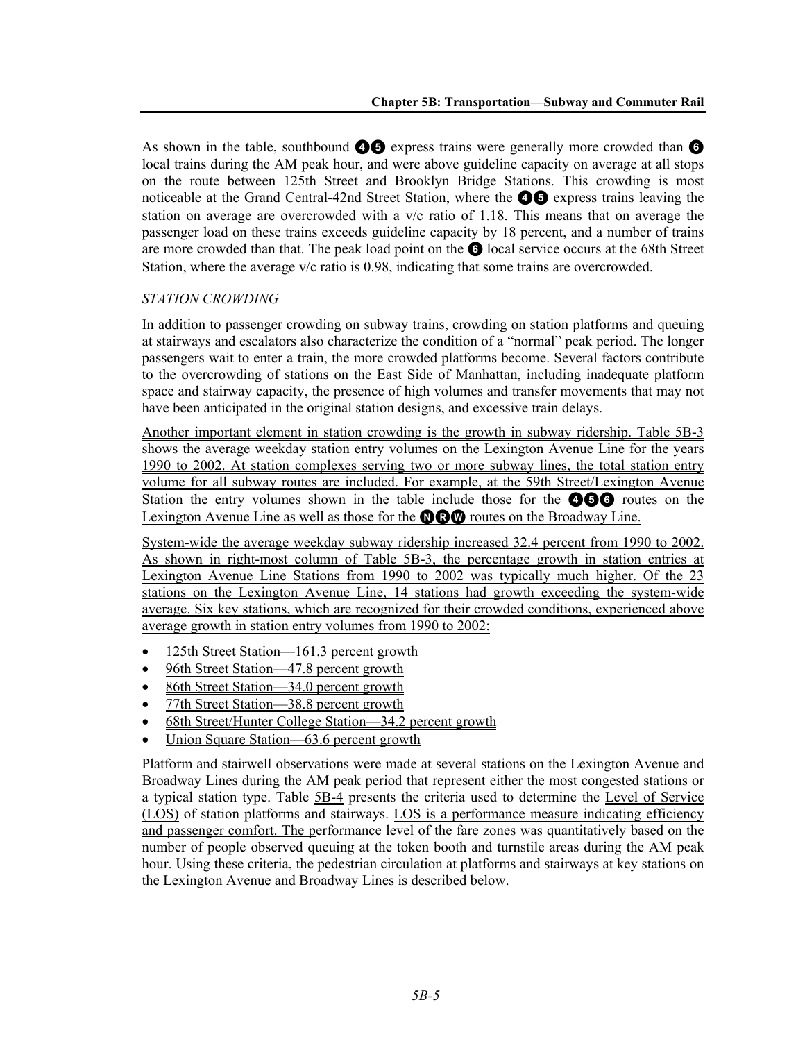As shown in the table, southbound  $\bigcirc$  express trains were generally more crowded than  $\bigcirc$ local trains during the AM peak hour, and were above guideline capacity on average at all stops on the route between 125th Street and Brooklyn Bridge Stations. This crowding is most noticeable at the Grand Central-42nd Street Station, where the  $\bigcirc$  express trains leaving the station on average are overcrowded with a  $v/c$  ratio of 1.18. This means that on average the passenger load on these trains exceeds guideline capacity by 18 percent, and a number of trains are more crowded than that. The peak load point on the 6 local service occurs at the 68th Street Station, where the average v/c ratio is 0.98, indicating that some trains are overcrowded.

### *STATION CROWDING*

In addition to passenger crowding on subway trains, crowding on station platforms and queuing at stairways and escalators also characterize the condition of a "normal" peak period. The longer passengers wait to enter a train, the more crowded platforms become. Several factors contribute to the overcrowding of stations on the East Side of Manhattan, including inadequate platform space and stairway capacity, the presence of high volumes and transfer movements that may not have been anticipated in the original station designs, and excessive train delays.

Another important element in station crowding is the growth in subway ridership. Table 5B-3 shows the average weekday station entry volumes on the Lexington Avenue Line for the years 1990 to 2002. At station complexes serving two or more subway lines, the total station entry volume for all subway routes are included. For example, at the 59th Street/Lexington Avenue Station the entry volumes shown in the table include those for the **466** routes on the Lexington Avenue Line as well as those for the  $\mathbf{O}\mathbf{O}\mathbf{O}$  routes on the Broadway Line.

System-wide the average weekday subway ridership increased 32.4 percent from 1990 to 2002. As shown in right-most column of Table 5B-3, the percentage growth in station entries at Lexington Avenue Line Stations from 1990 to 2002 was typically much higher. Of the 23 stations on the Lexington Avenue Line, 14 stations had growth exceeding the system-wide average. Six key stations, which are recognized for their crowded conditions, experienced above average growth in station entry volumes from 1990 to 2002:

- 125th Street Station—161.3 percent growth
- 96th Street Station—47.8 percent growth
- 86th Street Station—34.0 percent growth
- 77th Street Station—38.8 percent growth
- 68th Street/Hunter College Station—34.2 percent growth
- Union Square Station—63.6 percent growth

Platform and stairwell observations were made at several stations on the Lexington Avenue and Broadway Lines during the AM peak period that represent either the most congested stations or a typical station type. Table 5B-4 presents the criteria used to determine the Level of Service (LOS) of station platforms and stairways. LOS is a performance measure indicating efficiency and passenger comfort. The performance level of the fare zones was quantitatively based on the number of people observed queuing at the token booth and turnstile areas during the AM peak hour. Using these criteria, the pedestrian circulation at platforms and stairways at key stations on the Lexington Avenue and Broadway Lines is described below.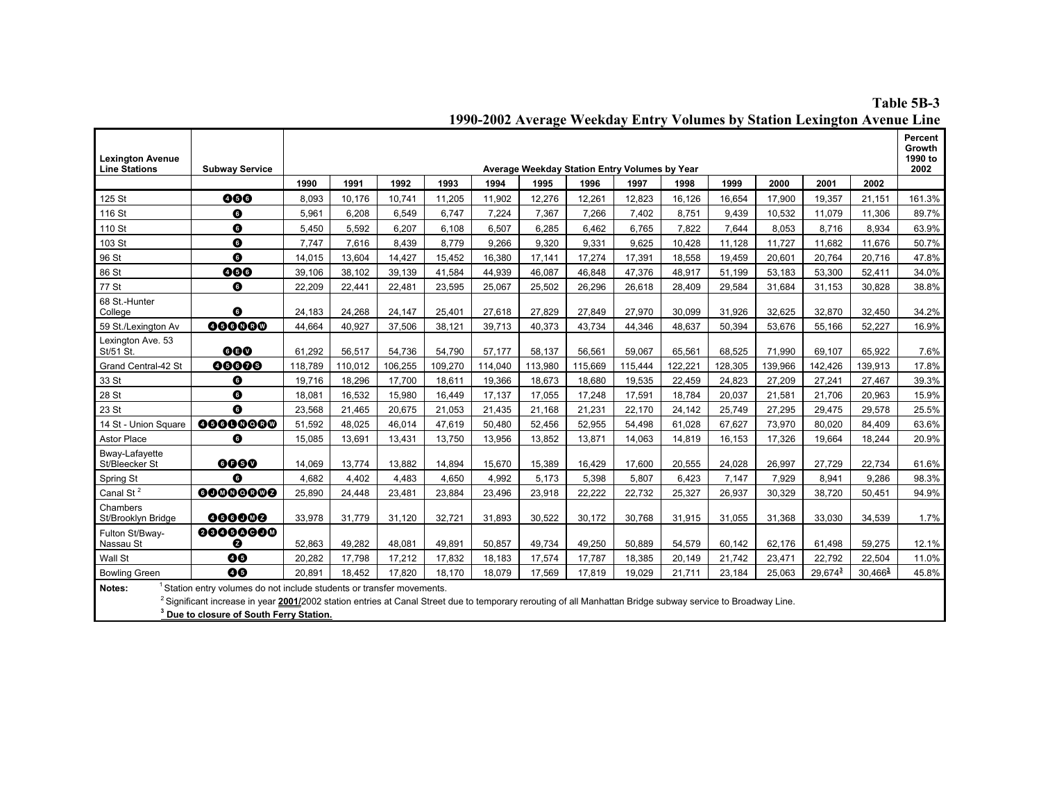#### **Table 5B-3 1990-2002 Average Weekday Entry Volumes by Station Lexington Avenue Line**

| <b>Lexington Avenue</b><br><b>Line Stations</b> | <b>Subway Service</b>                                                                                                                                                                                                                                                                                  |         |         |         |         |         | Average Weekday Station Entry Volumes by Year |         |         |         |         |         |            |                        | Percent<br>Growth<br>1990 to<br>2002 |
|-------------------------------------------------|--------------------------------------------------------------------------------------------------------------------------------------------------------------------------------------------------------------------------------------------------------------------------------------------------------|---------|---------|---------|---------|---------|-----------------------------------------------|---------|---------|---------|---------|---------|------------|------------------------|--------------------------------------|
|                                                 |                                                                                                                                                                                                                                                                                                        | 1990    | 1991    | 1992    | 1993    | 1994    | 1995                                          | 1996    | 1997    | 1998    | 1999    | 2000    | 2001       | 2002                   |                                      |
| 125 St                                          | 000                                                                                                                                                                                                                                                                                                    | 8,093   | 10,176  | 10,741  | 11,205  | 11,902  | 12,276                                        | 12,261  | 12,823  | 16,126  | 16,654  | 17,900  | 19,357     | 21,151                 | 161.3%                               |
| 116 St                                          | ➊                                                                                                                                                                                                                                                                                                      | 5,961   | 6,208   | 6,549   | 6,747   | 7,224   | 7,367                                         | 7,266   | 7,402   | 8,751   | 9,439   | 10,532  | 11,079     | 11,306                 | 89.7%                                |
| 110 St                                          | $\bullet$                                                                                                                                                                                                                                                                                              | 5,450   | 5,592   | 6,207   | 6,108   | 6,507   | 6,285                                         | 6,462   | 6,765   | 7,822   | 7,644   | 8,053   | 8,716      | 8,934                  | 63.9%                                |
| 103 St                                          | $\bullet$                                                                                                                                                                                                                                                                                              | 7,747   | 7,616   | 8.439   | 8,779   | 9.266   | 9.320                                         | 9.331   | 9.625   | 10.428  | 11,128  | 11.727  | 11,682     | 11,676                 | 50.7%                                |
| 96 St                                           | $\bullet$                                                                                                                                                                                                                                                                                              | 14,015  | 13,604  | 14,427  | 15,452  | 16,380  | 17,141                                        | 17,274  | 17,391  | 18,558  | 19,459  | 20,601  | 20,764     | 20,716                 | 47.8%                                |
| 86 St                                           | 000                                                                                                                                                                                                                                                                                                    | 39,106  | 38.102  | 39,139  | 41,584  | 44,939  | 46.087                                        | 46.848  | 47,376  | 48,917  | 51,199  | 53,183  | 53,300     | 52,411                 | 34.0%                                |
| 77 St                                           | $\bullet$                                                                                                                                                                                                                                                                                              | 22,209  | 22,441  | 22,481  | 23,595  | 25,067  | 25,502                                        | 26,296  | 26,618  | 28,409  | 29,584  | 31,684  | 31,153     | 30,828                 | 38.8%                                |
| 68 St.-Hunter<br>College                        | $\bullet$                                                                                                                                                                                                                                                                                              | 24,183  | 24.268  | 24.147  | 25.401  | 27,618  | 27.829                                        | 27.849  | 27.970  | 30.099  | 31.926  | 32.625  | 32.870     | 32.450                 | 34.2%                                |
| 59 St./Lexington Av                             | 000000                                                                                                                                                                                                                                                                                                 | 44,664  | 40,927  | 37,506  | 38,121  | 39,713  | 40,373                                        | 43,734  | 44,346  | 48,637  | 50,394  | 53,676  | 55,166     | 52,227                 | 16.9%                                |
| Lexington Ave. 53<br>St/51 St.                  | 000                                                                                                                                                                                                                                                                                                    | 61,292  | 56,517  | 54,736  | 54,790  | 57,177  | 58,137                                        | 56,561  | 59,067  | 65,561  | 68,525  | 71,990  | 69,107     | 65,922                 | 7.6%                                 |
| Grand Central-42 St                             | 00000                                                                                                                                                                                                                                                                                                  | 118,789 | 110,012 | 106,255 | 109,270 | 114,040 | 113,980                                       | 115,669 | 115,444 | 122,221 | 128,305 | 139,966 | 142,426    | 139,913                | 17.8%                                |
| 33 St                                           | ➊                                                                                                                                                                                                                                                                                                      | 19,716  | 18,296  | 17,700  | 18,611  | 19,366  | 18.673                                        | 18.680  | 19.535  | 22.459  | 24.823  | 27,209  | 27,241     | 27,467                 | 39.3%                                |
| 28 St                                           | $\bullet$                                                                                                                                                                                                                                                                                              | 18,081  | 16,532  | 15,980  | 16,449  | 17,137  | 17.055                                        | 17,248  | 17,591  | 18,784  | 20.037  | 21.581  | 21,706     | 20,963                 | 15.9%                                |
| 23 St                                           | $\bullet$                                                                                                                                                                                                                                                                                              | 23,568  | 21,465  | 20,675  | 21,053  | 21,435  | 21,168                                        | 21,231  | 22.170  | 24,142  | 25,749  | 27,295  | 29,475     | 29,578                 | 25.5%                                |
| 14 St - Union Square                            | 00000000                                                                                                                                                                                                                                                                                               | 51,592  | 48,025  | 46,014  | 47,619  | 50,480  | 52,456                                        | 52,955  | 54,498  | 61,028  | 67,627  | 73,970  | 80,020     | 84,409                 | 63.6%                                |
| Astor Place                                     | O                                                                                                                                                                                                                                                                                                      | 15,085  | 13,691  | 13,431  | 13,750  | 13,956  | 13,852                                        | 13,871  | 14,063  | 14,819  | 16,153  | 17,326  | 19,664     | 18,244                 | 20.9%                                |
| <b>Bway-Lafavette</b><br>St/Bleecker St         | 6060                                                                                                                                                                                                                                                                                                   | 14,069  | 13,774  | 13.882  | 14,894  | 15.670  | 15,389                                        | 16.429  | 17.600  | 20,555  | 24,028  | 26.997  | 27,729     | 22,734                 | 61.6%                                |
| Spring St                                       | 0                                                                                                                                                                                                                                                                                                      | 4,682   | 4,402   | 4,483   | 4,650   | 4,992   | 5,173                                         | 5,398   | 5.807   | 6,423   | 7,147   | 7,929   | 8.941      | 9.286                  | 98.3%                                |
| Canal St <sup>2</sup>                           | 00000000                                                                                                                                                                                                                                                                                               | 25,890  | 24,448  | 23,481  | 23,884  | 23,496  | 23,918                                        | 22,222  | 22,732  | 25,327  | 26,937  | 30,329  | 38,720     | 50,451                 | 94.9%                                |
| Chambers<br>St/Brooklyn Bridge                  | 000000                                                                                                                                                                                                                                                                                                 | 33,978  | 31,779  | 31,120  | 32,721  | 31,893  | 30,522                                        | 30,172  | 30,768  | 31,915  | 31,055  | 31,368  | 33,030     | 34,539                 | 1.7%                                 |
| Fulton St/Bway-<br>Nassau St                    | 00000000<br>❷                                                                                                                                                                                                                                                                                          | 52,863  | 49.282  | 48.081  | 49.891  | 50.857  | 49.734                                        | 49.250  | 50.889  | 54.579  | 60.142  | 62.176  | 61,498     | 59,275                 | 12.1%                                |
| Wall St                                         | 00                                                                                                                                                                                                                                                                                                     | 20,282  | 17,798  | 17,212  | 17,832  | 18,183  | 17.574                                        | 17,787  | 18,385  | 20,149  | 21,742  | 23,471  | 22,792     | 22,504                 | 11.0%                                |
| <b>Bowling Green</b>                            | 00                                                                                                                                                                                                                                                                                                     | 20,891  | 18,452  | 17,820  | 18,170  | 18,079  | 17,569                                        | 17,819  | 19,029  | 21,711  | 23,184  | 25,063  | $29,674^3$ | $30,466^{\frac{3}{2}}$ | 45.8%                                |
| Notes:                                          | Station entry volumes do not include students or transfer movements.<br><sup>2</sup> Significant increase in year 2001/2002 station entries at Canal Street due to temporary rerouting of all Manhattan Bridge subway service to Broadway Line.<br><sup>3</sup> Due to closure of South Ferry Station. |         |         |         |         |         |                                               |         |         |         |         |         |            |                        |                                      |

**3 Due to closure of South Ferry Station.**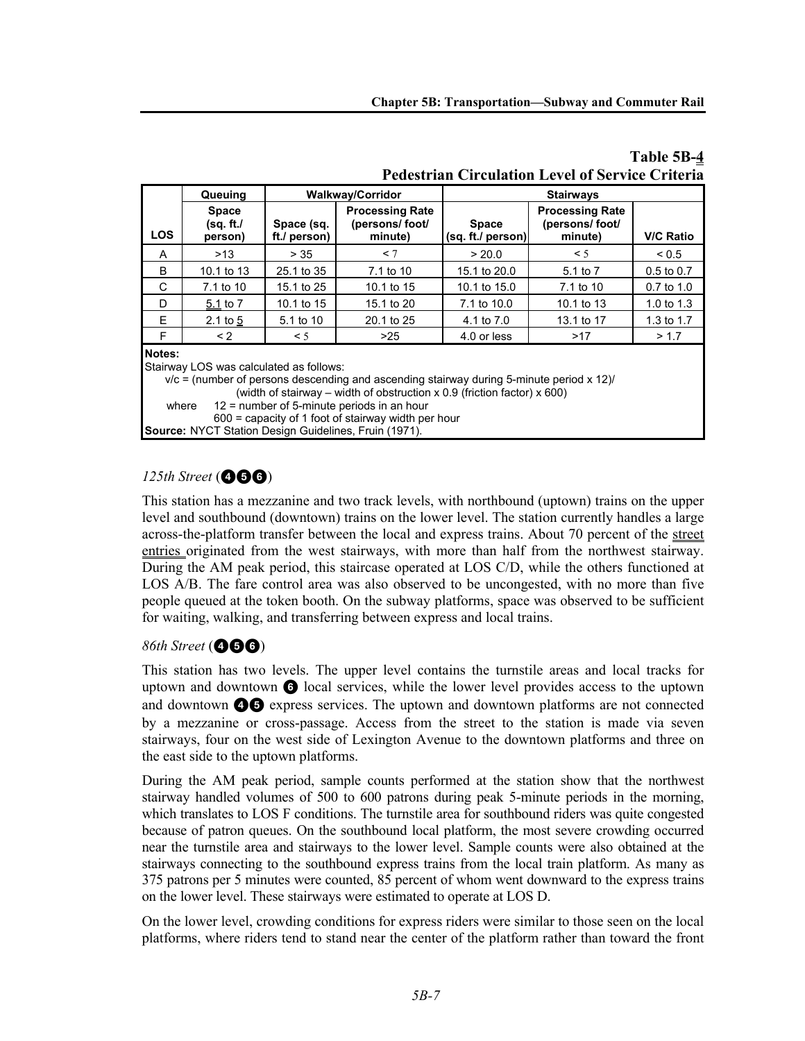|                         | Queuing                              |                            | <b>Walkway/Corridor</b>                              | <b>Stairways</b>                  |                                                      |                  |  |
|-------------------------|--------------------------------------|----------------------------|------------------------------------------------------|-----------------------------------|------------------------------------------------------|------------------|--|
| <b>LOS</b>              | <b>Space</b><br>(sq. ft./<br>person) | Space (sq.<br>ft./ person) | <b>Processing Rate</b><br>(persons/ foot/<br>minute) | <b>Space</b><br>(sq. ft./ person) | <b>Processing Rate</b><br>(persons/ foot/<br>minute) | <b>V/C Ratio</b> |  |
| A                       | >13                                  | > 35                       | $\leq 7$                                             | > 20.0                            | $\leq$ 5                                             | < 0.5            |  |
| B                       | 10.1 to 13                           | 25.1 to 35                 | 7.1 to 10                                            | 15.1 to 20.0                      | 5.1 to 7                                             | $0.5$ to $0.7$   |  |
| C                       | 7.1 to 10                            | 15.1 to 25                 | 10.1 to 15                                           | 10.1 to 15.0                      | 7.1 to 10                                            | 0.7 to 1.0       |  |
| D                       | 5.1 to 7                             | 10.1 to 15                 | 15.1 to 20                                           | 7.1 to 10.0                       | 10.1 to 13                                           | 1.0 to 1.3       |  |
| E                       | 2.1 to $5$                           | 5.1 to 10                  | 20.1 to 25                                           | 4.1 to 7.0                        | 13.1 to 17                                           | 1.3 to 1.7       |  |
| F                       | $\leq$ 2                             | $\leq$ 5                   | >25                                                  | 4.0 or less                       | >17                                                  | > 1.7            |  |
| Notes:<br>$\sim$ $\sim$ | $\sim$ $\sim$ $\sim$                 | .                          |                                                      |                                   |                                                      |                  |  |

### **Table 5B-4 Pedestrian Circulation Level of Service Criteria**

Stairway LOS was calculated as follows:

 $v/c$  = (number of persons descending and ascending stairway during 5-minute period x 12)/ (width of stairway – width of obstruction x 0.9 (friction factor) x 600) where 12 = number of 5-minute periods in an hour 600 = capacity of 1 foot of stairway width per hour

**Source:** NYCT Station Design Guidelines, Fruin (1971).

# 125th Street (**466**)

This station has a mezzanine and two track levels, with northbound (uptown) trains on the upper level and southbound (downtown) trains on the lower level. The station currently handles a large across-the-platform transfer between the local and express trains. About 70 percent of the street entries originated from the west stairways, with more than half from the northwest stairway. During the AM peak period, this staircase operated at LOS C/D, while the others functioned at LOS A/B. The fare control area was also observed to be uncongested, with no more than five people queued at the token booth. On the subway platforms, space was observed to be sufficient for waiting, walking, and transferring between express and local trains.

# 86th Street (**466**)

This station has two levels. The upper level contains the turnstile areas and local tracks for uptown and downtown  $\bigodot$  local services, while the lower level provides access to the uptown and downtown  $\odot$   $\odot$  express services. The uptown and downtown platforms are not connected by a mezzanine or cross-passage. Access from the street to the station is made via seven stairways, four on the west side of Lexington Avenue to the downtown platforms and three on the east side to the uptown platforms.

During the AM peak period, sample counts performed at the station show that the northwest stairway handled volumes of 500 to 600 patrons during peak 5-minute periods in the morning, which translates to LOS F conditions. The turnstile area for southbound riders was quite congested because of patron queues. On the southbound local platform, the most severe crowding occurred near the turnstile area and stairways to the lower level. Sample counts were also obtained at the stairways connecting to the southbound express trains from the local train platform. As many as 375 patrons per 5 minutes were counted, 85 percent of whom went downward to the express trains on the lower level. These stairways were estimated to operate at LOS D.

On the lower level, crowding conditions for express riders were similar to those seen on the local platforms, where riders tend to stand near the center of the platform rather than toward the front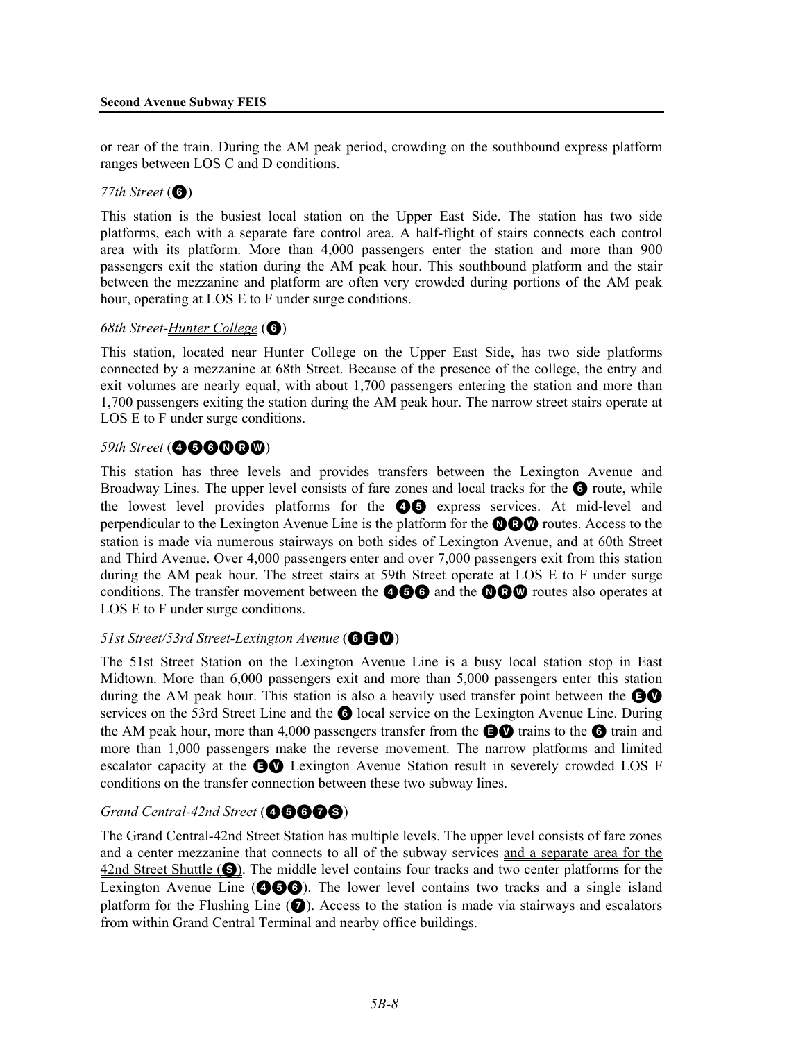or rear of the train. During the AM peak period, crowding on the southbound express platform ranges between LOS C and D conditions.

### $77th$  Street ( $\odot$ )

This station is the busiest local station on the Upper East Side. The station has two side platforms, each with a separate fare control area. A half-flight of stairs connects each control area with its platform. More than 4,000 passengers enter the station and more than 900 passengers exit the station during the AM peak hour. This southbound platform and the stair between the mezzanine and platform are often very crowded during portions of the AM peak hour, operating at LOS E to F under surge conditions.

### *68th Street-Hunter College* (6)

This station, located near Hunter College on the Upper East Side, has two side platforms connected by a mezzanine at 68th Street. Because of the presence of the college, the entry and exit volumes are nearly equal, with about 1,700 passengers entering the station and more than 1,700 passengers exiting the station during the AM peak hour. The narrow street stairs operate at LOS E to F under surge conditions.

# **59th Street (@6600@)**

This station has three levels and provides transfers between the Lexington Avenue and Broadway Lines. The upper level consists of fare zones and local tracks for the  $\bigcirc$  route, while the lowest level provides platforms for the  $\bigcirc$  express services. At mid-level and perpendicular to the Lexington Avenue Line is the platform for the  $\mathbf{QQ}$  routes. Access to the station is made via numerous stairways on both sides of Lexington Avenue, and at 60th Street and Third Avenue. Over 4,000 passengers enter and over 7,000 passengers exit from this station during the AM peak hour. The street stairs at 59th Street operate at LOS E to F under surge conditions. The transfer movement between the **466** and the **060** routes also operates at LOS E to F under surge conditions.

# **51st Street/53rd Street-Lexington Avenue (GGQ)**

The 51st Street Station on the Lexington Avenue Line is a busy local station stop in East Midtown. More than 6,000 passengers exit and more than 5,000 passengers enter this station during the AM peak hour. This station is also a heavily used transfer point between the  $\bigcirc$ services on the 53rd Street Line and the **6** local service on the Lexington Avenue Line. During the AM peak hour, more than 4,000 passengers transfer from the  $\bigoplus$  trains to the  $\bigoplus$  train and more than 1,000 passengers make the reverse movement. The narrow platforms and limited escalator capacity at the EV Lexington Avenue Station result in severely crowded LOS F conditions on the transfer connection between these two subway lines.

# Grand Central-42nd Street (**46666**)

The Grand Central-42nd Street Station has multiple levels. The upper level consists of fare zones and a center mezzanine that connects to all of the subway services and a separate area for the  $42$ nd Street Shuttle ( $\bigcirc$ ). The middle level contains four tracks and two center platforms for the Lexington Avenue Line ( $\bullet\bullet\bullet$ ). The lower level contains two tracks and a single island platform for the Flushing Line  $(\bullet)$ . Access to the station is made via stairways and escalators from within Grand Central Terminal and nearby office buildings.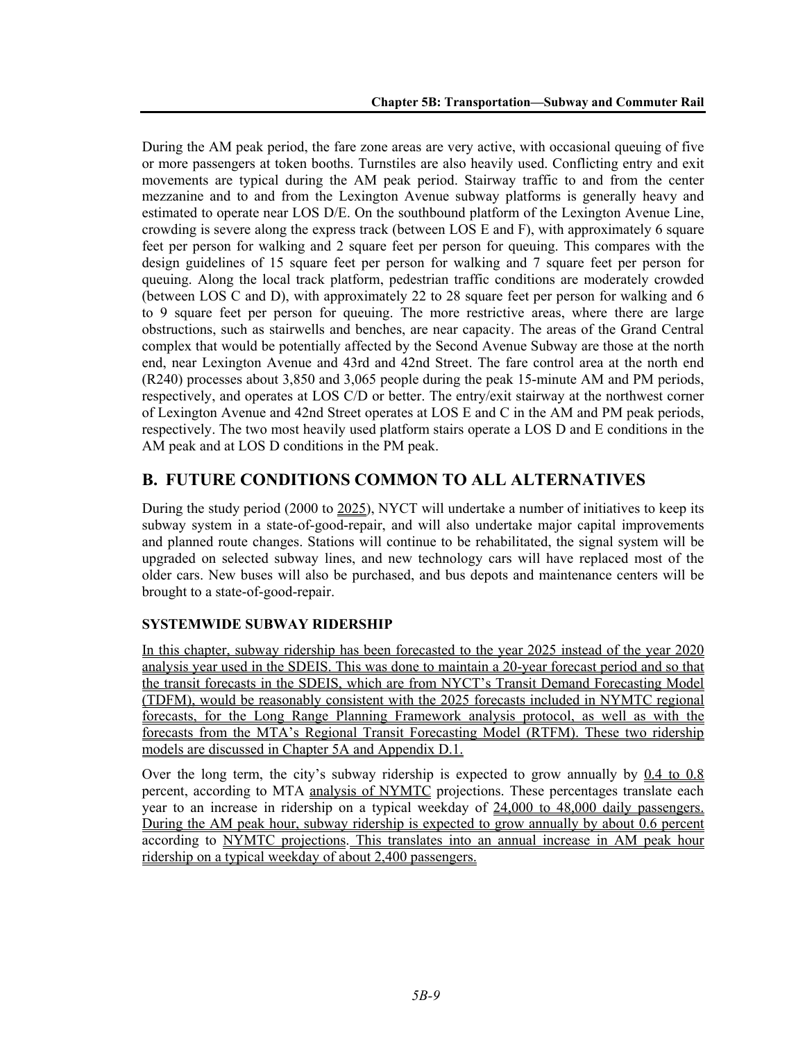During the AM peak period, the fare zone areas are very active, with occasional queuing of five or more passengers at token booths. Turnstiles are also heavily used. Conflicting entry and exit movements are typical during the AM peak period. Stairway traffic to and from the center mezzanine and to and from the Lexington Avenue subway platforms is generally heavy and estimated to operate near LOS D/E. On the southbound platform of the Lexington Avenue Line, crowding is severe along the express track (between LOS E and F), with approximately 6 square feet per person for walking and 2 square feet per person for queuing. This compares with the design guidelines of 15 square feet per person for walking and 7 square feet per person for queuing. Along the local track platform, pedestrian traffic conditions are moderately crowded (between LOS C and D), with approximately 22 to 28 square feet per person for walking and 6 to 9 square feet per person for queuing. The more restrictive areas, where there are large obstructions, such as stairwells and benches, are near capacity. The areas of the Grand Central complex that would be potentially affected by the Second Avenue Subway are those at the north end, near Lexington Avenue and 43rd and 42nd Street. The fare control area at the north end (R240) processes about 3,850 and 3,065 people during the peak 15-minute AM and PM periods, respectively, and operates at LOS C/D or better. The entry/exit stairway at the northwest corner of Lexington Avenue and 42nd Street operates at LOS E and C in the AM and PM peak periods, respectively. The two most heavily used platform stairs operate a LOS D and E conditions in the AM peak and at LOS D conditions in the PM peak.

# **B. FUTURE CONDITIONS COMMON TO ALL ALTERNATIVES**

During the study period (2000 to 2025), NYCT will undertake a number of initiatives to keep its subway system in a state-of-good-repair, and will also undertake major capital improvements and planned route changes. Stations will continue to be rehabilitated, the signal system will be upgraded on selected subway lines, and new technology cars will have replaced most of the older cars. New buses will also be purchased, and bus depots and maintenance centers will be brought to a state-of-good-repair.

# **SYSTEMWIDE SUBWAY RIDERSHIP**

In this chapter, subway ridership has been forecasted to the year 2025 instead of the year 2020 analysis year used in the SDEIS. This was done to maintain a 20-year forecast period and so that the transit forecasts in the SDEIS, which are from NYCT's Transit Demand Forecasting Model (TDFM), would be reasonably consistent with the 2025 forecasts included in NYMTC regional forecasts, for the Long Range Planning Framework analysis protocol, as well as with the forecasts from the MTA's Regional Transit Forecasting Model (RTFM). These two ridership models are discussed in Chapter 5A and Appendix D.1.

Over the long term, the city's subway ridership is expected to grow annually by 0.4 to 0.8 percent, according to MTA analysis of NYMTC projections. These percentages translate each year to an increase in ridership on a typical weekday of 24,000 to 48,000 daily passengers. During the AM peak hour, subway ridership is expected to grow annually by about 0.6 percent according to NYMTC projections. This translates into an annual increase in AM peak hour ridership on a typical weekday of about 2,400 passengers.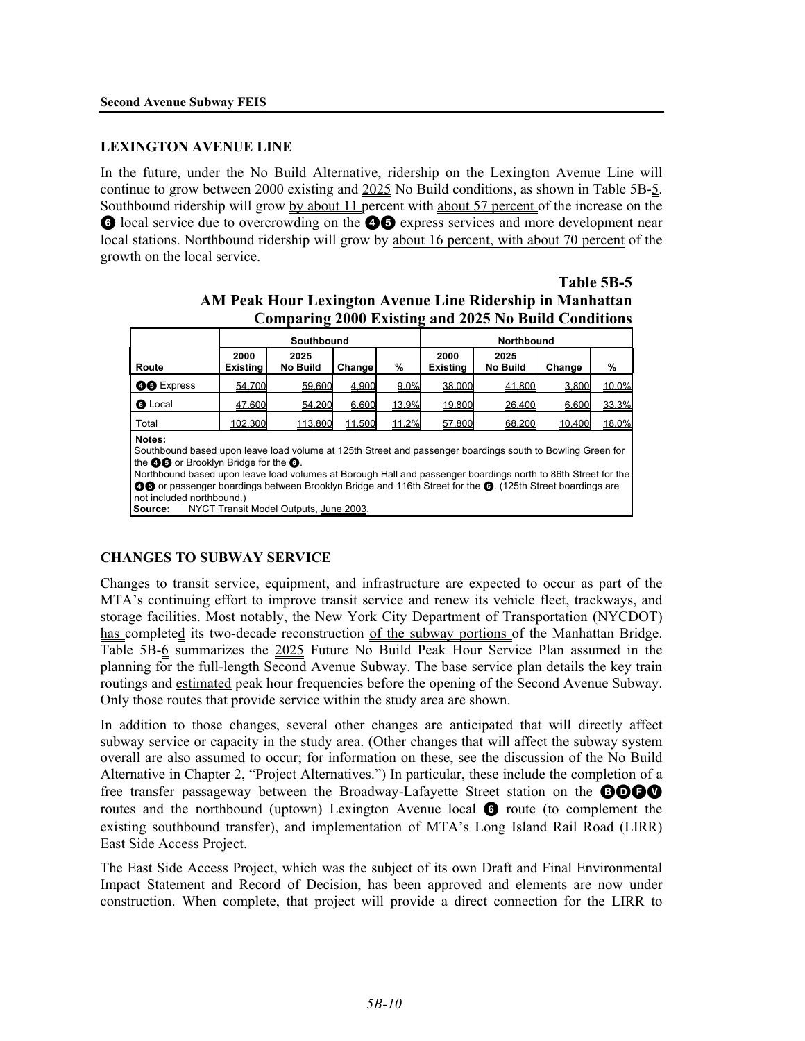### **LEXINGTON AVENUE LINE**

In the future, under the No Build Alternative, ridership on the Lexington Avenue Line will continue to grow between 2000 existing and 2025 No Build conditions, as shown in Table 5B-5. Southbound ridership will grow by about 11 percent with about 57 percent of the increase on the **6** local service due to overcrowding on the **46** express services and more development near local stations. Northbound ridership will grow by about 16 percent, with about 70 percent of the growth on the local service.

|                                                             | Southbound                                                                                                                                                                                                                                                                                                                                                                                                                                                                            |                         |        |       | Northbound              |                         |        |       |  |
|-------------------------------------------------------------|---------------------------------------------------------------------------------------------------------------------------------------------------------------------------------------------------------------------------------------------------------------------------------------------------------------------------------------------------------------------------------------------------------------------------------------------------------------------------------------|-------------------------|--------|-------|-------------------------|-------------------------|--------|-------|--|
| Route                                                       | 2000<br><b>Existing</b>                                                                                                                                                                                                                                                                                                                                                                                                                                                               | 2025<br><b>No Build</b> | Change | %     | 2000<br><b>Existing</b> | 2025<br><b>No Build</b> | Change | %     |  |
| <b>OO</b> Express                                           | 54.700                                                                                                                                                                                                                                                                                                                                                                                                                                                                                | 59,600                  | 4.900  | 9.0%  | 38,000                  | 41.800                  | 3.800  | 10.0% |  |
| <b>G</b> Local                                              | 47.600                                                                                                                                                                                                                                                                                                                                                                                                                                                                                | 54.200                  | 6.600  | 13.9% | 19.800                  | 26.400                  | 6.600  | 33.3% |  |
| Total                                                       | 102.300                                                                                                                                                                                                                                                                                                                                                                                                                                                                               |                         |        | 11.2% |                         |                         | 10.400 | 18.0% |  |
| Notes:<br>NYCT Transit Model Outputs, June 2003.<br>Source: | 113,800<br>11.500<br>57.800<br>68.200<br>Southbound based upon leave load volume at 125th Street and passenger boardings south to Bowling Green for<br>the <b>OO</b> or Brooklyn Bridge for the <b>O</b> .<br>Northbound based upon leave load volumes at Borough Hall and passenger boardings north to 86th Street for the<br><b>△</b> O or passenger boardings between Brooklyn Bridge and 116th Street for the <b>◎</b> . (125th Street boardings are<br>not included northbound.) |                         |        |       |                         |                         |        |       |  |

|                                                             | <b>LADIC 3D-3</b> |
|-------------------------------------------------------------|-------------------|
| AM Peak Hour Lexington Avenue Line Ridership in Manhattan   |                   |
| <b>Comparing 2000 Existing and 2025 No Build Conditions</b> |                   |

**Table 5B-5**

### **CHANGES TO SUBWAY SERVICE**

Changes to transit service, equipment, and infrastructure are expected to occur as part of the MTA's continuing effort to improve transit service and renew its vehicle fleet, trackways, and storage facilities. Most notably, the New York City Department of Transportation (NYCDOT) has completed its two-decade reconstruction of the subway portions of the Manhattan Bridge. Table 5B-6 summarizes the 2025 Future No Build Peak Hour Service Plan assumed in the planning for the full-length Second Avenue Subway. The base service plan details the key train routings and estimated peak hour frequencies before the opening of the Second Avenue Subway. Only those routes that provide service within the study area are shown.

In addition to those changes, several other changes are anticipated that will directly affect subway service or capacity in the study area. (Other changes that will affect the subway system overall are also assumed to occur; for information on these, see the discussion of the No Build Alternative in Chapter 2, "Project Alternatives.") In particular, these include the completion of a free transfer passageway between the Broadway-Lafayette Street station on the **BOOO** routes and the northbound (uptown) Lexington Avenue local  $\bigodot$  route (to complement the existing southbound transfer), and implementation of MTA's Long Island Rail Road (LIRR) East Side Access Project.

The East Side Access Project, which was the subject of its own Draft and Final Environmental Impact Statement and Record of Decision, has been approved and elements are now under construction. When complete, that project will provide a direct connection for the LIRR to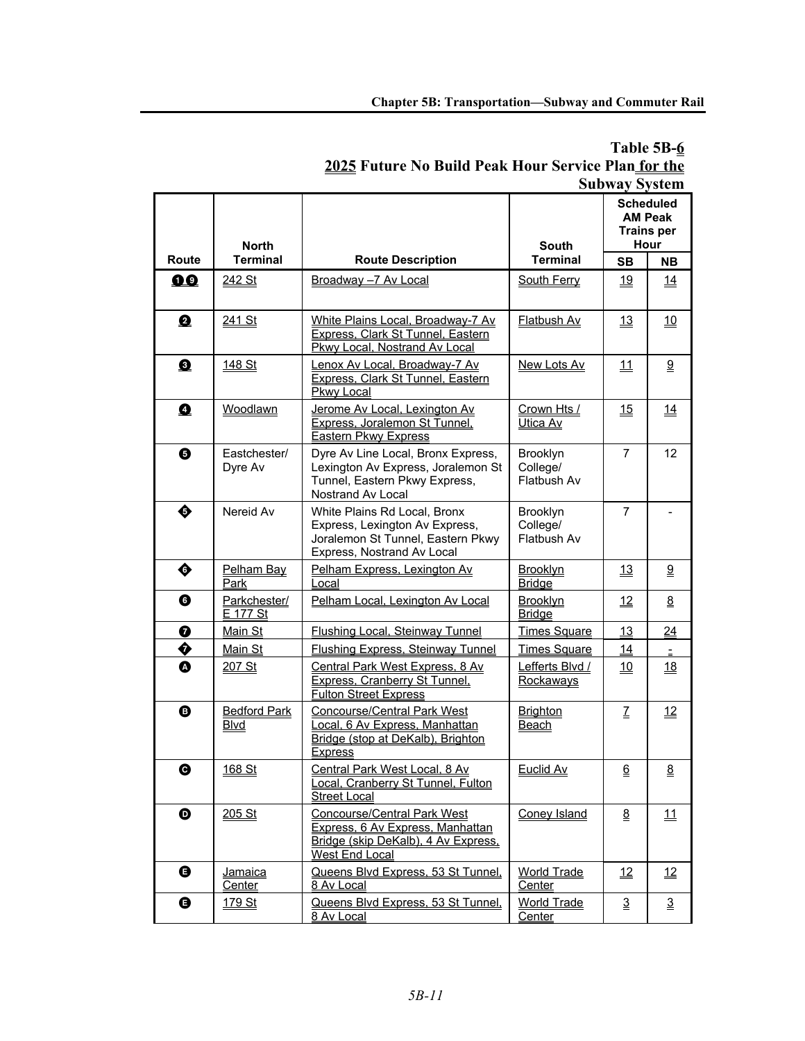|                  | <b>North</b>                       |                                                                                                                                        | <b>South</b>                        |                             | <b>Scheduled</b><br><b>AM Peak</b><br><b>Trains per</b><br>Hour |
|------------------|------------------------------------|----------------------------------------------------------------------------------------------------------------------------------------|-------------------------------------|-----------------------------|-----------------------------------------------------------------|
| <b>Route</b>     | <b>Terminal</b>                    | <b>Route Description</b>                                                                                                               | <b>Terminal</b>                     | <b>SB</b>                   | <b>NB</b>                                                       |
| 00               | 242 St                             | Broadway -7 Av Local                                                                                                                   | South Ferry                         | 19                          | 14                                                              |
| 0                | <u>241 St</u>                      | White Plains Local, Broadway-7 Av<br>Express, Clark St Tunnel, Eastern<br>Pkwy Local, Nostrand Av Local                                | <b>Flatbush Av</b>                  | <u> 13</u>                  | <u>10</u>                                                       |
| ❸                | <u>148 St</u>                      | Lenox Av Local, Broadway-7 Av<br>Express, Clark St Tunnel, Eastern<br>Pkwy Local                                                       | New Lots Av                         | <u>11</u>                   | 9                                                               |
| $\bullet$        | Woodlawn                           | Jerome Av Local, Lexington Av<br>Express, Joralemon St Tunnel,<br>Eastern Pkwy Express                                                 | Crown Hts /<br>Utica Av             | 15                          | 14                                                              |
| ❺                | Eastchester/<br>Dyre Av            | Dyre Av Line Local, Bronx Express,<br>Lexington Av Express, Joralemon St<br>Tunnel, Eastern Pkwy Express,<br>Nostrand Av Local         | Brooklyn<br>College/<br>Flatbush Av | $\overline{7}$              | 12                                                              |
| ♦                | Nereid Av                          | White Plains Rd Local, Bronx<br>Express, Lexington Av Express,<br>Joralemon St Tunnel, Eastern Pkwy<br>Express, Nostrand Av Local      | Brooklyn<br>College/<br>Flatbush Av | $\overline{7}$              |                                                                 |
| ♦                | Pelham Bay<br>Park                 | Pelham Express, Lexington Av<br>Local                                                                                                  | <b>Brooklyn</b><br><b>Bridge</b>    | <u>13</u>                   | <u>ର</u>                                                        |
| ❻                | Parkchester/<br>E 177 St           | Pelham Local, Lexington Av Local                                                                                                       | Brooklyn<br><b>Bridge</b>           | 12                          | 8                                                               |
| ❼                | Main St                            | <b>Flushing Local, Steinway Tunnel</b>                                                                                                 | <b>Times Square</b>                 | 13                          | 24                                                              |
| ♦                | Main St                            | <b>Flushing Express, Steinway Tunnel</b>                                                                                               | <b>Times Square</b>                 | 14                          |                                                                 |
| ❹                | 207 St                             | Central Park West Express, 8 Av<br>Express, Cranberry St Tunnel,<br><b>Fulton Street Express</b>                                       | Lefferts Blvd /<br>Rockaways        | <u>10</u>                   | <u>18</u>                                                       |
| ❸                | <b>Bedford Park</b><br><b>Blvd</b> | Concourse/Central Park West<br>Local, 6 Av Express, Manhattan<br>Bridge (stop at DeKalb), Brighton<br><b>Express</b>                   | Brighton<br><b>Beach</b>            | Z                           | 12                                                              |
| ❻                | 168 St                             | Central Park West Local, 8 Av<br>Local, Cranberry St Tunnel, Fulton<br><b>Street Local</b>                                             | Euclid Av                           | $\underline{6}$             | $\underline{8}$                                                 |
| $\bf \bm \Theta$ | 205 St                             | <b>Concourse/Central Park West</b><br>Express, 6 Av Express, Manhattan<br>Bridge (skip DeKalb), 4 Av Express,<br><b>West End Local</b> | <b>Coney Island</b>                 | $\underline{\underline{8}}$ | 11                                                              |
| ❶                | <b>Jamaica</b><br>Center           | Queens Blvd Express, 53 St Tunnel,<br>8 Av Local                                                                                       | <b>World Trade</b><br>Center        | 12                          | 12                                                              |
| ❶                | 179 St                             | Queens Blvd Express, 53 St Tunnel,<br>8 Av Local                                                                                       | <b>World Trade</b><br>Center        | 3                           | $\overline{3}$                                                  |

# **Table 5B-6 2025 Future No Build Peak Hour Service Plan for the Subway System**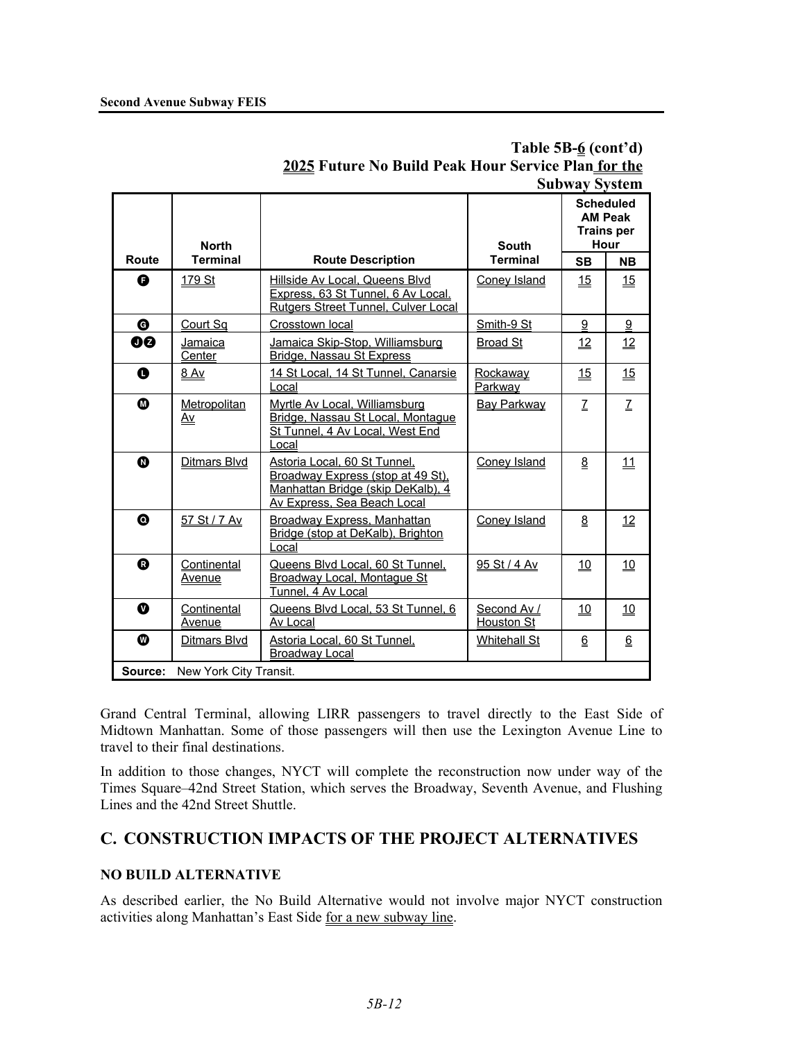|                       | Sudway System                |                                                                                                                                              |                           |                 |                                                                 |  |  |  |
|-----------------------|------------------------------|----------------------------------------------------------------------------------------------------------------------------------------------|---------------------------|-----------------|-----------------------------------------------------------------|--|--|--|
|                       | <b>North</b>                 |                                                                                                                                              | <b>South</b>              |                 | <b>Scheduled</b><br><b>AM Peak</b><br><b>Trains per</b><br>Hour |  |  |  |
| Route                 | <b>Terminal</b>              | <b>Route Description</b>                                                                                                                     | <b>Terminal</b>           | <b>SB</b>       | <b>NB</b>                                                       |  |  |  |
| Ą                     | <u>179 St</u>                | Hillside Av Local, Queens Blyd<br>Express, 63 St Tunnel, 6 Av Local.<br>Rutgers Street Tunnel, Culver Local                                  | Coney Island              | 15              | 15                                                              |  |  |  |
| ❻                     | Court Sa                     | Crosstown local                                                                                                                              | Smith-9 St                | 9               | 9                                                               |  |  |  |
| 00                    | Jamaica<br>Center            | Jamaica Skip-Stop, Williamsburg<br>Bridge, Nassau St Express                                                                                 | <b>Broad St</b>           | 12              | $\overline{12}$                                                 |  |  |  |
| $\mathbf 0$           | 8 Av                         | 14 St Local, 14 St Tunnel, Canarsie<br>.ocal                                                                                                 | Rockaway<br>Parkway       | 15              | 15                                                              |  |  |  |
| ◍                     | Metropolitan<br>Δv           | Myrtle Av Local, Williamsburg<br>Bridge, Nassau St Local, Montague<br>St Tunnel, 4 Av Local, West End<br>Local                               | <b>Bay Parkway</b>        | $\mathcal{I}$   | Z                                                               |  |  |  |
| ❻                     | <b>Ditmars Blvd</b>          | Astoria Local, 60 St Tunnel,<br><b>Broadway Express (stop at 49 St),</b><br>Manhattan Bridge (skip DeKalb), 4<br>Av Express, Sea Beach Local | Coney Island              | 8               | 11                                                              |  |  |  |
| $\boldsymbol{\Omega}$ | 57 St / 7 Av                 | <b>Broadway Express, Manhattan</b><br>Bridge (stop at DeKalb), Brighton<br>Local                                                             | <b>Coney Island</b>       | $\underline{8}$ | $\underline{12}$                                                |  |  |  |
| ❻                     | Continental<br><b>Avenue</b> | Queens Blvd Local, 60 St Tunnel,<br><b>Broadway Local, Montague St</b><br>Tunnel, 4 Av Local                                                 | 95 St / 4 Av              | <u>10</u>       | 10                                                              |  |  |  |
| ➊                     | Continental<br>Avenue        | Queens Blvd Local, 53 St Tunnel, 6<br>Av Local                                                                                               | Second Av /<br>Houston St | 10              | <u> 10</u>                                                      |  |  |  |
| ◍                     | Ditmars Blvd                 | Astoria Local, 60 St Tunnel,<br><b>Broadway Local</b>                                                                                        | <b>Whitehall St</b>       | 6               | 6                                                               |  |  |  |
| Source:               | New York City Transit.       |                                                                                                                                              |                           |                 |                                                                 |  |  |  |

# **Table 5B-6 (cont'd) 2025 Future No Build Peak Hour Service Plan for the Subway System**

Grand Central Terminal, allowing LIRR passengers to travel directly to the East Side of Midtown Manhattan. Some of those passengers will then use the Lexington Avenue Line to travel to their final destinations.

In addition to those changes, NYCT will complete the reconstruction now under way of the Times Square–42nd Street Station, which serves the Broadway, Seventh Avenue, and Flushing Lines and the 42nd Street Shuttle.

# **C. CONSTRUCTION IMPACTS OF THE PROJECT ALTERNATIVES**

# **NO BUILD ALTERNATIVE**

As described earlier, the No Build Alternative would not involve major NYCT construction activities along Manhattan's East Side for a new subway line.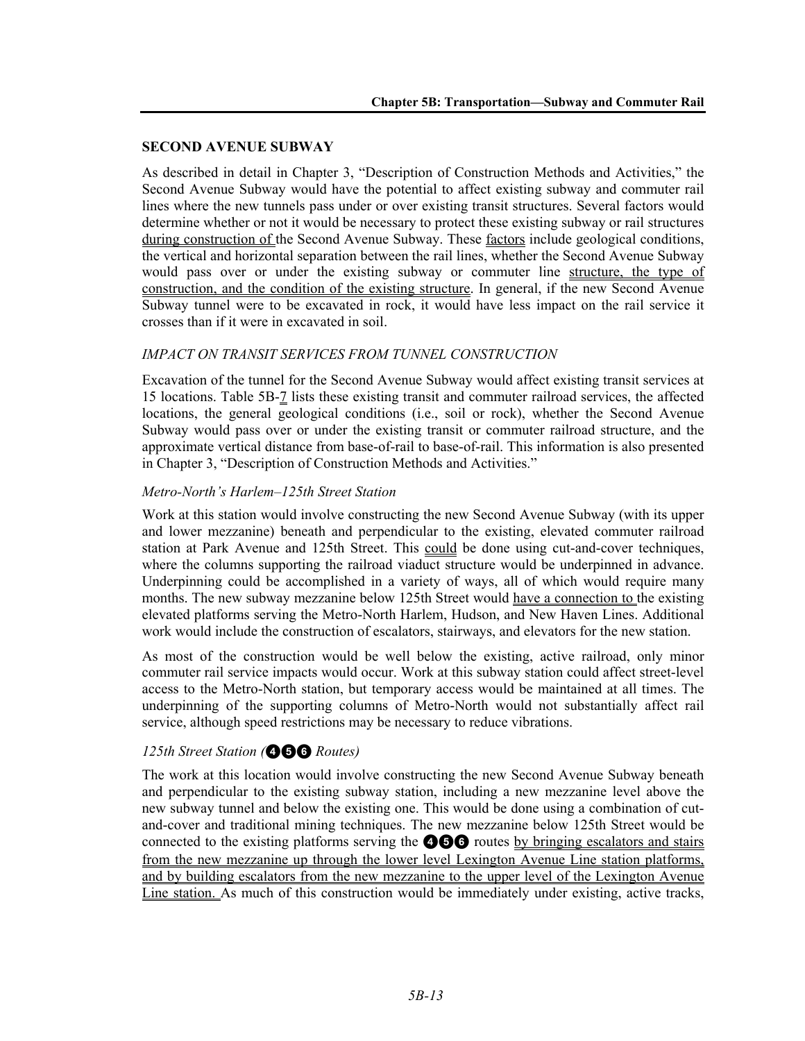### **SECOND AVENUE SUBWAY**

As described in detail in Chapter 3, "Description of Construction Methods and Activities," the Second Avenue Subway would have the potential to affect existing subway and commuter rail lines where the new tunnels pass under or over existing transit structures. Several factors would determine whether or not it would be necessary to protect these existing subway or rail structures during construction of the Second Avenue Subway. These factors include geological conditions, the vertical and horizontal separation between the rail lines, whether the Second Avenue Subway would pass over or under the existing subway or commuter line structure, the type of construction, and the condition of the existing structure. In general, if the new Second Avenue Subway tunnel were to be excavated in rock, it would have less impact on the rail service it crosses than if it were in excavated in soil.

### *IMPACT ON TRANSIT SERVICES FROM TUNNEL CONSTRUCTION*

Excavation of the tunnel for the Second Avenue Subway would affect existing transit services at 15 locations. Table 5B-7 lists these existing transit and commuter railroad services, the affected locations, the general geological conditions (i.e., soil or rock), whether the Second Avenue Subway would pass over or under the existing transit or commuter railroad structure, and the approximate vertical distance from base-of-rail to base-of-rail. This information is also presented in Chapter 3, "Description of Construction Methods and Activities."

### *Metro-North's Harlem–125th Street Station*

Work at this station would involve constructing the new Second Avenue Subway (with its upper and lower mezzanine) beneath and perpendicular to the existing, elevated commuter railroad station at Park Avenue and 125th Street. This could be done using cut-and-cover techniques, where the columns supporting the railroad viaduct structure would be underpinned in advance. Underpinning could be accomplished in a variety of ways, all of which would require many months. The new subway mezzanine below 125th Street would have a connection to the existing elevated platforms serving the Metro-North Harlem, Hudson, and New Haven Lines. Additional work would include the construction of escalators, stairways, and elevators for the new station.

As most of the construction would be well below the existing, active railroad, only minor commuter rail service impacts would occur. Work at this subway station could affect street-level access to the Metro-North station, but temporary access would be maintained at all times. The underpinning of the supporting columns of Metro-North would not substantially affect rail service, although speed restrictions may be necessary to reduce vibrations.

# *125th Street Station (*456 *Routes)*

The work at this location would involve constructing the new Second Avenue Subway beneath and perpendicular to the existing subway station, including a new mezzanine level above the new subway tunnel and below the existing one. This would be done using a combination of cutand-cover and traditional mining techniques. The new mezzanine below 125th Street would be connected to the existing platforms serving the  $\bigcirc$   $\bigcirc$  routes by bringing escalators and stairs from the new mezzanine up through the lower level Lexington Avenue Line station platforms, and by building escalators from the new mezzanine to the upper level of the Lexington Avenue Line station. As much of this construction would be immediately under existing, active tracks,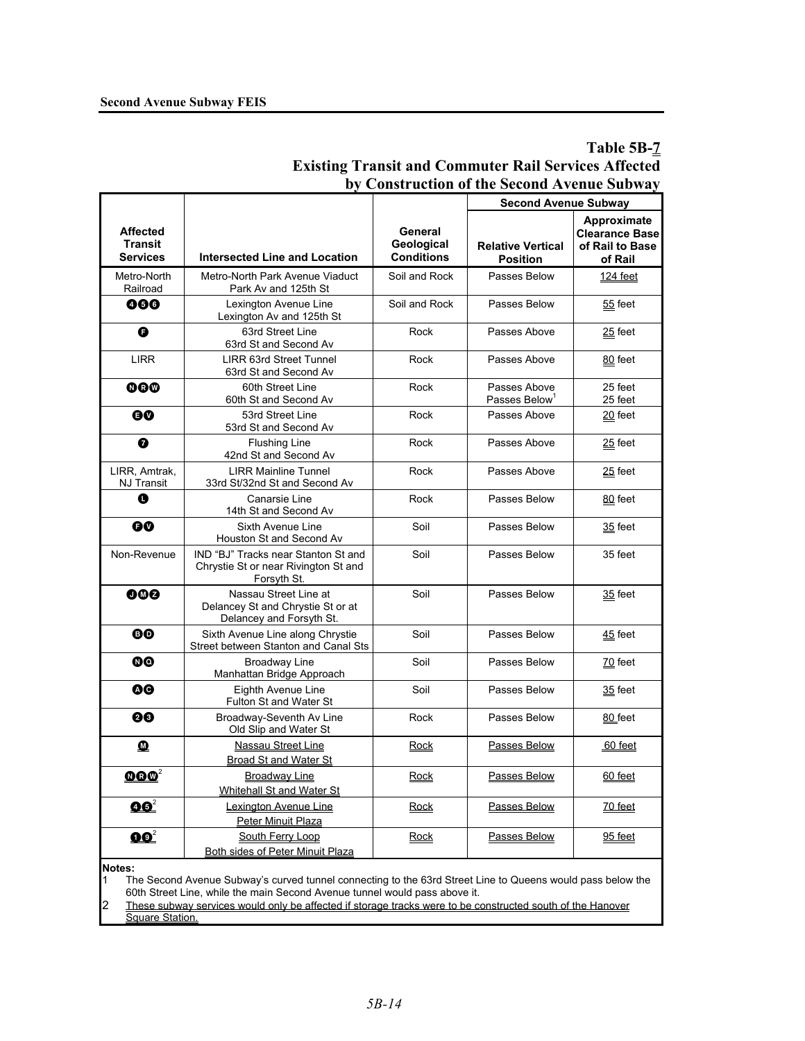# **Table 5B-7 Existing Transit and Commuter Rail Services Affected by Construction of the Second Avenue Subway**

| Approximate<br><b>Affected</b><br>General<br><b>Transit</b><br>Geological<br><b>Relative Vertical</b><br>of Rail to Base<br><b>Conditions</b><br><b>Services</b><br><b>Intersected Line and Location</b><br><b>Position</b><br>of Rail<br>Metro-North<br>Metro-North Park Avenue Viaduct<br>Soil and Rock<br>Passes Below<br>124 feet<br>Railroad<br>Park Av and 125th St<br>000<br>Lexington Avenue Line<br>Soil and Rock<br>Passes Below<br>$55$ feet<br>Lexington Av and 125th St<br>G<br>63rd Street Line<br>Passes Above<br>Rock<br>$25$ feet<br>63rd St and Second Av<br><b>LIRR</b><br><b>LIRR 63rd Street Tunnel</b><br>Rock<br>Passes Above<br>80 feet<br>63rd St and Second Av<br>@@@<br>60th Street Line<br>25 feet<br>Rock<br>Passes Above<br>60th St and Second Av<br>Passes Below <sup>1</sup><br>25 feet<br>53rd Street Line<br>Passes Above<br>0Ø<br>Rock<br>$20$ feet<br>53rd St and Second Av<br>➊<br><b>Flushing Line</b><br>Passes Above<br>Rock<br>$25$ feet<br>42nd St and Second Av<br>LIRR, Amtrak,<br><b>LIRR Mainline Tunnel</b><br>Passes Above<br>Rock<br>$25$ feet<br>NJ Transit<br>33rd St/32nd St and Second Av<br>Canarsie Line<br>Rock<br>O<br>Passes Below<br>80 feet<br>14th St and Second Av<br>Sixth Avenue Line<br>Soil<br>Passes Below<br>0Ø<br>$35$ feet<br>Houston St and Second Av<br>Non-Revenue<br>IND "BJ" Tracks near Stanton St and<br>Soil<br>Passes Below<br>35 feet<br>Chrystie St or near Rivington St and<br>Forsyth St.<br>Nassau Street Line at<br>Soil<br>000<br>Passes Below<br>$35$ feet<br>Delancey St and Chrystie St or at<br>Delancey and Forsyth St.<br>Soil<br>Passes Below<br>ΘØ<br>Sixth Avenue Line along Chrystie<br>45 feet<br>Street between Stanton and Canal Sts<br>00<br><b>Broadway Line</b><br>Soil<br>Passes Below<br>70 feet<br>Manhattan Bridge Approach<br>ØΘ<br>Eighth Avenue Line<br>Soil<br>Passes Below<br>35 feet<br>Fulton St and Water St<br>00<br>Broadway-Seventh Av Line<br>Rock<br>Passes Below<br>80 feet<br>Old Slip and Water St<br>$\bf{M}$<br><b>Nassau Street Line</b><br>Passes Below<br>Rock<br>60 feet<br>Broad St and Water St<br>$\pmb{\Omega} \pmb{\Omega} \pmb{\varnothing}^2$<br><b>Broadway Line</b><br>Passes Below<br>Rock<br>60 feet<br>Whitehall St and Water St<br>$\mathbf{0} \mathbf{0}^2$<br>Lexington Avenue Line<br>Passes Below<br>$70$ feet<br><b>Rock</b><br>Peter Minuit Plaza |                           |                  |      | <b>Second Avenue Subway</b> |                       |
|------------------------------------------------------------------------------------------------------------------------------------------------------------------------------------------------------------------------------------------------------------------------------------------------------------------------------------------------------------------------------------------------------------------------------------------------------------------------------------------------------------------------------------------------------------------------------------------------------------------------------------------------------------------------------------------------------------------------------------------------------------------------------------------------------------------------------------------------------------------------------------------------------------------------------------------------------------------------------------------------------------------------------------------------------------------------------------------------------------------------------------------------------------------------------------------------------------------------------------------------------------------------------------------------------------------------------------------------------------------------------------------------------------------------------------------------------------------------------------------------------------------------------------------------------------------------------------------------------------------------------------------------------------------------------------------------------------------------------------------------------------------------------------------------------------------------------------------------------------------------------------------------------------------------------------------------------------------------------------------------------------------------------------------------------------------------------------------------------------------------------------------------------------------------------------------------------------------------------------------------------------------------------------------------------------------------------------------------------------------------------------------------------|---------------------------|------------------|------|-----------------------------|-----------------------|
|                                                                                                                                                                                                                                                                                                                                                                                                                                                                                                                                                                                                                                                                                                                                                                                                                                                                                                                                                                                                                                                                                                                                                                                                                                                                                                                                                                                                                                                                                                                                                                                                                                                                                                                                                                                                                                                                                                                                                                                                                                                                                                                                                                                                                                                                                                                                                                                                      |                           |                  |      |                             | <b>Clearance Base</b> |
|                                                                                                                                                                                                                                                                                                                                                                                                                                                                                                                                                                                                                                                                                                                                                                                                                                                                                                                                                                                                                                                                                                                                                                                                                                                                                                                                                                                                                                                                                                                                                                                                                                                                                                                                                                                                                                                                                                                                                                                                                                                                                                                                                                                                                                                                                                                                                                                                      |                           |                  |      |                             |                       |
|                                                                                                                                                                                                                                                                                                                                                                                                                                                                                                                                                                                                                                                                                                                                                                                                                                                                                                                                                                                                                                                                                                                                                                                                                                                                                                                                                                                                                                                                                                                                                                                                                                                                                                                                                                                                                                                                                                                                                                                                                                                                                                                                                                                                                                                                                                                                                                                                      |                           |                  |      |                             |                       |
|                                                                                                                                                                                                                                                                                                                                                                                                                                                                                                                                                                                                                                                                                                                                                                                                                                                                                                                                                                                                                                                                                                                                                                                                                                                                                                                                                                                                                                                                                                                                                                                                                                                                                                                                                                                                                                                                                                                                                                                                                                                                                                                                                                                                                                                                                                                                                                                                      |                           |                  |      |                             |                       |
|                                                                                                                                                                                                                                                                                                                                                                                                                                                                                                                                                                                                                                                                                                                                                                                                                                                                                                                                                                                                                                                                                                                                                                                                                                                                                                                                                                                                                                                                                                                                                                                                                                                                                                                                                                                                                                                                                                                                                                                                                                                                                                                                                                                                                                                                                                                                                                                                      |                           |                  |      |                             |                       |
|                                                                                                                                                                                                                                                                                                                                                                                                                                                                                                                                                                                                                                                                                                                                                                                                                                                                                                                                                                                                                                                                                                                                                                                                                                                                                                                                                                                                                                                                                                                                                                                                                                                                                                                                                                                                                                                                                                                                                                                                                                                                                                                                                                                                                                                                                                                                                                                                      |                           |                  |      |                             |                       |
|                                                                                                                                                                                                                                                                                                                                                                                                                                                                                                                                                                                                                                                                                                                                                                                                                                                                                                                                                                                                                                                                                                                                                                                                                                                                                                                                                                                                                                                                                                                                                                                                                                                                                                                                                                                                                                                                                                                                                                                                                                                                                                                                                                                                                                                                                                                                                                                                      |                           |                  |      |                             |                       |
|                                                                                                                                                                                                                                                                                                                                                                                                                                                                                                                                                                                                                                                                                                                                                                                                                                                                                                                                                                                                                                                                                                                                                                                                                                                                                                                                                                                                                                                                                                                                                                                                                                                                                                                                                                                                                                                                                                                                                                                                                                                                                                                                                                                                                                                                                                                                                                                                      |                           |                  |      |                             |                       |
|                                                                                                                                                                                                                                                                                                                                                                                                                                                                                                                                                                                                                                                                                                                                                                                                                                                                                                                                                                                                                                                                                                                                                                                                                                                                                                                                                                                                                                                                                                                                                                                                                                                                                                                                                                                                                                                                                                                                                                                                                                                                                                                                                                                                                                                                                                                                                                                                      |                           |                  |      |                             |                       |
|                                                                                                                                                                                                                                                                                                                                                                                                                                                                                                                                                                                                                                                                                                                                                                                                                                                                                                                                                                                                                                                                                                                                                                                                                                                                                                                                                                                                                                                                                                                                                                                                                                                                                                                                                                                                                                                                                                                                                                                                                                                                                                                                                                                                                                                                                                                                                                                                      |                           |                  |      |                             |                       |
|                                                                                                                                                                                                                                                                                                                                                                                                                                                                                                                                                                                                                                                                                                                                                                                                                                                                                                                                                                                                                                                                                                                                                                                                                                                                                                                                                                                                                                                                                                                                                                                                                                                                                                                                                                                                                                                                                                                                                                                                                                                                                                                                                                                                                                                                                                                                                                                                      |                           |                  |      |                             |                       |
|                                                                                                                                                                                                                                                                                                                                                                                                                                                                                                                                                                                                                                                                                                                                                                                                                                                                                                                                                                                                                                                                                                                                                                                                                                                                                                                                                                                                                                                                                                                                                                                                                                                                                                                                                                                                                                                                                                                                                                                                                                                                                                                                                                                                                                                                                                                                                                                                      |                           |                  |      |                             |                       |
|                                                                                                                                                                                                                                                                                                                                                                                                                                                                                                                                                                                                                                                                                                                                                                                                                                                                                                                                                                                                                                                                                                                                                                                                                                                                                                                                                                                                                                                                                                                                                                                                                                                                                                                                                                                                                                                                                                                                                                                                                                                                                                                                                                                                                                                                                                                                                                                                      |                           |                  |      |                             |                       |
|                                                                                                                                                                                                                                                                                                                                                                                                                                                                                                                                                                                                                                                                                                                                                                                                                                                                                                                                                                                                                                                                                                                                                                                                                                                                                                                                                                                                                                                                                                                                                                                                                                                                                                                                                                                                                                                                                                                                                                                                                                                                                                                                                                                                                                                                                                                                                                                                      |                           |                  |      |                             |                       |
|                                                                                                                                                                                                                                                                                                                                                                                                                                                                                                                                                                                                                                                                                                                                                                                                                                                                                                                                                                                                                                                                                                                                                                                                                                                                                                                                                                                                                                                                                                                                                                                                                                                                                                                                                                                                                                                                                                                                                                                                                                                                                                                                                                                                                                                                                                                                                                                                      |                           |                  |      |                             |                       |
|                                                                                                                                                                                                                                                                                                                                                                                                                                                                                                                                                                                                                                                                                                                                                                                                                                                                                                                                                                                                                                                                                                                                                                                                                                                                                                                                                                                                                                                                                                                                                                                                                                                                                                                                                                                                                                                                                                                                                                                                                                                                                                                                                                                                                                                                                                                                                                                                      |                           |                  |      |                             |                       |
|                                                                                                                                                                                                                                                                                                                                                                                                                                                                                                                                                                                                                                                                                                                                                                                                                                                                                                                                                                                                                                                                                                                                                                                                                                                                                                                                                                                                                                                                                                                                                                                                                                                                                                                                                                                                                                                                                                                                                                                                                                                                                                                                                                                                                                                                                                                                                                                                      |                           |                  |      |                             |                       |
|                                                                                                                                                                                                                                                                                                                                                                                                                                                                                                                                                                                                                                                                                                                                                                                                                                                                                                                                                                                                                                                                                                                                                                                                                                                                                                                                                                                                                                                                                                                                                                                                                                                                                                                                                                                                                                                                                                                                                                                                                                                                                                                                                                                                                                                                                                                                                                                                      |                           |                  |      |                             |                       |
|                                                                                                                                                                                                                                                                                                                                                                                                                                                                                                                                                                                                                                                                                                                                                                                                                                                                                                                                                                                                                                                                                                                                                                                                                                                                                                                                                                                                                                                                                                                                                                                                                                                                                                                                                                                                                                                                                                                                                                                                                                                                                                                                                                                                                                                                                                                                                                                                      |                           |                  |      |                             |                       |
|                                                                                                                                                                                                                                                                                                                                                                                                                                                                                                                                                                                                                                                                                                                                                                                                                                                                                                                                                                                                                                                                                                                                                                                                                                                                                                                                                                                                                                                                                                                                                                                                                                                                                                                                                                                                                                                                                                                                                                                                                                                                                                                                                                                                                                                                                                                                                                                                      |                           |                  |      |                             |                       |
| <b>Both sides of Peter Minuit Plaza</b>                                                                                                                                                                                                                                                                                                                                                                                                                                                                                                                                                                                                                                                                                                                                                                                                                                                                                                                                                                                                                                                                                                                                                                                                                                                                                                                                                                                                                                                                                                                                                                                                                                                                                                                                                                                                                                                                                                                                                                                                                                                                                                                                                                                                                                                                                                                                                              | $\mathbf{Q} \mathbf{Q}^2$ | South Ferry Loop | Rock | Passes Below                | 95 feet               |

**Notes:** 

1 The Second Avenue Subway's curved tunnel connecting to the 63rd Street Line to Queens would pass below the 60th Street Line, while the main Second Avenue tunnel would pass above it.

2 These subway services would only be affected if storage tracks were to be constructed south of the Hanover **Square Station**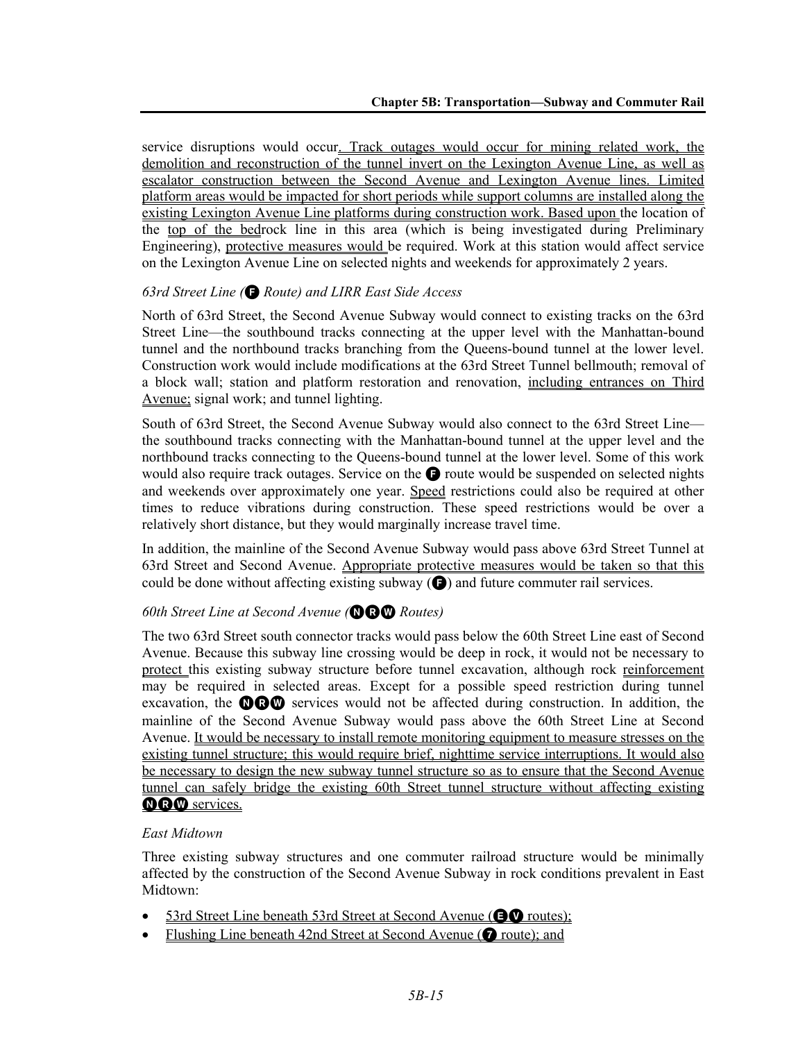service disruptions would occur. Track outages would occur for mining related work, the demolition and reconstruction of the tunnel invert on the Lexington Avenue Line, as well as escalator construction between the Second Avenue and Lexington Avenue lines. Limited platform areas would be impacted for short periods while support columns are installed along the existing Lexington Avenue Line platforms during construction work. Based upon the location of the top of the bedrock line in this area (which is being investigated during Preliminary Engineering), protective measures would be required. Work at this station would affect service on the Lexington Avenue Line on selected nights and weekends for approximately 2 years.

### *63rd Street Line (*F *Route) and LIRR East Side Access*

North of 63rd Street, the Second Avenue Subway would connect to existing tracks on the 63rd Street Line—the southbound tracks connecting at the upper level with the Manhattan-bound tunnel and the northbound tracks branching from the Queens-bound tunnel at the lower level. Construction work would include modifications at the 63rd Street Tunnel bellmouth; removal of a block wall; station and platform restoration and renovation, including entrances on Third Avenue; signal work; and tunnel lighting.

South of 63rd Street, the Second Avenue Subway would also connect to the 63rd Street Line the southbound tracks connecting with the Manhattan-bound tunnel at the upper level and the northbound tracks connecting to the Queens-bound tunnel at the lower level. Some of this work would also require track outages. Service on the  $\bigodot$  route would be suspended on selected nights and weekends over approximately one year. Speed restrictions could also be required at other times to reduce vibrations during construction. These speed restrictions would be over a relatively short distance, but they would marginally increase travel time.

In addition, the mainline of the Second Avenue Subway would pass above 63rd Street Tunnel at 63rd Street and Second Avenue. Appropriate protective measures would be taken so that this could be done without affecting existing subway  $\left(\bigcirc\right)$  and future commuter rail services.

# **60th Street Line at Second Avenue (OBO** Routes)

The two 63rd Street south connector tracks would pass below the 60th Street Line east of Second Avenue. Because this subway line crossing would be deep in rock, it would not be necessary to protect this existing subway structure before tunnel excavation, although rock reinforcement may be required in selected areas. Except for a possible speed restriction during tunnel excavation, the  $\mathbf{O} \mathbf{O} \mathbf{O}$  services would not be affected during construction. In addition, the mainline of the Second Avenue Subway would pass above the 60th Street Line at Second Avenue. It would be necessary to install remote monitoring equipment to measure stresses on the existing tunnel structure; this would require brief, nighttime service interruptions. It would also be necessary to design the new subway tunnel structure so as to ensure that the Second Avenue tunnel can safely bridge the existing 60th Street tunnel structure without affecting existing **ORW** services.

### *East Midtown*

Three existing subway structures and one commuter railroad structure would be minimally affected by the construction of the Second Avenue Subway in rock conditions prevalent in East Midtown:

- 53rd Street Line beneath 53rd Street at Second Avenue ( $\bullet$ V routes);
- Flushing Line beneath 42nd Street at Second Avenue ( $\bullet$  route); and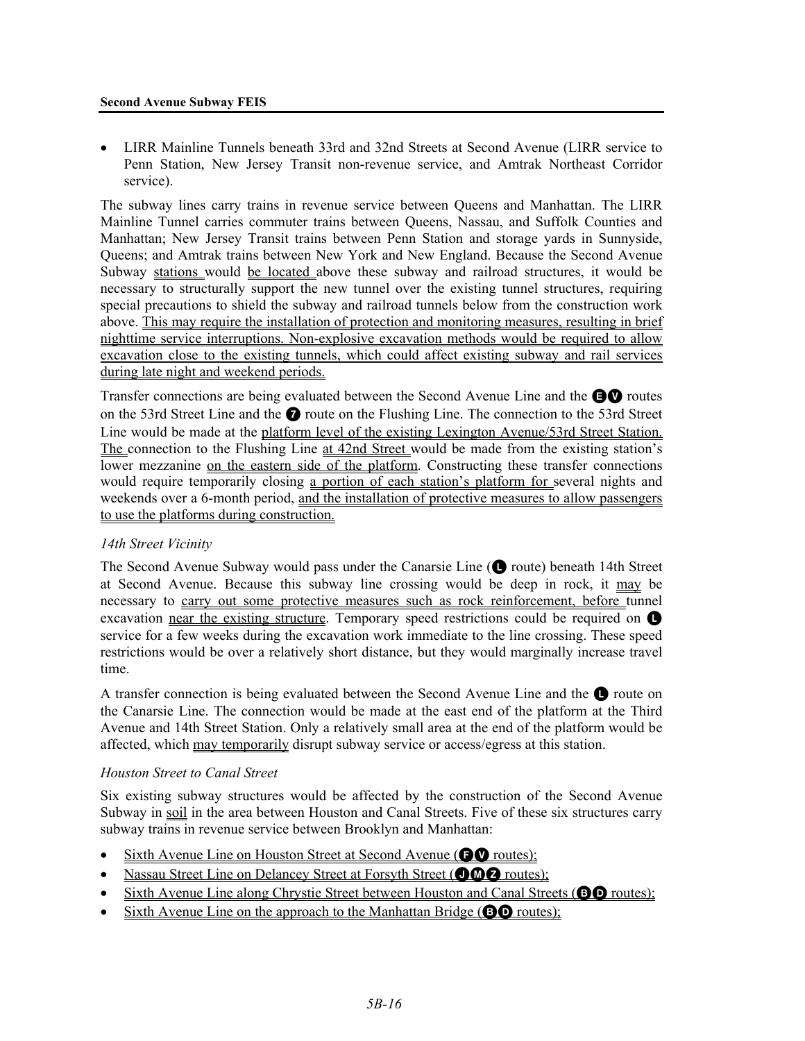#### **Second Avenue Subway FEIS**

• LIRR Mainline Tunnels beneath 33rd and 32nd Streets at Second Avenue (LIRR service to Penn Station, New Jersey Transit non-revenue service, and Amtrak Northeast Corridor service).

The subway lines carry trains in revenue service between Queens and Manhattan. The LIRR Mainline Tunnel carries commuter trains between Queens, Nassau, and Suffolk Counties and Manhattan; New Jersey Transit trains between Penn Station and storage yards in Sunnyside, Queens; and Amtrak trains between New York and New England. Because the Second Avenue Subway stations would be located above these subway and railroad structures, it would be necessary to structurally support the new tunnel over the existing tunnel structures, requiring special precautions to shield the subway and railroad tunnels below from the construction work above. This may require the installation of protection and monitoring measures, resulting in brief nighttime service interruptions. Non-explosive excavation methods would be required to allow excavation close to the existing tunnels, which could affect existing subway and rail services during late night and weekend periods.

Transfer connections are being evaluated between the Second Avenue Line and the **EV** routes on the 53rd Street Line and the **O** route on the Flushing Line. The connection to the 53rd Street Line would be made at the platform level of the existing Lexington Avenue/53rd Street Station. The connection to the Flushing Line at 42nd Street would be made from the existing station's lower mezzanine on the eastern side of the platform. Constructing these transfer connections would require temporarily closing a portion of each station's platform for several nights and weekends over a 6-month period, and the installation of protective measures to allow passengers to use the platforms during construction.

# *14th Street Vicinity*

The Second Avenue Subway would pass under the Canarsie Line ( $\bigcirc$  route) beneath 14th Street at Second Avenue. Because this subway line crossing would be deep in rock, it may be necessary to carry out some protective measures such as rock reinforcement, before tunnel excavation near the existing structure. Temporary speed restrictions could be required on  $\bullet$ service for a few weeks during the excavation work immediate to the line crossing. These speed restrictions would be over a relatively short distance, but they would marginally increase travel time.

A transfer connection is being evaluated between the Second Avenue Line and the  $\bullet$  route on the Canarsie Line. The connection would be made at the east end of the platform at the Third Avenue and 14th Street Station. Only a relatively small area at the end of the platform would be affected, which may temporarily disrupt subway service or access/egress at this station.

### *Houston Street to Canal Street*

Six existing subway structures would be affected by the construction of the Second Avenue Subway in soil in the area between Houston and Canal Streets. Five of these six structures carry subway trains in revenue service between Brooklyn and Manhattan:

- Sixth Avenue Line on Houston Street at Second Avenue ( $\bullet\bullet$  routes);
- Nassau Street Line on Delancey Street at Forsyth Street (OOO routes);
- Sixth Avenue Line along Chrystie Street between Houston and Canal Streets (**BD** routes);
- Sixth Avenue Line on the approach to the Manhattan Bridge (**BO** routes);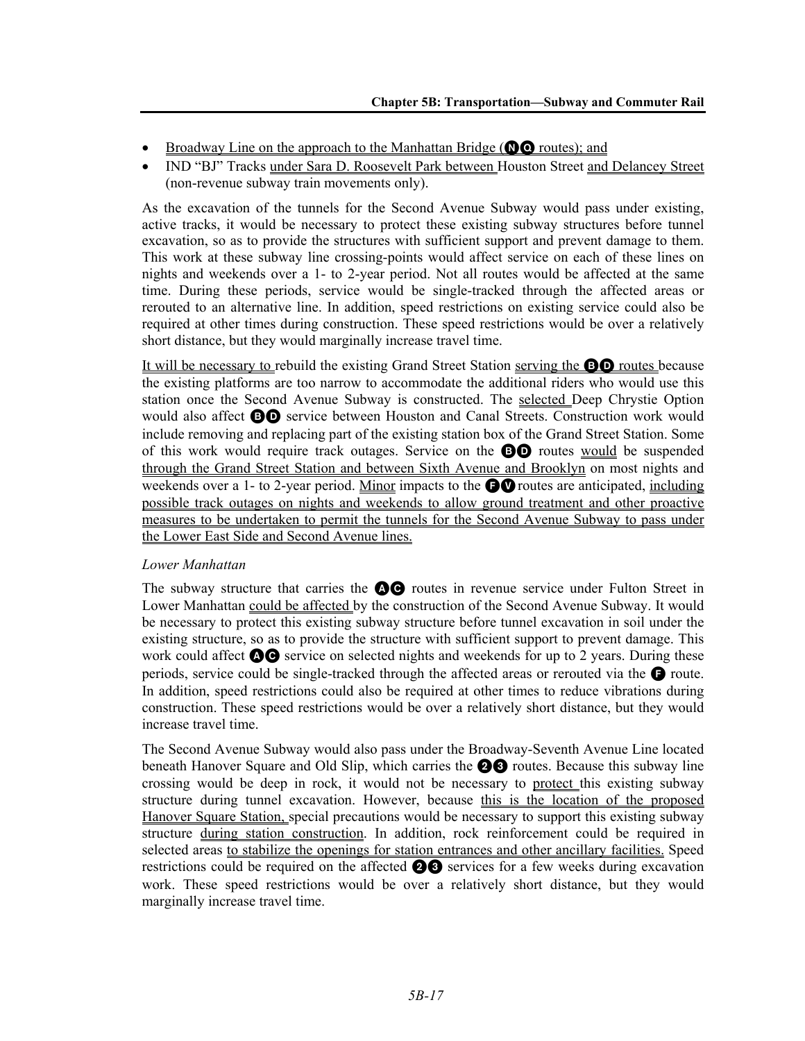- Broadway Line on the approach to the Manhattan Bridge ( $\mathbf{O}$  routes); and
- IND "BJ" Tracks under Sara D. Roosevelt Park between Houston Street and Delancey Street (non-revenue subway train movements only).

As the excavation of the tunnels for the Second Avenue Subway would pass under existing, active tracks, it would be necessary to protect these existing subway structures before tunnel excavation, so as to provide the structures with sufficient support and prevent damage to them. This work at these subway line crossing-points would affect service on each of these lines on nights and weekends over a 1- to 2-year period. Not all routes would be affected at the same time. During these periods, service would be single-tracked through the affected areas or rerouted to an alternative line. In addition, speed restrictions on existing service could also be required at other times during construction. These speed restrictions would be over a relatively short distance, but they would marginally increase travel time.

It will be necessary to rebuild the existing Grand Street Station serving the BD routes because the existing platforms are too narrow to accommodate the additional riders who would use this station once the Second Avenue Subway is constructed. The selected Deep Chrystie Option would also affect **BD** service between Houston and Canal Streets. Construction work would include removing and replacing part of the existing station box of the Grand Street Station. Some of this work would require track outages. Service on the BD routes would be suspended through the Grand Street Station and between Sixth Avenue and Brooklyn on most nights and weekends over a 1- to 2-year period. Minor impacts to the  $\bigcirc$  routes are anticipated, including possible track outages on nights and weekends to allow ground treatment and other proactive measures to be undertaken to permit the tunnels for the Second Avenue Subway to pass under the Lower East Side and Second Avenue lines.

### *Lower Manhattan*

The subway structure that carries the  $\bigcirc$  routes in revenue service under Fulton Street in Lower Manhattan could be affected by the construction of the Second Avenue Subway. It would be necessary to protect this existing subway structure before tunnel excavation in soil under the existing structure, so as to provide the structure with sufficient support to prevent damage. This work could affect  $\mathbf{\odot} \mathbf{\odot}$  service on selected nights and weekends for up to 2 years. During these periods, service could be single-tracked through the affected areas or rerouted via the  $\bullet$  route. In addition, speed restrictions could also be required at other times to reduce vibrations during construction. These speed restrictions would be over a relatively short distance, but they would increase travel time.

The Second Avenue Subway would also pass under the Broadway-Seventh Avenue Line located beneath Hanover Square and Old Slip, which carries the **23** routes. Because this subway line crossing would be deep in rock, it would not be necessary to protect this existing subway structure during tunnel excavation. However, because this is the location of the proposed Hanover Square Station, special precautions would be necessary to support this existing subway structure during station construction. In addition, rock reinforcement could be required in selected areas to stabilize the openings for station entrances and other ancillary facilities. Speed restrictions could be required on the affected  $\bigcirc$  services for a few weeks during excavation work. These speed restrictions would be over a relatively short distance, but they would marginally increase travel time.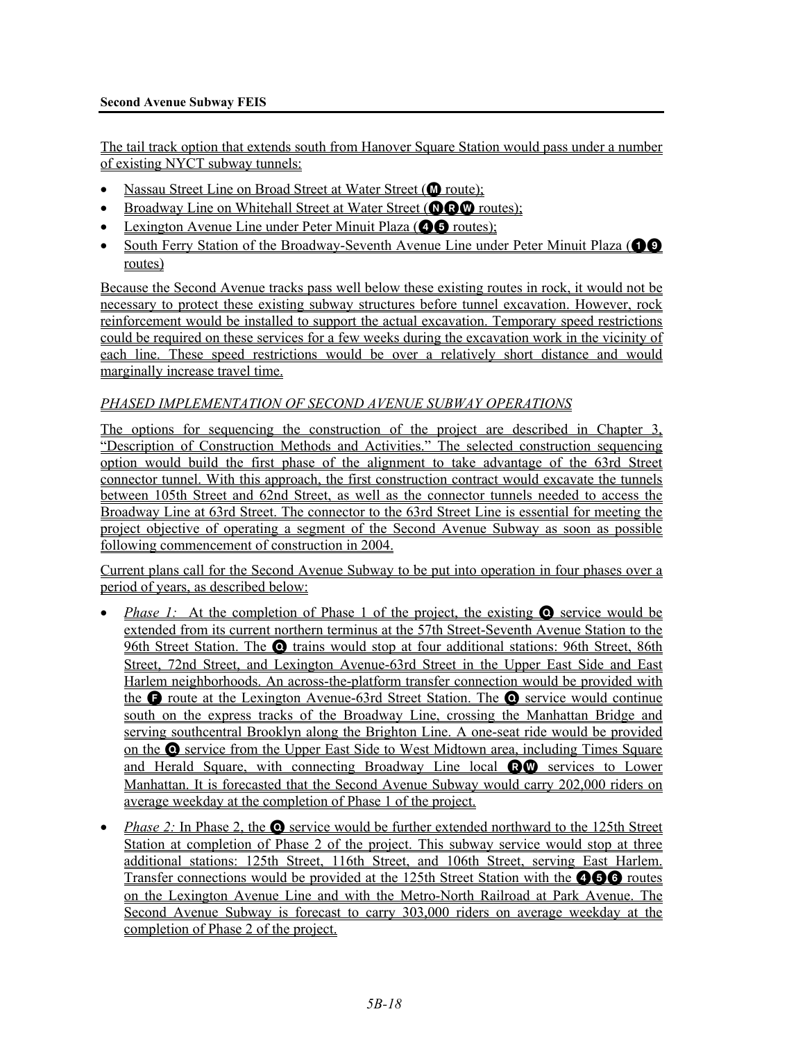### **Second Avenue Subway FEIS**

The tail track option that extends south from Hanover Square Station would pass under a number of existing NYCT subway tunnels:

- Nassau Street Line on Broad Street at Water Street ( $\bf{O}$  route);
- Broadway Line on Whitehall Street at Water Street (**QQQ** routes);
- Lexington Avenue Line under Peter Minuit Plaza ( $\bullet$  routes);
- South Ferry Station of the Broadway-Seventh Avenue Line under Peter Minuit Plaza ( $\bullet$ routes)

Because the Second Avenue tracks pass well below these existing routes in rock, it would not be necessary to protect these existing subway structures before tunnel excavation. However, rock reinforcement would be installed to support the actual excavation. Temporary speed restrictions could be required on these services for a few weeks during the excavation work in the vicinity of each line. These speed restrictions would be over a relatively short distance and would marginally increase travel time.

### *PHASED IMPLEMENTATION OF SECOND AVENUE SUBWAY OPERATIONS*

The options for sequencing the construction of the project are described in Chapter 3, "Description of Construction Methods and Activities." The selected construction sequencing option would build the first phase of the alignment to take advantage of the 63rd Street connector tunnel. With this approach, the first construction contract would excavate the tunnels between 105th Street and 62nd Street, as well as the connector tunnels needed to access the Broadway Line at 63rd Street. The connector to the 63rd Street Line is essential for meeting the project objective of operating a segment of the Second Avenue Subway as soon as possible following commencement of construction in 2004.

Current plans call for the Second Avenue Subway to be put into operation in four phases over a period of years, as described below:

- *Phase 1:* At the completion of Phase 1 of the project, the existing **O** service would be extended from its current northern terminus at the 57th Street-Seventh Avenue Station to the 96th Street Station. The Q trains would stop at four additional stations: 96th Street, 86th Street, 72nd Street, and Lexington Avenue-63rd Street in the Upper East Side and East Harlem neighborhoods. An across-the-platform transfer connection would be provided with the **G** route at the Lexington Avenue-63rd Street Station. The **Q** service would continue south on the express tracks of the Broadway Line, crossing the Manhattan Bridge and serving southcentral Brooklyn along the Brighton Line. A one-seat ride would be provided on the Q service from the Upper East Side to West Midtown area, including Times Square and Herald Square, with connecting Broadway Line local RW services to Lower Manhattan. It is forecasted that the Second Avenue Subway would carry 202,000 riders on average weekday at the completion of Phase 1 of the project.
- *Phase 2:* In Phase 2, the **O** service would be further extended northward to the 125th Street Station at completion of Phase 2 of the project. This subway service would stop at three additional stations: 125th Street, 116th Street, and 106th Street, serving East Harlem. Transfer connections would be provided at the 125th Street Station with the **466** routes on the Lexington Avenue Line and with the Metro-North Railroad at Park Avenue. The Second Avenue Subway is forecast to carry 303,000 riders on average weekday at the completion of Phase 2 of the project.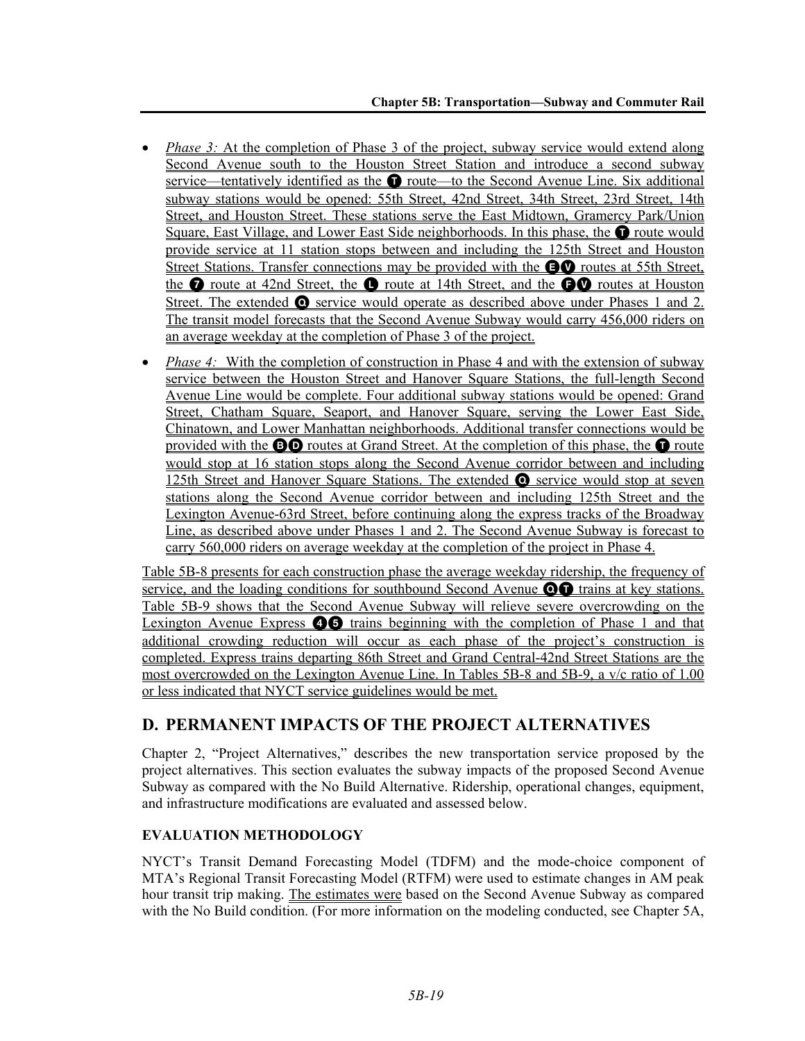- *Phase 3:* At the completion of Phase 3 of the project, subway service would extend along Second Avenue south to the Houston Street Station and introduce a second subway service—tentatively identified as the  $\bullet$  route—to the Second Avenue Line. Six additional subway stations would be opened: 55th Street, 42nd Street, 34th Street, 23rd Street, 14th Street, and Houston Street. These stations serve the East Midtown, Gramercy Park/Union Square, East Village, and Lower East Side neighborhoods. In this phase, the  $\bullet$  route would provide service at 11 station stops between and including the 125th Street and Houston Street Stations. Transfer connections may be provided with the **EV** routes at 55th Street, the  $\bullet$  route at 42nd Street, the  $\bullet$  route at 14th Street, and the  $\bullet\bullet$  routes at Houston Street. The extended  $\bullet$  service would operate as described above under Phases 1 and 2. The transit model forecasts that the Second Avenue Subway would carry 456,000 riders on an average weekday at the completion of Phase 3 of the project.
- *Phase 4:* With the completion of construction in Phase 4 and with the extension of subway service between the Houston Street and Hanover Square Stations, the full-length Second Avenue Line would be complete. Four additional subway stations would be opened: Grand Street, Chatham Square, Seaport, and Hanover Square, serving the Lower East Side, Chinatown, and Lower Manhattan neighborhoods. Additional transfer connections would be provided with the  $\odot$  routes at Grand Street. At the completion of this phase, the  $\odot$  route would stop at 16 station stops along the Second Avenue corridor between and including 125th Street and Hanover Square Stations. The extended Q service would stop at seven stations along the Second Avenue corridor between and including 125th Street and the Lexington Avenue-63rd Street, before continuing along the express tracks of the Broadway Line, as described above under Phases 1 and 2. The Second Avenue Subway is forecast to carry 560,000 riders on average weekday at the completion of the project in Phase 4.

Table 5B-8 presents for each construction phase the average weekday ridership, the frequency of service, and the loading conditions for southbound Second Avenue  $\odot$  trains at key stations. Table 5B-9 shows that the Second Avenue Subway will relieve severe overcrowding on the Lexington Avenue Express  $\bigcirc$  trains beginning with the completion of Phase 1 and that additional crowding reduction will occur as each phase of the project's construction is completed. Express trains departing 86th Street and Grand Central-42nd Street Stations are the most overcrowded on the Lexington Avenue Line. In Tables 5B-8 and 5B-9, a v/c ratio of 1.00 or less indicated that NYCT service guidelines would be met.

# **D. PERMANENT IMPACTS OF THE PROJECT ALTERNATIVES**

Chapter 2, "Project Alternatives," describes the new transportation service proposed by the project alternatives. This section evaluates the subway impacts of the proposed Second Avenue Subway as compared with the No Build Alternative. Ridership, operational changes, equipment, and infrastructure modifications are evaluated and assessed below.

# **EVALUATION METHODOLOGY**

NYCT's Transit Demand Forecasting Model (TDFM) and the mode-choice component of MTA's Regional Transit Forecasting Model (RTFM) were used to estimate changes in AM peak hour transit trip making. The estimates were based on the Second Avenue Subway as compared with the No Build condition. (For more information on the modeling conducted, see Chapter 5A,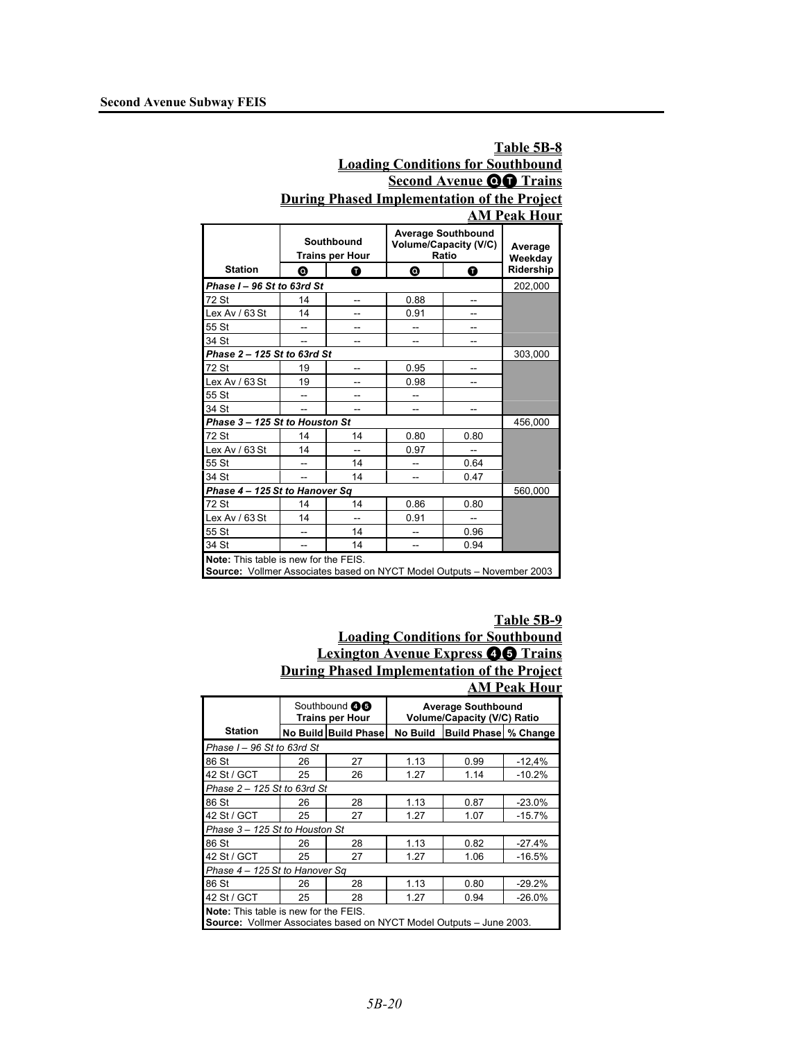### **Table 5B-8 Loading Conditions for Southbound Second Avenue OO Trains During Phased Implementation of the Project AM Peak Hour**

|                                                                                                                        | Southbound<br><b>Trains per Hour</b><br>◎<br>0 |    |      | <b>Average Southbound</b><br><b>Volume/Capacity (V/C)</b><br>Ratio | Average<br>Weekday |
|------------------------------------------------------------------------------------------------------------------------|------------------------------------------------|----|------|--------------------------------------------------------------------|--------------------|
| <b>Station</b>                                                                                                         |                                                |    | ◎    | ❶                                                                  | Ridership          |
| Phase I - 96 St to 63rd St                                                                                             |                                                |    |      |                                                                    | 202,000            |
| 72 St                                                                                                                  | 14                                             | -- | 0.88 |                                                                    |                    |
| Lex Av / 63 St                                                                                                         | 14                                             |    | 0.91 |                                                                    |                    |
| 55 St                                                                                                                  |                                                |    |      |                                                                    |                    |
| 34 St                                                                                                                  |                                                |    |      |                                                                    |                    |
| Phase 2 - 125 St to 63rd St                                                                                            |                                                |    |      |                                                                    | 303,000            |
| 72 St                                                                                                                  | 19                                             |    | 0.95 |                                                                    |                    |
| Lex Av / 63 St                                                                                                         | 19                                             |    | 0.98 | --                                                                 |                    |
| 55 St                                                                                                                  |                                                | -- | --   |                                                                    |                    |
| 34 St                                                                                                                  |                                                |    |      |                                                                    |                    |
| Phase 3-125 St to Houston St                                                                                           |                                                |    |      |                                                                    | 456,000            |
| 72 St                                                                                                                  | 14                                             | 14 | 0.80 | 0.80                                                               |                    |
| Lex Av / 63 St                                                                                                         | 14                                             |    | 0.97 |                                                                    |                    |
| 55 St                                                                                                                  |                                                | 14 |      | 0.64                                                               |                    |
| 34 St                                                                                                                  | $\overline{a}$                                 | 14 | --   | 0.47                                                               |                    |
| Phase 4 - 125 St to Hanover Sq                                                                                         |                                                |    |      |                                                                    | 560,000            |
| 72 St                                                                                                                  | 14                                             | 14 | 0.86 | 0.80                                                               |                    |
| Lex Av / 63 St                                                                                                         | 14                                             |    | 0.91 |                                                                    |                    |
| 55 St                                                                                                                  |                                                | 14 |      | 0.96                                                               |                    |
| 34 St                                                                                                                  |                                                | 14 |      | 0.94                                                               |                    |
| <b>Note:</b> This table is new for the FEIS.<br>Source: Vollmer Associates based on NYCT Model Outputs - November 2003 |                                                |    |      |                                                                    |                    |

# **Table 5B-9**

### **Loading Conditions for Southbound Lexington Avenue Express <b>46** Trains **During Phased Implementation of the Project AM Peak Hour**

|                                                                                                                     |    | Southbound <b>46</b><br><b>Trains per Hour</b> | <b>Average Southbound</b><br><b>Volume/Capacity (V/C) Ratio</b> |                             |          |  |
|---------------------------------------------------------------------------------------------------------------------|----|------------------------------------------------|-----------------------------------------------------------------|-----------------------------|----------|--|
| <b>Station</b>                                                                                                      |    | No Build Build Phase                           | No Build                                                        | <b>Build Phase % Change</b> |          |  |
| Phase I - 96 St to 63rd St                                                                                          |    |                                                |                                                                 |                             |          |  |
| 86 St                                                                                                               | 26 | 27                                             | 1.13                                                            | 0.99                        | $-12,4%$ |  |
| 42 St / GCT                                                                                                         | 25 | 26                                             | 1.27                                                            | 1.14                        | $-10.2%$ |  |
| Phase 2 - 125 St to 63rd St                                                                                         |    |                                                |                                                                 |                             |          |  |
| 86 St                                                                                                               | 26 | 28                                             | 1.13                                                            | 0.87                        | $-23.0%$ |  |
| 42 St / GCT                                                                                                         | 25 | 27                                             | 1.27                                                            | 1.07                        | $-15.7%$ |  |
| Phase 3 - 125 St to Houston St                                                                                      |    |                                                |                                                                 |                             |          |  |
| 86 St                                                                                                               | 26 | 28                                             | 1.13                                                            | 0.82                        | $-27.4%$ |  |
| 42 St / GCT                                                                                                         | 25 | 27                                             | 1.27                                                            | 1.06                        | $-16.5%$ |  |
| Phase 4 - 125 St to Hanover Sq                                                                                      |    |                                                |                                                                 |                             |          |  |
| 86 St                                                                                                               | 26 | 28                                             | 1.13                                                            | 0.80                        | $-29.2%$ |  |
| 42 St / GCT                                                                                                         | 25 | 28                                             | 1.27                                                            | 0.94                        | $-26.0%$ |  |
| <b>Note:</b> This table is new for the FEIS.<br>Source: Vollmer Associates based on NYCT Model Outputs - June 2003. |    |                                                |                                                                 |                             |          |  |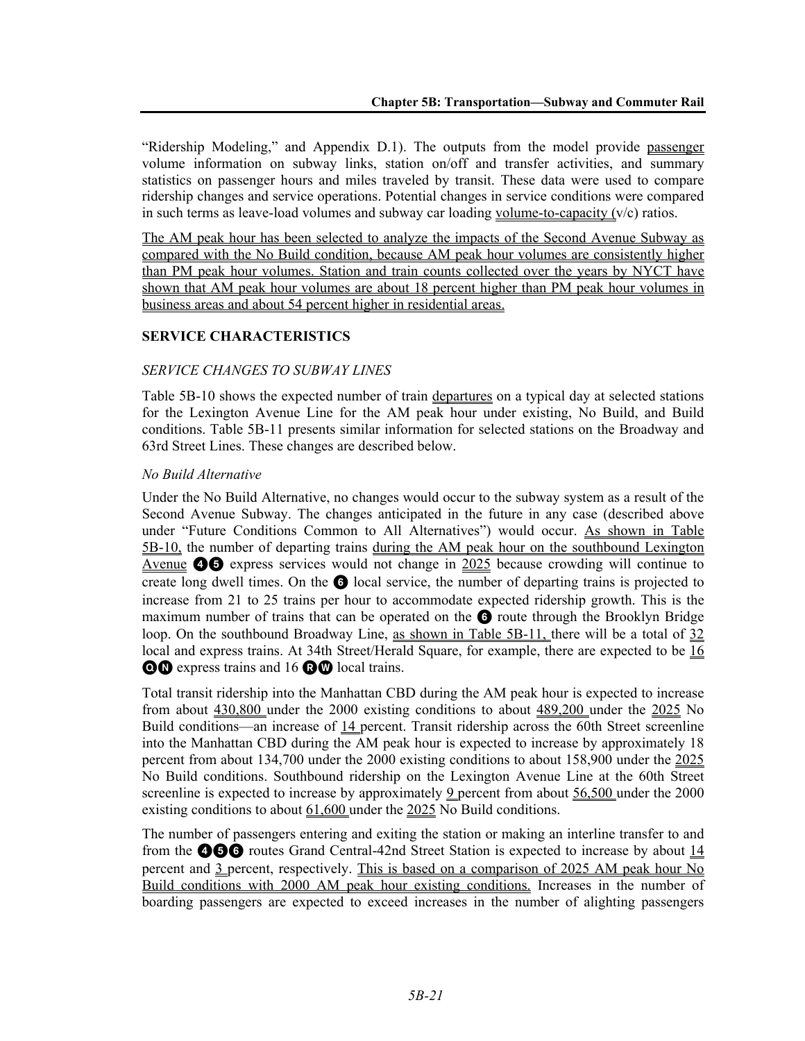"Ridership Modeling," and Appendix D.1). The outputs from the model provide passenger volume information on subway links, station on/off and transfer activities, and summary statistics on passenger hours and miles traveled by transit. These data were used to compare ridership changes and service operations. Potential changes in service conditions were compared in such terms as leave-load volumes and subway car loading volume-to-capacity  $(v/c)$  ratios.

The AM peak hour has been selected to analyze the impacts of the Second Avenue Subway as compared with the No Build condition, because AM peak hour volumes are consistently higher than PM peak hour volumes. Station and train counts collected over the years by NYCT have shown that AM peak hour volumes are about 18 percent higher than PM peak hour volumes in business areas and about 54 percent higher in residential areas.

# **SERVICE CHARACTERISTICS**

### *SERVICE CHANGES TO SUBWAY LINES*

Table 5B-10 shows the expected number of train departures on a typical day at selected stations for the Lexington Avenue Line for the AM peak hour under existing, No Build, and Build conditions. Table 5B-11 presents similar information for selected stations on the Broadway and 63rd Street Lines. These changes are described below.

### *No Build Alternative*

Under the No Build Alternative, no changes would occur to the subway system as a result of the Second Avenue Subway. The changes anticipated in the future in any case (described above under "Future Conditions Common to All Alternatives") would occur. As shown in Table 5B-10, the number of departing trains during the AM peak hour on the southbound Lexington Avenue **46** express services would not change in 2025 because crowding will continue to create long dwell times. On the 6 local service, the number of departing trains is projected to increase from 21 to 25 trains per hour to accommodate expected ridership growth. This is the maximum number of trains that can be operated on the **6** route through the Brooklyn Bridge loop. On the southbound Broadway Line, as shown in Table 5B-11, there will be a total of 32 local and express trains. At 34th Street/Herald Square, for example, there are expected to be 16 **QO** express trains and 16 **QO** local trains.

Total transit ridership into the Manhattan CBD during the AM peak hour is expected to increase from about 430,800 under the 2000 existing conditions to about 489,200 under the 2025 No Build conditions—an increase of 14 percent. Transit ridership across the 60th Street screenline into the Manhattan CBD during the AM peak hour is expected to increase by approximately 18 percent from about 134,700 under the 2000 existing conditions to about 158,900 under the 2025 No Build conditions. Southbound ridership on the Lexington Avenue Line at the 60th Street screenline is expected to increase by approximately 9 percent from about 56,500 under the 2000 existing conditions to about 61,600 under the 2025 No Build conditions.

The number of passengers entering and exiting the station or making an interline transfer to and from the  $\bigcirc$   $\bigcirc$  routes Grand Central-42nd Street Station is expected to increase by about 14 percent and 3 percent, respectively. This is based on a comparison of 2025 AM peak hour No Build conditions with 2000 AM peak hour existing conditions. Increases in the number of boarding passengers are expected to exceed increases in the number of alighting passengers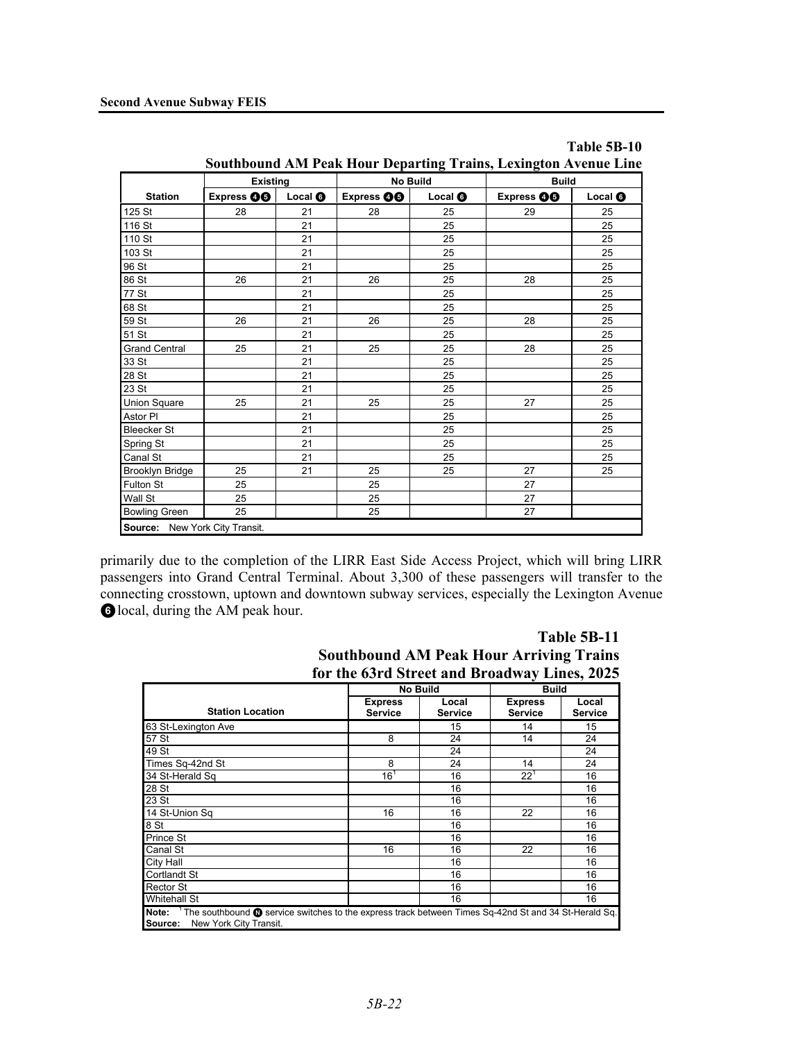|                      | <b>Existing</b>   |                | No Build          |                | <b>Build</b>      |                |
|----------------------|-------------------|----------------|-------------------|----------------|-------------------|----------------|
| <b>Station</b>       | Express <b>OO</b> | Local <b>O</b> | Express <b>OO</b> | Local <b>O</b> | Express <b>OO</b> | Local <b>O</b> |
| 125 St               | 28                | 21             | 28                | 25             | 29                | 25             |
| 116 St               |                   | 21             |                   | 25             |                   | 25             |
| 110 St               |                   | 21             |                   | 25             |                   | 25             |
| 103 St               |                   | 21             |                   | 25             |                   | 25             |
| 96 St                |                   | 21             |                   | 25             |                   | 25             |
| 86 St                | 26                | 21             | 26                | 25             | 28                | 25             |
| 77 St                |                   | 21             |                   | 25             |                   | 25             |
| 68 St                |                   | 21             |                   | 25             |                   | 25             |
| 59 St                | 26                | 21             | 26                | 25             | 28                | 25             |
| 51 St                |                   | 21             |                   | 25             |                   | 25             |
| <b>Grand Central</b> | 25                | 21             | 25                | 25             | 28                | 25             |
| 33 St                |                   | 21             |                   | 25             |                   | 25             |
| 28 St                |                   | 21             |                   | 25             |                   | 25             |
| 23 St                |                   | 21             |                   | 25             |                   | 25             |
| Union Square         | 25                | 21             | 25                | 25             | 27                | 25             |
| Astor PI             |                   | 21             |                   | 25             |                   | 25             |
| <b>Bleecker St</b>   |                   | 21             |                   | 25             |                   | 25             |
| Spring St            |                   | 21             |                   | 25             |                   | 25             |
| Canal St             |                   | 21             |                   | 25             |                   | 25             |
| Brooklyn Bridge      | 25                | 21             | 25                | 25             | 27                | 25             |
| Fulton St            | 25                |                | 25                |                | 27                |                |
| Wall St              | 25                |                | 25                |                | 27                |                |
| <b>Bowling Green</b> | 25                |                | 25                |                | 27                |                |

|                                                                        | Table 5B-10 |
|------------------------------------------------------------------------|-------------|
| <b>Southbound AM Peak Hour Departing Trains, Lexington Avenue Line</b> |             |

primarily due to the completion of the LIRR East Side Access Project, which will bring LIRR passengers into Grand Central Terminal. About 3,300 of these passengers will transfer to the connecting crosstown, uptown and downtown subway services, especially the Lexington Avenue 6 local, during the AM peak hour.

# **Table 5B-11 Southbound AM Peak Hour Arriving Trains for the 63rd Street and Broadway Lines, 2025**

|                                                                                                                                                                     | <b>No Build</b>                  |                         | <b>Build</b>                     |                         |
|---------------------------------------------------------------------------------------------------------------------------------------------------------------------|----------------------------------|-------------------------|----------------------------------|-------------------------|
| <b>Station Location</b>                                                                                                                                             | <b>Express</b><br><b>Service</b> | Local<br><b>Service</b> | <b>Express</b><br><b>Service</b> | Local<br><b>Service</b> |
| 63 St-Lexington Ave                                                                                                                                                 |                                  | 15                      | 14                               | 15                      |
| 57 St                                                                                                                                                               | 8                                | 24                      | 14                               | 24                      |
| 49 St                                                                                                                                                               |                                  | 24                      |                                  | 24                      |
| Times Sq-42nd St                                                                                                                                                    | 8                                | 24                      | 14                               | 24                      |
| 34 St-Herald Sq                                                                                                                                                     | $16^{1}$                         | 16                      | $22^1$                           | 16                      |
| 28 St                                                                                                                                                               |                                  | 16                      |                                  | 16                      |
| 23 St                                                                                                                                                               |                                  | 16                      |                                  | 16                      |
| 14 St-Union Sq                                                                                                                                                      | 16                               | 16                      | 22                               | 16                      |
| 8 St                                                                                                                                                                |                                  | 16                      |                                  | 16                      |
| Prince St                                                                                                                                                           |                                  | 16                      |                                  | 16                      |
| Canal St                                                                                                                                                            | 16                               | 16                      | 22                               | 16                      |
| City Hall                                                                                                                                                           |                                  | 16                      |                                  | 16                      |
| <b>Cortlandt St</b>                                                                                                                                                 |                                  | 16                      |                                  | 16                      |
| <b>Rector St</b>                                                                                                                                                    |                                  | 16                      |                                  | 16                      |
| <b>Whitehall St</b>                                                                                                                                                 |                                  | 16                      |                                  | 16                      |
| Note: <sup>1</sup> The southbound <b>O</b> service switches to the express track between Times Sq-42nd St and 34 St-Herald Sq.<br>New York City Transit.<br>Source: |                                  |                         |                                  |                         |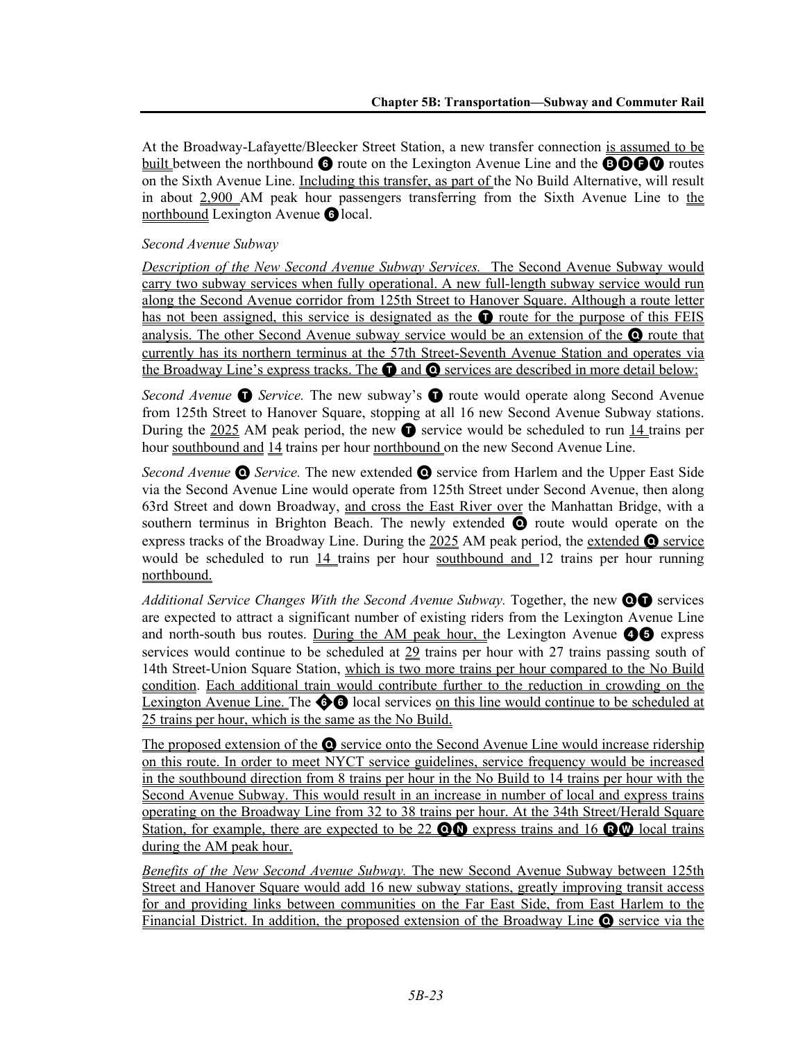At the Broadway-Lafayette/Bleecker Street Station, a new transfer connection is assumed to be built between the northbound  $\bullet$  route on the Lexington Avenue Line and the **BOGV** routes on the Sixth Avenue Line. Including this transfer, as part of the No Build Alternative, will result in about 2,900 AM peak hour passengers transferring from the Sixth Avenue Line to the northbound Lexington Avenue **6** local.

# *Second Avenue Subway*

*Description of the New Second Avenue Subway Services.* The Second Avenue Subway would carry two subway services when fully operational. A new full-length subway service would run along the Second Avenue corridor from 125th Street to Hanover Square. Although a route letter has not been assigned, this service is designated as the  $\bullet$  route for the purpose of this FEIS analysis. The other Second Avenue subway service would be an extension of the Q route that currently has its northern terminus at the 57th Street-Seventh Avenue Station and operates via the Broadway Line's express tracks. The  $\bullet$  and  $\bullet$  services are described in more detail below:

*Second Avenue* **O** *Service*. The new subway's **O** route would operate along Second Avenue from 125th Street to Hanover Square, stopping at all 16 new Second Avenue Subway stations. During the 2025 AM peak period, the new  $\bullet$  service would be scheduled to run 14 trains per hour southbound and 14 trains per hour northbound on the new Second Avenue Line.

*Second Avenue* Q *Service.* The new extended Q service from Harlem and the Upper East Side via the Second Avenue Line would operate from 125th Street under Second Avenue, then along 63rd Street and down Broadway, and cross the East River over the Manhattan Bridge, with a southern terminus in Brighton Beach. The newly extended Q route would operate on the express tracks of the Broadway Line. During the  $2025$  AM peak period, the extended  $\bullet$  service would be scheduled to run  $14$  trains per hour southbound and 12 trains per hour running northbound.

Additional Service Changes With the Second Avenue Subway. Together, the new **OO** services are expected to attract a significant number of existing riders from the Lexington Avenue Line and north-south bus routes. During the AM peak hour, the Lexington Avenue  $\bullet\bullet$  express services would continue to be scheduled at 29 trains per hour with 27 trains passing south of 14th Street-Union Square Station, which is two more trains per hour compared to the No Build condition. Each additional train would contribute further to the reduction in crowding on the Lexington Avenue Line. The  $\bigcirc$  local services on this line would continue to be scheduled at 25 trains per hour, which is the same as the No Build.

The proposed extension of the  $\odot$  service onto the Second Avenue Line would increase ridership on this route. In order to meet NYCT service guidelines, service frequency would be increased in the southbound direction from 8 trains per hour in the No Build to 14 trains per hour with the Second Avenue Subway. This would result in an increase in number of local and express trains operating on the Broadway Line from 32 to 38 trains per hour. At the 34th Street/Herald Square Station, for example, there are expected to be 22  $\odot$  express trains and 16  $\odot$   $\odot$  local trains during the AM peak hour.

*Benefits of the New Second Avenue Subway.* The new Second Avenue Subway between 125th Street and Hanover Square would add 16 new subway stations, greatly improving transit access for and providing links between communities on the Far East Side, from East Harlem to the Financial District. In addition, the proposed extension of the Broadway Line  $\bigcirc$  service via the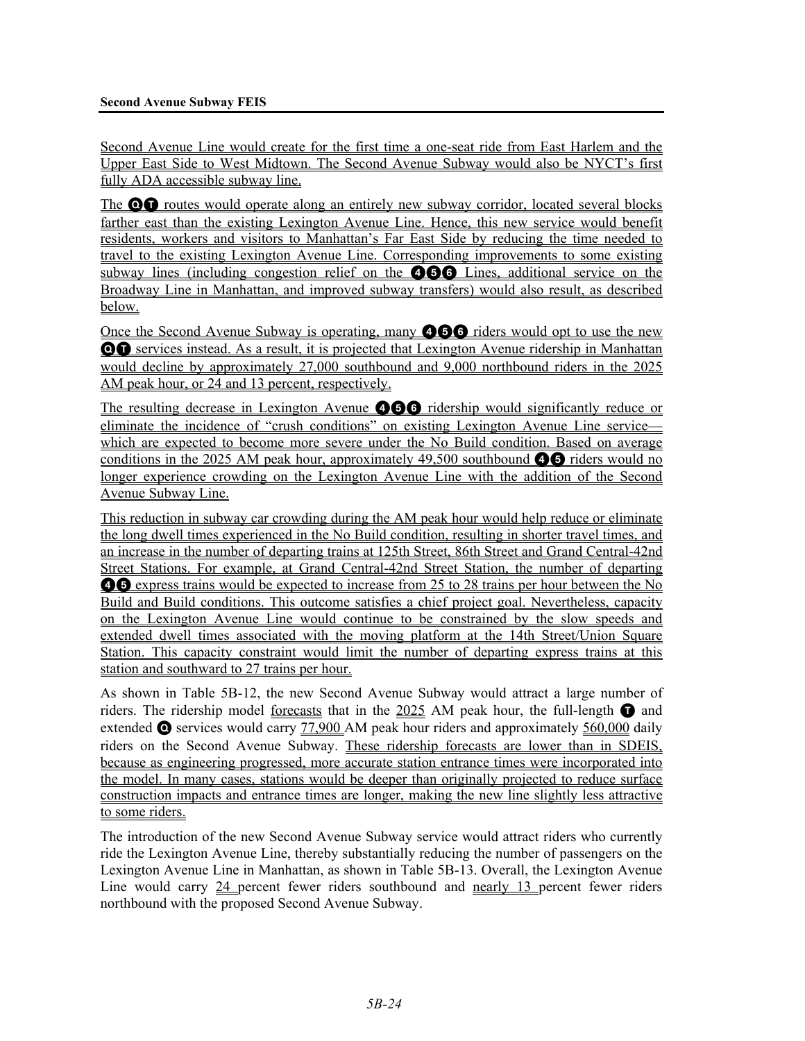Second Avenue Line would create for the first time a one-seat ride from East Harlem and the Upper East Side to West Midtown. The Second Avenue Subway would also be NYCT's first fully ADA accessible subway line.

The **OD** routes would operate along an entirely new subway corridor, located several blocks farther east than the existing Lexington Avenue Line. Hence, this new service would benefit residents, workers and visitors to Manhattan's Far East Side by reducing the time needed to travel to the existing Lexington Avenue Line. Corresponding improvements to some existing subway lines (including congestion relief on the 466 Lines, additional service on the Broadway Line in Manhattan, and improved subway transfers) would also result, as described below.

Once the Second Avenue Subway is operating, many **466** riders would opt to use the new QT services instead. As a result, it is projected that Lexington Avenue ridership in Manhattan would decline by approximately 27,000 southbound and 9,000 northbound riders in the 2025 AM peak hour, or 24 and 13 percent, respectively.

The resulting decrease in Lexington Avenue **456** ridership would significantly reduce or eliminate the incidence of "crush conditions" on existing Lexington Avenue Line service which are expected to become more severe under the No Build condition. Based on average conditions in the 2025 AM peak hour, approximately  $49,500$  southbound  $\bullet$  riders would no longer experience crowding on the Lexington Avenue Line with the addition of the Second Avenue Subway Line.

This reduction in subway car crowding during the AM peak hour would help reduce or eliminate the long dwell times experienced in the No Build condition, resulting in shorter travel times, and an increase in the number of departing trains at 125th Street, 86th Street and Grand Central-42nd Street Stations. For example, at Grand Central-42nd Street Station, the number of departing **46** express trains would be expected to increase from 25 to 28 trains per hour between the No Build and Build conditions. This outcome satisfies a chief project goal. Nevertheless, capacity on the Lexington Avenue Line would continue to be constrained by the slow speeds and extended dwell times associated with the moving platform at the 14th Street/Union Square Station. This capacity constraint would limit the number of departing express trains at this station and southward to 27 trains per hour.

As shown in Table 5B-12, the new Second Avenue Subway would attract a large number of riders. The ridership model forecasts that in the 2025 AM peak hour, the full-length  $\bullet$  and extended  $\bullet$  services would carry 77,900 AM peak hour riders and approximately 560,000 daily riders on the Second Avenue Subway. These ridership forecasts are lower than in SDEIS, because as engineering progressed, more accurate station entrance times were incorporated into the model. In many cases, stations would be deeper than originally projected to reduce surface construction impacts and entrance times are longer, making the new line slightly less attractive to some riders.

The introduction of the new Second Avenue Subway service would attract riders who currently ride the Lexington Avenue Line, thereby substantially reducing the number of passengers on the Lexington Avenue Line in Manhattan, as shown in Table 5B-13. Overall, the Lexington Avenue Line would carry 24 percent fewer riders southbound and nearly 13 percent fewer riders northbound with the proposed Second Avenue Subway.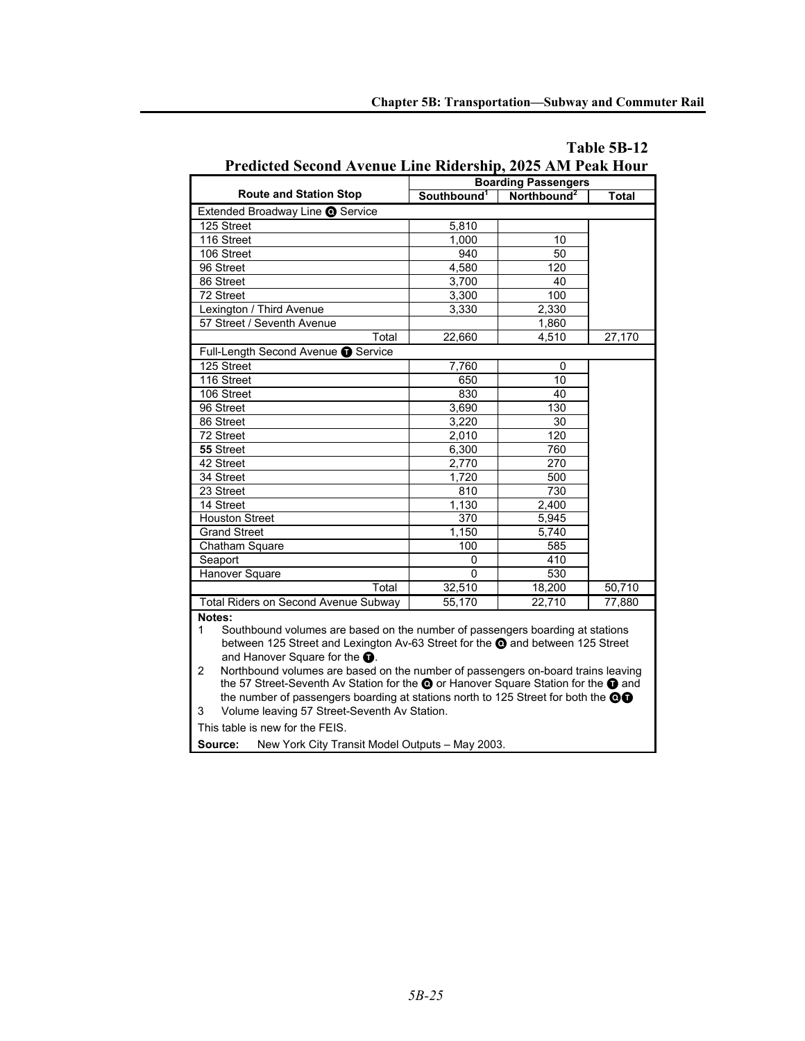|                                                                                                                                                                                                                                                                                                                                      | <b>Boarding Passengers</b> |                         |              |  |  |  |  |  |  |  |
|--------------------------------------------------------------------------------------------------------------------------------------------------------------------------------------------------------------------------------------------------------------------------------------------------------------------------------------|----------------------------|-------------------------|--------------|--|--|--|--|--|--|--|
| <b>Route and Station Stop</b>                                                                                                                                                                                                                                                                                                        | Southbound <sup>1</sup>    | Northbound <sup>2</sup> | <b>Total</b> |  |  |  |  |  |  |  |
| Extended Broadway Line @ Service                                                                                                                                                                                                                                                                                                     |                            |                         |              |  |  |  |  |  |  |  |
| 125 Street                                                                                                                                                                                                                                                                                                                           | 5,810                      |                         |              |  |  |  |  |  |  |  |
| 116 Street                                                                                                                                                                                                                                                                                                                           | 1,000                      | 10                      |              |  |  |  |  |  |  |  |
| 106 Street                                                                                                                                                                                                                                                                                                                           | 940                        | 50                      |              |  |  |  |  |  |  |  |
| 96 Street                                                                                                                                                                                                                                                                                                                            | 4,580                      | 120                     |              |  |  |  |  |  |  |  |
| 86 Street                                                                                                                                                                                                                                                                                                                            | 3,700                      | 40                      |              |  |  |  |  |  |  |  |
| 72 Street                                                                                                                                                                                                                                                                                                                            | 3,300                      | 100                     |              |  |  |  |  |  |  |  |
| Lexington / Third Avenue                                                                                                                                                                                                                                                                                                             | 3,330                      | 2,330                   |              |  |  |  |  |  |  |  |
| 57 Street / Seventh Avenue                                                                                                                                                                                                                                                                                                           |                            | 1,860                   |              |  |  |  |  |  |  |  |
| Total                                                                                                                                                                                                                                                                                                                                | 22,660                     | 4,510                   | 27,170       |  |  |  |  |  |  |  |
| Full-Length Second Avenue Co Service                                                                                                                                                                                                                                                                                                 |                            |                         |              |  |  |  |  |  |  |  |
| 125 Street                                                                                                                                                                                                                                                                                                                           | 7,760                      | 0                       |              |  |  |  |  |  |  |  |
| 116 Street                                                                                                                                                                                                                                                                                                                           | 650                        | 10                      |              |  |  |  |  |  |  |  |
| 106 Street                                                                                                                                                                                                                                                                                                                           | 830                        | 40                      |              |  |  |  |  |  |  |  |
| 96 Street                                                                                                                                                                                                                                                                                                                            | 3,690                      | 130                     |              |  |  |  |  |  |  |  |
| 86 Street                                                                                                                                                                                                                                                                                                                            | 3,220                      | 30                      |              |  |  |  |  |  |  |  |
| 72 Street                                                                                                                                                                                                                                                                                                                            | 2,010                      | 120                     |              |  |  |  |  |  |  |  |
| 55 Street                                                                                                                                                                                                                                                                                                                            | 6,300                      | 760                     |              |  |  |  |  |  |  |  |
| 42 Street                                                                                                                                                                                                                                                                                                                            | 2,770                      | 270                     |              |  |  |  |  |  |  |  |
| 34 Street                                                                                                                                                                                                                                                                                                                            | 1,720                      | 500                     |              |  |  |  |  |  |  |  |
| 23 Street                                                                                                                                                                                                                                                                                                                            | 810                        | 730                     |              |  |  |  |  |  |  |  |
| 14 Street                                                                                                                                                                                                                                                                                                                            | 1,130                      | 2,400                   |              |  |  |  |  |  |  |  |
| <b>Houston Street</b>                                                                                                                                                                                                                                                                                                                | $\overline{370}$           | 5,945                   |              |  |  |  |  |  |  |  |
| <b>Grand Street</b>                                                                                                                                                                                                                                                                                                                  | 1.150                      | 5.740                   |              |  |  |  |  |  |  |  |
| Chatham Square                                                                                                                                                                                                                                                                                                                       | 100                        | 585                     |              |  |  |  |  |  |  |  |
| Seaport                                                                                                                                                                                                                                                                                                                              | 0                          | 410                     |              |  |  |  |  |  |  |  |
| Hanover Square                                                                                                                                                                                                                                                                                                                       | O                          | 530                     |              |  |  |  |  |  |  |  |
| Total                                                                                                                                                                                                                                                                                                                                | 32,510                     | 18,200                  | 50,710       |  |  |  |  |  |  |  |
| Total Riders on Second Avenue Subway                                                                                                                                                                                                                                                                                                 | 55,170                     | 22,710                  | 77,880       |  |  |  |  |  |  |  |
| Notes:<br>Southbound volumes are based on the number of passengers boarding at stations<br>1<br>between 125 Street and Lexington Av-63 Street for the @ and between 125 Street<br>and Hanover Square for the <b>O</b> .<br>Northbound volumes are based on the number of passengers on-board trains leaving<br>$\mathbf{2}^{\prime}$ |                            |                         |              |  |  |  |  |  |  |  |
| the 57 Street-Seventh Av Station for the @ or Hanover Square Station for the @ and<br>the number of passengers boarding at stations north to 125 Street for both the OO<br>Volume leaving 57 Street-Seventh Av Station.<br>3<br>This table is new for the FEIS.                                                                      |                            |                         |              |  |  |  |  |  |  |  |
| Source:<br>New York City Transit Model Outputs - May 2003.                                                                                                                                                                                                                                                                           |                            |                         |              |  |  |  |  |  |  |  |

# **Table 5B-12 Predicted Second Avenue Line Ridership, 2025 AM Peak Hour**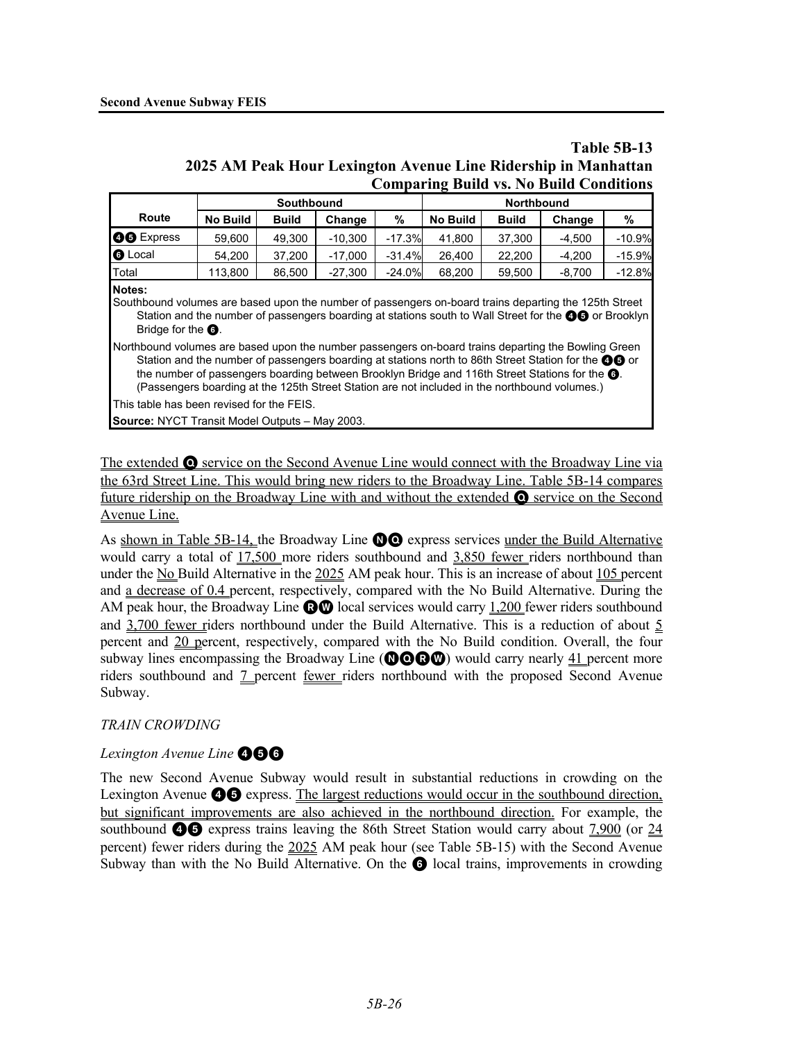# **Table 5B-13 2025 AM Peak Hour Lexington Avenue Line Ridership in Manhattan Comparing Build vs. No Build Conditions**

|                                                                                                                                                                                                                                                                                                                                                                                                                               |                                                | Southbound                                            |           |          |          | <b>Northbound</b> |          |          |  |  |  |  |
|-------------------------------------------------------------------------------------------------------------------------------------------------------------------------------------------------------------------------------------------------------------------------------------------------------------------------------------------------------------------------------------------------------------------------------|------------------------------------------------|-------------------------------------------------------|-----------|----------|----------|-------------------|----------|----------|--|--|--|--|
| Route                                                                                                                                                                                                                                                                                                                                                                                                                         | <b>No Build</b><br><b>Build</b><br>%<br>Change |                                                       |           |          | No Build | <b>Build</b>      | Change   | ℅        |  |  |  |  |
| <b>OO</b> Express                                                                                                                                                                                                                                                                                                                                                                                                             | 59.600                                         | 49.300                                                | $-10.300$ | $-17.3%$ | 41,800   | 37,300            | $-4.500$ | $-10.9%$ |  |  |  |  |
| <b>6</b> Local                                                                                                                                                                                                                                                                                                                                                                                                                | 54.200                                         | 37,200                                                | $-17,000$ | $-31.4%$ | 26,400   | 22,200            | $-4,200$ | $-15.9%$ |  |  |  |  |
| Total                                                                                                                                                                                                                                                                                                                                                                                                                         | 113,800                                        | 86,500                                                | $-27,300$ | $-24.0%$ | 68,200   | 59,500            | $-8,700$ | $-12.8%$ |  |  |  |  |
| Notes:<br>Southbound volumes are based upon the number of passengers on-board trains departing the 125th Street<br>Station and the number of passengers boarding at stations south to Wall Street for the <b>@@</b> or Brooklyn<br>Bridge for the <b>O</b> .                                                                                                                                                                  |                                                |                                                       |           |          |          |                   |          |          |  |  |  |  |
| Northbound volumes are based upon the number passengers on-board trains departing the Bowling Green<br>Station and the number of passengers boarding at stations north to 86th Street Station for the <b>OO</b> or<br>the number of passengers boarding between Brooklyn Bridge and 116th Street Stations for the <b>O</b> .<br>(Passengers boarding at the 125th Street Station are not included in the northbound volumes.) |                                                |                                                       |           |          |          |                   |          |          |  |  |  |  |
| This table has been revised for the FEIS.                                                                                                                                                                                                                                                                                                                                                                                     |                                                |                                                       |           |          |          |                   |          |          |  |  |  |  |
|                                                                                                                                                                                                                                                                                                                                                                                                                               |                                                | <b>Source: NYCT Transit Model Outputs - May 2003.</b> |           |          |          |                   |          |          |  |  |  |  |

The extended  $\bullet$  service on the Second Avenue Line would connect with the Broadway Line via the 63rd Street Line. This would bring new riders to the Broadway Line. Table 5B-14 compares future ridership on the Broadway Line with and without the extended Q service on the Second Avenue Line.

As shown in Table 5B-14, the Broadway Line  $\mathbf{O}$  express services under the Build Alternative would carry a total of 17,500 more riders southbound and 3,850 fewer riders northbound than under the No Build Alternative in the 2025 AM peak hour. This is an increase of about 105 percent and a decrease of 0.4 percent, respectively, compared with the No Build Alternative. During the AM peak hour, the Broadway Line  $\odot$  local services would carry 1,200 fewer riders southbound and  $3,700$  fewer riders northbound under the Build Alternative. This is a reduction of about  $5$ percent and 20 percent, respectively, compared with the No Build condition. Overall, the four subway lines encompassing the Broadway Line ( $\mathbf{OOO}$ ) would carry nearly 41 percent more riders southbound and 7 percent fewer riders northbound with the proposed Second Avenue Subway.

# *TRAIN CROWDING*

# **Lexington Avenue Line <b>466**

The new Second Avenue Subway would result in substantial reductions in crowding on the Lexington Avenue  $\bullet\bullet$  express. The largest reductions would occur in the southbound direction, but significant improvements are also achieved in the northbound direction. For example, the southbound  $\bullet$   $\bullet$  express trains leaving the 86th Street Station would carry about 7,900 (or 24 percent) fewer riders during the 2025 AM peak hour (see Table 5B-15) with the Second Avenue Subway than with the No Build Alternative. On the **1** local trains, improvements in crowding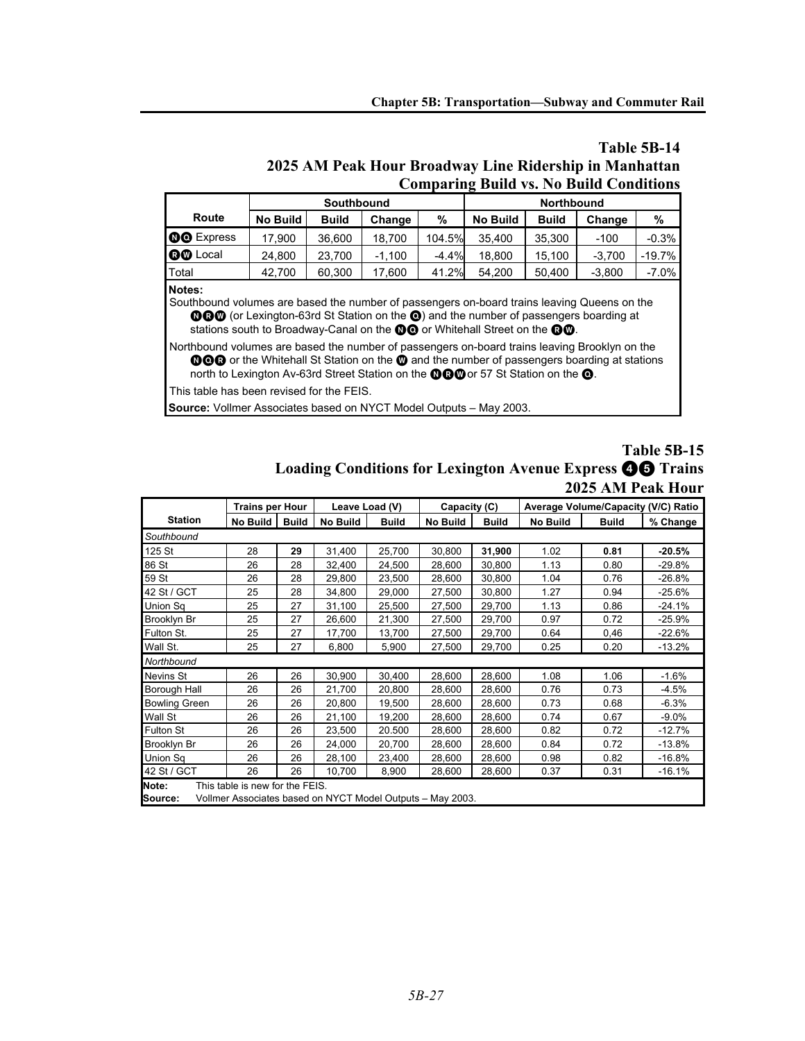# **Table 5B-14 2025 AM Peak Hour Broadway Line Ridership in Manhattan Comparing Build vs. No Build Conditions**

|                 |          | Southbound   |          |         | Northbound      |              |          |          |  |  |  |
|-----------------|----------|--------------|----------|---------|-----------------|--------------|----------|----------|--|--|--|
| Route           | No Build | <b>Build</b> | Change   | %       | <b>No Build</b> | <b>Build</b> | Change   | %        |  |  |  |
| 00 Express      | 17.900   | 36.600       | 18.700   | 104.5%  | 35.400          | 35.300       | $-100$   | $-0.3%$  |  |  |  |
| <b>BO</b> Local | 24.800   | 23.700       | $-1.100$ | $-4.4%$ | 18.800          | 15.100       | $-3.700$ | $-19.7%$ |  |  |  |
| Total           | 42.700   | 60,300       | 17.600   | 41.2%   | 54.200          | 50.400       | $-3.800$ | $-7.0\%$ |  |  |  |

**Notes:**

Southbound volumes are based the number of passengers on-board trains leaving Queens on the **OGO** (or Lexington-63rd St Station on the  $\odot$ ) and the number of passengers boarding at stations south to Broadway-Canal on the **OO** or Whitehall Street on the **OO**.

Northbound volumes are based the number of passengers on-board trains leaving Brooklyn on the NQR or the Whitehall St Station on the W and the number of passengers boarding at stations north to Lexington Av-63rd Street Station on the **OCO** or 57 St Station on the **O**.

This table has been revised for the FEIS.

**Source:** Vollmer Associates based on NYCT Model Outputs – May 2003.

# **Table 5B-15 Loading Conditions for Lexington Avenue Express** 45 **Trains 2025 AM Peak Hour**

|                      | <b>Trains per Hour</b>          |              | Leave Load (V) |              | Capacity (C)                                               |              |          | Average Volume/Capacity (V/C) Ratio |          |
|----------------------|---------------------------------|--------------|----------------|--------------|------------------------------------------------------------|--------------|----------|-------------------------------------|----------|
| <b>Station</b>       | No Build                        | <b>Build</b> | No Build       | <b>Build</b> | <b>No Build</b>                                            | <b>Build</b> | No Build | <b>Build</b>                        | % Change |
| Southbound           |                                 |              |                |              |                                                            |              |          |                                     |          |
| 125 St               | 28                              | 29           | 31,400         | 25,700       | 30,800                                                     | 31,900       | 1.02     | 0.81                                | $-20.5%$ |
| 86 St                | 26                              | 28           | 32,400         | 24,500       | 28,600                                                     | 30,800       | 1.13     | 0.80                                | $-29.8%$ |
| 59 St                | 26                              | 28           | 29,800         | 23,500       | 28,600                                                     | 30,800       | 1.04     | 0.76                                | $-26.8%$ |
| 42 St / GCT          | 25                              | 28           | 34,800         | 29,000       | 27,500                                                     | 30,800       | 1.27     | 0.94                                | $-25.6%$ |
| Union Sq             | 25                              | 27           | 31,100         | 25,500       | 27,500                                                     | 29,700       | 1.13     | 0.86                                | $-24.1%$ |
| Brooklyn Br          | 25                              | 27           | 26,600         | 21,300       | 27,500                                                     | 29,700       | 0.97     | 0.72                                | $-25.9%$ |
| Fulton St.           | 25                              | 27           | 17,700         | 13,700       | 27,500                                                     | 29,700       | 0.64     | 0,46                                | $-22.6%$ |
| Wall St.             | 25                              | 27           | 6,800          | 5,900        | 27,500                                                     | 29,700       | 0.25     | 0.20                                | $-13.2%$ |
| Northbound           |                                 |              |                |              |                                                            |              |          |                                     |          |
| Nevins St            | 26                              | 26           | 30,900         | 30,400       | 28,600                                                     | 28,600       | 1.08     | 1.06                                | $-1.6%$  |
| Borough Hall         | 26                              | 26           | 21,700         | 20,800       | 28,600                                                     | 28,600       | 0.76     | 0.73                                | $-4.5%$  |
| <b>Bowling Green</b> | 26                              | 26           | 20,800         | 19,500       | 28,600                                                     | 28,600       | 0.73     | 0.68                                | $-6.3%$  |
| Wall St              | 26                              | 26           | 21,100         | 19,200       | 28,600                                                     | 28,600       | 0.74     | 0.67                                | $-9.0\%$ |
| Fulton St            | 26                              | 26           | 23,500         | 20.500       | 28,600                                                     | 28,600       | 0.82     | 0.72                                | $-12.7%$ |
| Brooklyn Br          | 26                              | 26           | 24,000         | 20,700       | 28,600                                                     | 28,600       | 0.84     | 0.72                                | $-13.8%$ |
| Union Sq             | 26                              | 26           | 28,100         | 23,400       | 28,600                                                     | 28,600       | 0.98     | 0.82                                | $-16.8%$ |
| 42 St / GCT          | 26                              | 26           | 10,700         | 8,900        | 28,600                                                     | 28,600       | 0.37     | 0.31                                | $-16.1%$ |
| Note:                | This table is new for the FEIS. |              |                |              |                                                            |              |          |                                     |          |
| Source:              |                                 |              |                |              | Vollmer Associates based on NYCT Model Outputs - May 2003. |              |          |                                     |          |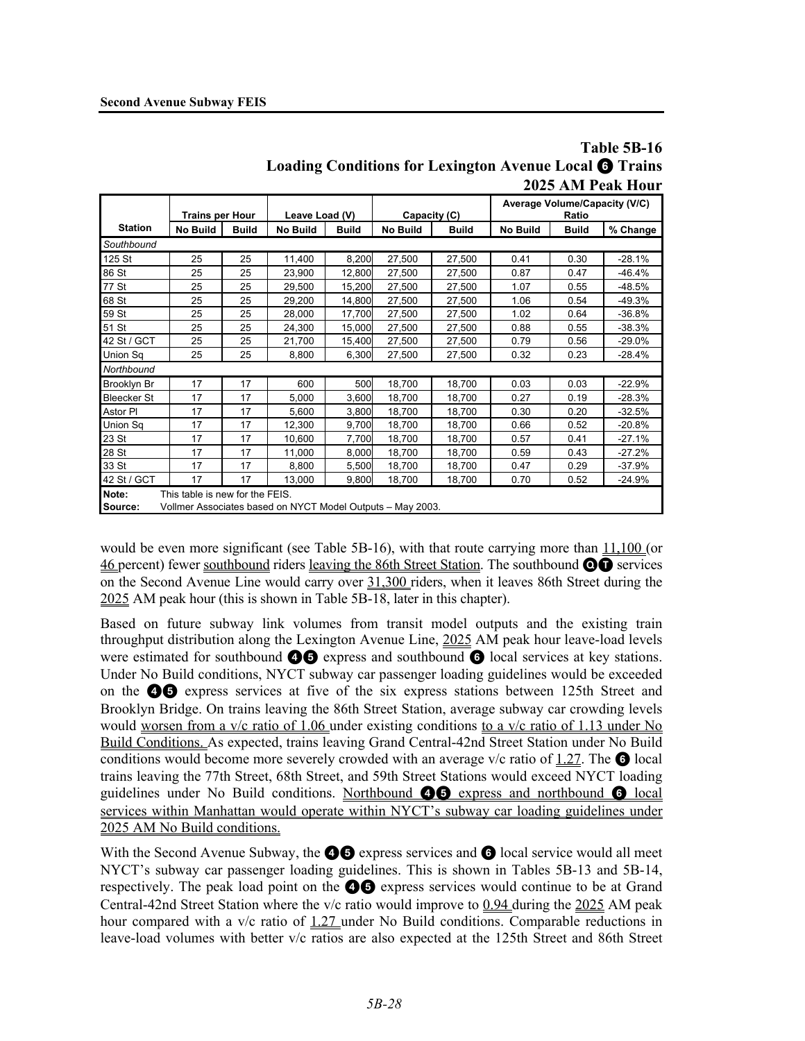|                    |                                 |              |                                                            |        |                          |        |                 |       | Loading Conditions for Lexington Avenue Local @ Trains                                                                                                                                                                                                          |  |
|--------------------|---------------------------------|--------------|------------------------------------------------------------|--------|--------------------------|--------|-----------------|-------|-----------------------------------------------------------------------------------------------------------------------------------------------------------------------------------------------------------------------------------------------------------------|--|
|                    |                                 |              |                                                            |        |                          |        |                 |       | 2025 AM Peak Hour                                                                                                                                                                                                                                               |  |
|                    | <b>Trains per Hour</b>          |              | Leave Load (V)                                             |        | Capacity (C)             |        |                 | Ratio | Average Volume/Capacity (V/C)<br>% Change<br><b>Build</b><br>$-28.1%$<br>0.30<br>0.47<br>-46.4%<br>0.55<br>$-48.5%$<br>$-49.3%$<br>0.54<br>$-36.8%$<br>0.64<br>$-38.3%$<br>0.55<br>0.56<br>$-29.0%$<br>$-28.4%$<br>0.23<br>0.03<br>$-22.9%$<br>0.19<br>$-28.3%$ |  |
| <b>Station</b>     | <b>No Build</b>                 | <b>Build</b> | No Build<br><b>Build</b>                                   |        | No Build<br><b>Build</b> |        | <b>No Build</b> |       |                                                                                                                                                                                                                                                                 |  |
| Southbound         |                                 |              |                                                            |        |                          |        |                 |       |                                                                                                                                                                                                                                                                 |  |
| 125 St             | 25                              | 25           | 11,400                                                     | 8,200  | 27,500                   | 27,500 | 0.41            |       |                                                                                                                                                                                                                                                                 |  |
| 86 St              | 25                              | 25           | 23,900                                                     | 12,800 | 27,500                   | 27,500 | 0.87            |       |                                                                                                                                                                                                                                                                 |  |
| 77 St              | 25                              | 25           | 29.500                                                     | 15,200 | 27,500                   | 27,500 | 1.07            |       |                                                                                                                                                                                                                                                                 |  |
| 68 St              | 25                              | 25           | 29,200                                                     | 14,800 | 27,500                   | 27,500 | 1.06            |       |                                                                                                                                                                                                                                                                 |  |
| 59 St              | 25                              | 25           | 28,000                                                     | 17,700 | 27,500                   | 27,500 | 1.02            |       |                                                                                                                                                                                                                                                                 |  |
| 51 St              | 25                              | 25           | 24,300                                                     | 15,000 | 27,500                   | 27,500 | 0.88            |       |                                                                                                                                                                                                                                                                 |  |
| 42 St / GCT        | 25                              | 25           | 21,700                                                     | 15,400 | 27,500                   | 27,500 | 0.79            |       |                                                                                                                                                                                                                                                                 |  |
| <b>Union Sq</b>    | 25                              | 25           | 8,800                                                      | 6,300  | 27,500                   | 27,500 | 0.32            |       |                                                                                                                                                                                                                                                                 |  |
| Northbound         |                                 |              |                                                            |        |                          |        |                 |       |                                                                                                                                                                                                                                                                 |  |
| <b>Brooklyn Br</b> | 17                              | 17           | 600                                                        | 500    | 18,700                   | 18,700 | 0.03            |       |                                                                                                                                                                                                                                                                 |  |
| <b>Bleecker St</b> | 17                              | 17           | 5,000                                                      | 3,600  | 18,700                   | 18,700 | 0.27            |       |                                                                                                                                                                                                                                                                 |  |
| Astor PI           | 17                              | 17           | 5,600                                                      | 3,800  | 18,700                   | 18,700 | 0.30            | 0.20  | $-32.5%$                                                                                                                                                                                                                                                        |  |
| Union Sq           | 17                              | 17           | 12,300                                                     | 9,700  | 18,700                   | 18,700 | 0.66            | 0.52  | $-20.8%$                                                                                                                                                                                                                                                        |  |
| 23 St              | 17                              | 17           | 10.600                                                     | 7,700  | 18,700                   | 18,700 | 0.57            | 0.41  | $-27.1%$                                                                                                                                                                                                                                                        |  |
| 28 St              | 17                              | 17           | 11,000                                                     | 8,000  | 18,700                   | 18,700 | 0.59            | 0.43  | $-27.2%$                                                                                                                                                                                                                                                        |  |
| 33 St              | 17                              | 17           | 8.800                                                      | 5,500  | 18,700                   | 18,700 | 0.47            | 0.29  | $-37.9%$                                                                                                                                                                                                                                                        |  |
| 42 St / GCT        | 17                              | 17           | 13.000                                                     | 9.800  | 18,700                   | 18.700 | 0.70            | 0.52  | $-24.9%$                                                                                                                                                                                                                                                        |  |
| Note:              | This table is new for the FEIS. |              |                                                            |        |                          |        |                 |       |                                                                                                                                                                                                                                                                 |  |
| Source:            |                                 |              | Vollmer Associates based on NYCT Model Outputs - May 2003. |        |                          |        |                 |       |                                                                                                                                                                                                                                                                 |  |

# **Table 5B-16 Loading Conditions for Lexington Avenue Local** 6 **Trains**

would be even more significant (see Table 5B-16), with that route carrying more than 11,100 (or 46 percent) fewer southbound riders leaving the 86th Street Station. The southbound  $\odot$  services on the Second Avenue Line would carry over 31,300 riders, when it leaves 86th Street during the 2025 AM peak hour (this is shown in Table 5B-18, later in this chapter).

Based on future subway link volumes from transit model outputs and the existing train throughput distribution along the Lexington Avenue Line, 2025 AM peak hour leave-load levels were estimated for southbound  $\bigcirc$  express and southbound  $\bigcirc$  local services at key stations. Under No Build conditions, NYCT subway car passenger loading guidelines would be exceeded on the 45 express services at five of the six express stations between 125th Street and Brooklyn Bridge. On trains leaving the 86th Street Station, average subway car crowding levels would worsen from a v/c ratio of 1.06 under existing conditions to a v/c ratio of 1.13 under No Build Conditions. As expected, trains leaving Grand Central-42nd Street Station under No Build conditions would become more severely crowded with an average v/c ratio of  $1.27$ . The  $\odot$  local trains leaving the 77th Street, 68th Street, and 59th Street Stations would exceed NYCT loading guidelines under No Build conditions. Northbound  $\bullet$  express and northbound  $\bullet$  local services within Manhattan would operate within NYCT's subway car loading guidelines under 2025 AM No Build conditions.

With the Second Avenue Subway, the  $\bigcirc$  express services and  $\bigcirc$  local service would all meet NYCT's subway car passenger loading guidelines. This is shown in Tables 5B-13 and 5B-14, respectively. The peak load point on the  $\bigcirc$  express services would continue to be at Grand Central-42nd Street Station where the v/c ratio would improve to 0.94 during the 2025 AM peak hour compared with a v/c ratio of 1.27 under No Build conditions. Comparable reductions in leave-load volumes with better v/c ratios are also expected at the 125th Street and 86th Street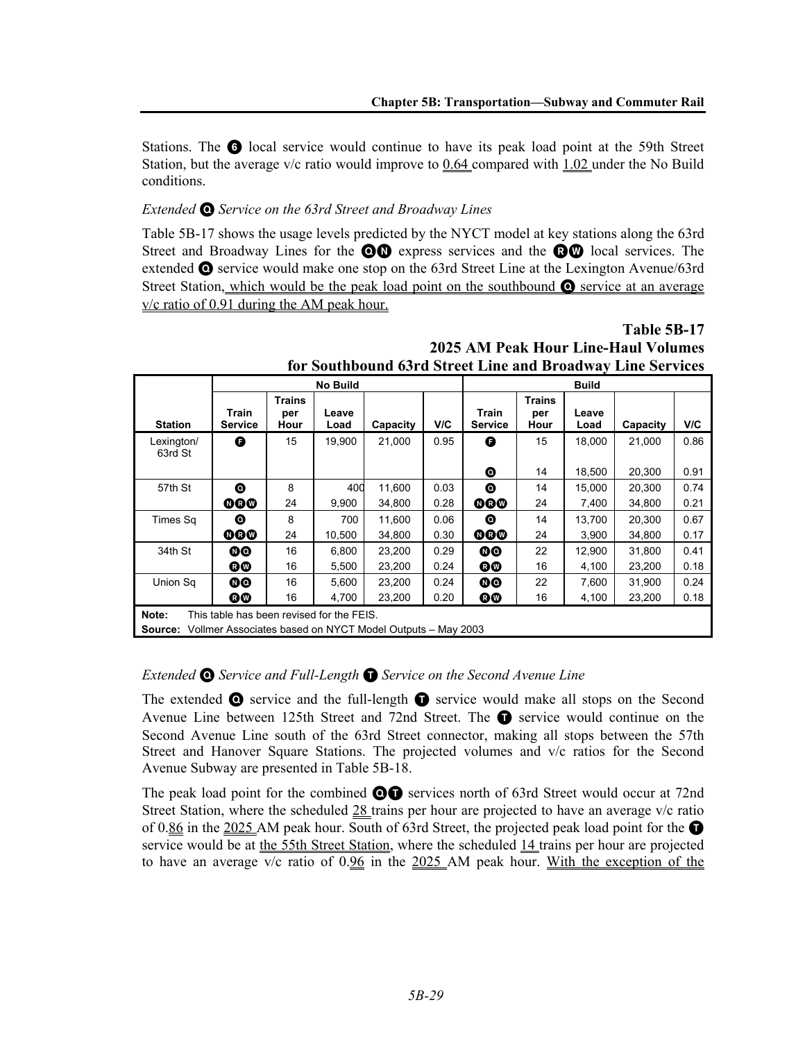Stations. The **6** local service would continue to have its peak load point at the 59th Street Station, but the average v/c ratio would improve to  $0.64$  compared with  $1.02$  under the No Build conditions.

# *Extended* Q *Service on the 63rd Street and Broadway Lines*

Table 5B-17 shows the usage levels predicted by the NYCT model at key stations along the 63rd Street and Broadway Lines for the  $\odot \odot$  express services and the  $\odot \odot$  local services. The extended Q service would make one stop on the 63rd Street Line at the Lexington Avenue/63rd Street Station, which would be the peak load point on the southbound  $\bullet$  service at an average v/c ratio of 0.91 during the AM peak hour.

|                       |                                                                                                        |                              | <b>No Build</b> |          |      |                             |                              | <b>Build</b>  |          |      |  |  |
|-----------------------|--------------------------------------------------------------------------------------------------------|------------------------------|-----------------|----------|------|-----------------------------|------------------------------|---------------|----------|------|--|--|
| <b>Station</b>        | Train<br><b>Service</b>                                                                                | <b>Trains</b><br>per<br>Hour | Leave<br>Load   | Capacity | V/C  | Train<br><b>Service</b>     | <b>Trains</b><br>per<br>Hour | Leave<br>Load | Capacity | V/C  |  |  |
| Lexington/<br>63rd St | G                                                                                                      | 15                           | 19,900          | 21,000   | 0.95 | θ                           | 15                           | 18,000        | 21,000   | 0.86 |  |  |
|                       |                                                                                                        |                              |                 |          |      | ◎                           | 14                           | 18,500        | 20,300   | 0.91 |  |  |
| 57th St               | ◉                                                                                                      | 8                            | 400             | 11,600   | 0.03 | ◎                           | 14                           | 15,000        | 20,300   | 0.74 |  |  |
|                       | 000                                                                                                    | 24                           | 9,900           | 34,800   | 0.28 | $\boldsymbol{\mathsf{oo}}$  | 24                           | 7,400         | 34,800   | 0.21 |  |  |
| Times Sq              | ◎                                                                                                      | 8                            | 700             | 11,600   | 0.06 | ◎                           | 14                           | 13,700        | 20,300   | 0.67 |  |  |
|                       | 000                                                                                                    | 24                           | 10.500          | 34,800   | 0.30 | $\boldsymbol{\circ}$        | 24                           | 3,900         | 34,800   | 0.17 |  |  |
| 34th St               | $\boldsymbol{\circ}$                                                                                   | 16                           | 6,800           | 23,200   | 0.29 | $\boldsymbol{\circ}$        | 22                           | 12,900        | 31,800   | 0.41 |  |  |
|                       | ®®                                                                                                     | 16                           | 5,500           | 23,200   | 0.24 | <b>Q®</b>                   | 16                           | 4,100         | 23,200   | 0.18 |  |  |
| Union Sq              | 00                                                                                                     | 16                           | 5,600           | 23,200   | 0.24 | $\boldsymbol{\circledcirc}$ | 22                           | 7,600         | 31,900   | 0.24 |  |  |
|                       | Q®                                                                                                     | 16                           | 4,700           | 23,200   | 0.20 | 60                          | 16                           | 4,100         | 23,200   | 0.18 |  |  |
| Note:<br>Source:      | This table has been revised for the FEIS.<br>Vollmer Associates based on NYCT Model Outputs - May 2003 |                              |                 |          |      |                             |                              |               |          |      |  |  |

# **Table 5B-17 2025 AM Peak Hour Line-Haul Volumes for Southbound 63rd Street Line and Broadway Line Services**

# *Extended* Q *Service and Full-Length* T *Service on the Second Avenue Line*

The extended  $\bullet$  service and the full-length  $\bullet$  service would make all stops on the Second Avenue Line between 125th Street and 72nd Street. The  $\bullet$  service would continue on the Second Avenue Line south of the 63rd Street connector, making all stops between the 57th Street and Hanover Square Stations. The projected volumes and v/c ratios for the Second Avenue Subway are presented in Table 5B-18.

The peak load point for the combined  $\odot \bullet$  services north of 63rd Street would occur at 72nd Street Station, where the scheduled 28 trains per hour are projected to have an average v/c ratio of 0.86 in the 2025 AM peak hour. South of 63rd Street, the projected peak load point for the  $\bullet$ service would be at the 55th Street Station, where the scheduled 14 trains per hour are projected to have an average v/c ratio of 0.96 in the 2025 AM peak hour. With the exception of the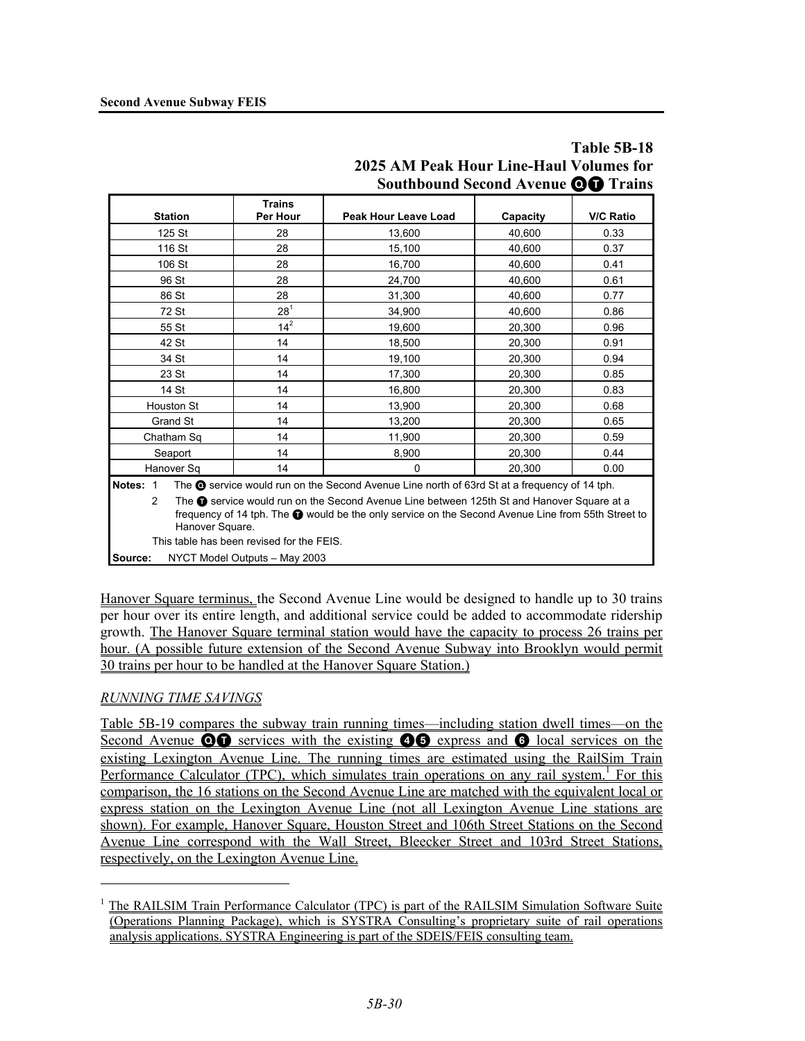|                            |                                           | <b>Southbound Second Avenue OD Trains</b>                                                                                                                                                               |          |                  |
|----------------------------|-------------------------------------------|---------------------------------------------------------------------------------------------------------------------------------------------------------------------------------------------------------|----------|------------------|
| <b>Station</b>             | <b>Trains</b><br>Per Hour                 | Peak Hour Leave Load                                                                                                                                                                                    | Capacity | <b>V/C Ratio</b> |
| 125 St                     | 28                                        | 13,600                                                                                                                                                                                                  | 40.600   | 0.33             |
| 116 St                     | 28                                        | 15,100                                                                                                                                                                                                  | 40.600   | 0.37             |
| 106 St                     | 28                                        | 16,700                                                                                                                                                                                                  | 40.600   | 0.41             |
| 96 St                      | 28                                        | 24,700                                                                                                                                                                                                  | 40,600   | 0.61             |
| 86 St                      | 28                                        | 31,300                                                                                                                                                                                                  | 40,600   | 0.77             |
| 72 St                      | $28^{1}$                                  | 34,900                                                                                                                                                                                                  | 40,600   | 0.86             |
| 55 St                      | $14^{2}$                                  | 19,600                                                                                                                                                                                                  | 20,300   | 0.96             |
| 42 St                      | 14                                        | 18,500                                                                                                                                                                                                  | 20,300   | 0.91             |
| 34 St                      | 14                                        | 19,100                                                                                                                                                                                                  | 20,300   | 0.94             |
| 23 St                      | 14                                        | 17,300                                                                                                                                                                                                  | 20,300   | 0.85             |
| 14 St                      | 14                                        | 16,800                                                                                                                                                                                                  | 20,300   | 0.83             |
| Houston St                 | 14                                        | 13,900                                                                                                                                                                                                  | 20,300   | 0.68             |
| Grand St                   | 14                                        | 13,200                                                                                                                                                                                                  | 20,300   | 0.65             |
| Chatham Sq                 | 14                                        | 11,900                                                                                                                                                                                                  | 20,300   | 0.59             |
| Seaport                    | 14                                        | 8,900                                                                                                                                                                                                   | 20,300   | 0.44             |
| Hanover Sq                 | 14                                        | 0                                                                                                                                                                                                       | 20,300   | 0.00             |
| Notes: 1<br>$\overline{2}$ |                                           | The $\odot$ service would run on the Second Avenue Line north of 63rd St at a frequency of 14 tph.<br>The <b>O</b> service would run on the Second Avenue Line between 125th St and Hanover Square at a |          |                  |
| Hanover Square.            |                                           | frequency of 14 tph. The @ would be the only service on the Second Avenue Line from 55th Street to                                                                                                      |          |                  |
|                            | This table has been revised for the FEIS. |                                                                                                                                                                                                         |          |                  |
| Source:                    | NYCT Model Outputs - May 2003             |                                                                                                                                                                                                         |          |                  |

# **Table 5B-18 2025 AM Peak Hour Line-Haul Volumes for Southbound Second Avenue** QT **Trains**

Hanover Square terminus, the Second Avenue Line would be designed to handle up to 30 trains per hour over its entire length, and additional service could be added to accommodate ridership growth. The Hanover Square terminal station would have the capacity to process 26 trains per hour. (A possible future extension of the Second Avenue Subway into Brooklyn would permit 30 trains per hour to be handled at the Hanover Square Station.)

# *RUNNING TIME SAVINGS*

<u>.</u>

Table 5B-19 compares the subway train running times—including station dwell times—on the Second Avenue  $\odot \odot$  services with the existing  $\odot \odot$  express and  $\odot$  local services on the existing Lexington Avenue Line. The running times are estimated using the RailSim Train Performance Calculator (TPC), which simulates train operations on any rail system.<sup>1</sup> For this comparison, the 16 stations on the Second Avenue Line are matched with the equivalent local or express station on the Lexington Avenue Line (not all Lexington Avenue Line stations are shown). For example, Hanover Square, Houston Street and 106th Street Stations on the Second Avenue Line correspond with the Wall Street, Bleecker Street and 103rd Street Stations, respectively, on the Lexington Avenue Line.

<sup>&</sup>lt;sup>1</sup> The RAILSIM Train Performance Calculator (TPC) is part of the RAILSIM Simulation Software Suite (Operations Planning Package), which is SYSTRA Consulting's proprietary suite of rail operations analysis applications. SYSTRA Engineering is part of the SDEIS/FEIS consulting team.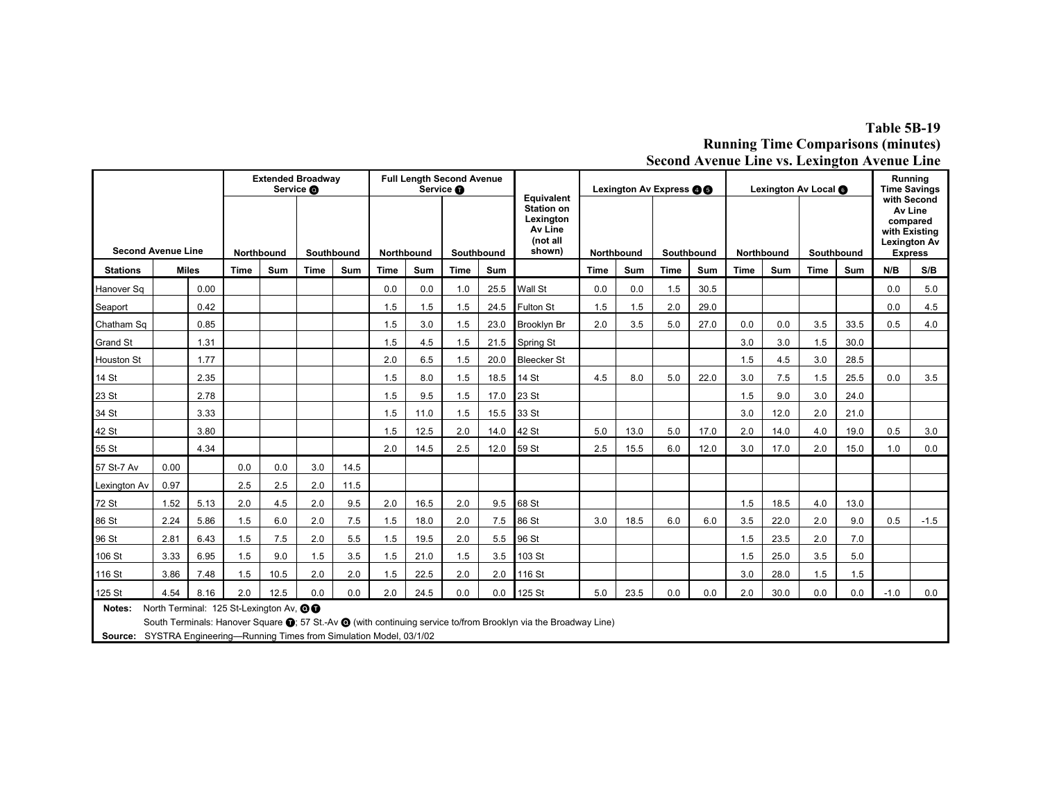# **Table 5B-19 Running Time Comparisons (minutes) Second Avenue Line vs. Lexington Avenue Line**

|                           |                                                                                                                                                                                                                                           |              |             |      | <b>Extended Broadway</b><br>Service @ |      |      | <b>Full Length Second Avenue</b> | Service <b>O</b> |            | Equivalent                                                      | Lexington Av Express <b>@@</b> |            |      |                          | Lexington Av Local @ |      |            | Running<br><b>Time Savings</b><br>with Second |                                                                               |        |
|---------------------------|-------------------------------------------------------------------------------------------------------------------------------------------------------------------------------------------------------------------------------------------|--------------|-------------|------|---------------------------------------|------|------|----------------------------------|------------------|------------|-----------------------------------------------------------------|--------------------------------|------------|------|--------------------------|----------------------|------|------------|-----------------------------------------------|-------------------------------------------------------------------------------|--------|
| <b>Second Avenue Line</b> |                                                                                                                                                                                                                                           |              | Northbound  |      | Southbound                            |      |      | <b>Northbound</b>                |                  | Southbound | <b>Station on</b><br>Lexington<br>Av Line<br>(not all<br>shown) |                                | Northbound |      | Southbound<br>Northbound |                      |      | Southbound |                                               | Av Line<br>compared<br>with Existing<br><b>Lexington Av</b><br><b>Express</b> |        |
| <b>Stations</b>           |                                                                                                                                                                                                                                           | <b>Miles</b> | <b>Time</b> | Sum  | <b>Time</b>                           | Sum  | Time | Sum                              | <b>Time</b>      | Sum        |                                                                 | Sum<br><b>Time</b>             |            | Time | Sum                      | <b>Time</b>          | Sum  | Time       | Sum                                           | N/B                                                                           | S/B    |
| Hanover Sq                |                                                                                                                                                                                                                                           | 0.00         |             |      |                                       |      | 0.0  | 0.0                              | 1.0              | 25.5       | Wall St                                                         | 0.0                            | 0.0        | 1.5  | 30.5                     |                      |      |            |                                               | 0.0                                                                           | 5.0    |
| Seaport                   |                                                                                                                                                                                                                                           | 0.42         |             |      |                                       |      | 1.5  | 1.5                              | 1.5              | 24.5       | Fulton St                                                       | 1.5                            | 1.5        | 2.0  | 29.0                     |                      |      |            |                                               | 0.0                                                                           | 4.5    |
| Chatham Sq                |                                                                                                                                                                                                                                           | 0.85         |             |      |                                       |      | 1.5  | 3.0                              | 1.5              | 23.0       | Brooklyn Br                                                     | 2.0                            | 3.5        | 5.0  | 27.0                     | 0.0                  | 0.0  | 3.5        | 33.5                                          | 0.5                                                                           | 4.0    |
| <b>Grand St</b>           |                                                                                                                                                                                                                                           | 1.31         |             |      |                                       |      | 1.5  | 4.5                              | 1.5              | 21.5       | Spring St                                                       |                                |            |      |                          | 3.0                  | 3.0  | 1.5        | 30.0                                          |                                                                               |        |
| <b>Houston St</b>         |                                                                                                                                                                                                                                           | 1.77         |             |      |                                       |      | 2.0  | 6.5                              | 1.5              | 20.0       | <b>Bleecker St</b>                                              |                                |            |      |                          | 1.5                  | 4.5  | 3.0        | 28.5                                          |                                                                               |        |
| 14 St                     |                                                                                                                                                                                                                                           | 2.35         |             |      |                                       |      | 1.5  | 8.0                              | 1.5              | 18.5       | 14 St                                                           | 4.5                            | 8.0        | 5.0  | 22.0                     | 3.0                  | 7.5  | 1.5        | 25.5                                          | 0.0                                                                           | 3.5    |
| 23 St                     |                                                                                                                                                                                                                                           | 2.78         |             |      |                                       |      | 1.5  | 9.5                              | 1.5              | 17.0       | 23 St                                                           |                                |            |      |                          | 1.5                  | 9.0  | 3.0        | 24.0                                          |                                                                               |        |
| 34 St                     |                                                                                                                                                                                                                                           | 3.33         |             |      |                                       |      | 1.5  | 11.0                             | 1.5              | 15.5       | 33 St                                                           |                                |            |      |                          | 3.0                  | 12.0 | 2.0        | 21.0                                          |                                                                               |        |
| 42 St                     |                                                                                                                                                                                                                                           | 3.80         |             |      |                                       |      | 1.5  | 12.5                             | 2.0              | 14.0       | 42 St                                                           | 5.0                            | 13.0       | 5.0  | 17.0                     | 2.0                  | 14.0 | 4.0        | 19.0                                          | 0.5                                                                           | 3.0    |
| 55 St                     |                                                                                                                                                                                                                                           | 4.34         |             |      |                                       |      | 2.0  | 14.5                             | 2.5              | 12.0       | 59 St                                                           | 2.5                            | 15.5       | 6.0  | 12.0                     | 3.0                  | 17.0 | 2.0        | 15.0                                          | 1.0                                                                           | 0.0    |
| 57 St-7 Av                | 0.00                                                                                                                                                                                                                                      |              | 0.0         | 0.0  | 3.0                                   | 14.5 |      |                                  |                  |            |                                                                 |                                |            |      |                          |                      |      |            |                                               |                                                                               |        |
| Lexington Av              | 0.97                                                                                                                                                                                                                                      |              | 2.5         | 2.5  | 2.0                                   | 11.5 |      |                                  |                  |            |                                                                 |                                |            |      |                          |                      |      |            |                                               |                                                                               |        |
| 72 St                     | 1.52                                                                                                                                                                                                                                      | 5.13         | 2.0         | 4.5  | 2.0                                   | 9.5  | 2.0  | 16.5                             | 2.0              | 9.5        | 68 St                                                           |                                |            |      |                          | 1.5                  | 18.5 | 4.0        | 13.0                                          |                                                                               |        |
| 86 St                     | 2.24                                                                                                                                                                                                                                      | 5.86         | 1.5         | 6.0  | 2.0                                   | 7.5  | 1.5  | 18.0                             | 2.0              | 7.5        | 86 St                                                           | 3.0                            | 18.5       | 6.0  | 6.0                      | 3.5                  | 22.0 | 2.0        | 9.0                                           | 0.5                                                                           | $-1.5$ |
| 96 St                     | 2.81                                                                                                                                                                                                                                      | 6.43         | 1.5         | 7.5  | 2.0                                   | 5.5  | 1.5  | 19.5                             | 2.0              | 5.5        | 96 St                                                           |                                |            |      |                          | 1.5                  | 23.5 | 2.0        | 7.0                                           |                                                                               |        |
| 106 St                    | 3.33                                                                                                                                                                                                                                      | 6.95         | 1.5         | 9.0  | 1.5                                   | 3.5  | 1.5  | 21.0                             | 1.5              | 3.5        | 103 St                                                          |                                |            |      |                          | 1.5                  | 25.0 | 3.5        | 5.0                                           |                                                                               |        |
| 116 St                    | 3.86                                                                                                                                                                                                                                      | 7.48         | 1.5         | 10.5 | 2.0                                   | 2.0  | 1.5  | 22.5                             | 2.0              | 2.0        | 116 St                                                          |                                |            |      |                          | 3.0                  | 28.0 | 1.5        | 1.5                                           |                                                                               |        |
| 125 St                    | 4.54                                                                                                                                                                                                                                      | 8.16         | 2.0         | 12.5 | 0.0                                   | 0.0  | 2.0  | 24.5                             | 0.0              | 0.0        | 125 St                                                          | 5.0                            | 23.5       | 0.0  | 0.0                      | 2.0                  | 30.0 | 0.0        | 0.0                                           | $-1.0$                                                                        | 0.0    |
| Notes:                    | North Terminal: 125 St-Lexington Av, OO<br>South Terminals: Hanover Square (1; 57 St.-Av @ (with continuing service to/from Brooklyn via the Broadway Line)<br>Source: SYSTRA Engineering--- Running Times from Simulation Model, 03/1/02 |              |             |      |                                       |      |      |                                  |                  |            |                                                                 |                                |            |      |                          |                      |      |            |                                               |                                                                               |        |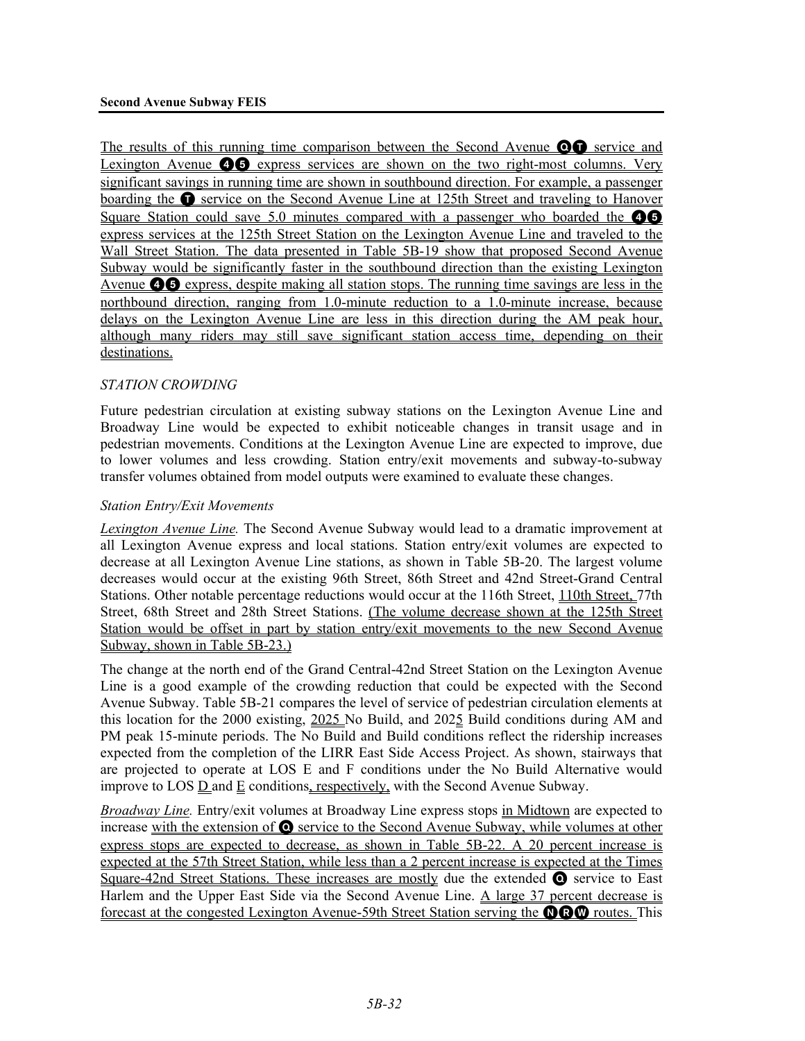The results of this running time comparison between the Second Avenue **OT** service and Lexington Avenue **46** express services are shown on the two right-most columns. Very significant savings in running time are shown in southbound direction. For example, a passenger boarding the **O** service on the Second Avenue Line at 125th Street and traveling to Hanover Square Station could save 5.0 minutes compared with a passenger who boarded the  $\bullet$ express services at the 125th Street Station on the Lexington Avenue Line and traveled to the Wall Street Station. The data presented in Table 5B-19 show that proposed Second Avenue Subway would be significantly faster in the southbound direction than the existing Lexington Avenue  $\bullet$   $\bullet$  express, despite making all station stops. The running time savings are less in the northbound direction, ranging from 1.0-minute reduction to a 1.0-minute increase, because delays on the Lexington Avenue Line are less in this direction during the AM peak hour, although many riders may still save significant station access time, depending on their destinations.

# *STATION CROWDING*

Future pedestrian circulation at existing subway stations on the Lexington Avenue Line and Broadway Line would be expected to exhibit noticeable changes in transit usage and in pedestrian movements. Conditions at the Lexington Avenue Line are expected to improve, due to lower volumes and less crowding. Station entry/exit movements and subway-to-subway transfer volumes obtained from model outputs were examined to evaluate these changes.

### *Station Entry/Exit Movements*

*Lexington Avenue Line.* The Second Avenue Subway would lead to a dramatic improvement at all Lexington Avenue express and local stations. Station entry/exit volumes are expected to decrease at all Lexington Avenue Line stations, as shown in Table 5B-20. The largest volume decreases would occur at the existing 96th Street, 86th Street and 42nd Street-Grand Central Stations. Other notable percentage reductions would occur at the 116th Street, 110th Street, 77th Street, 68th Street and 28th Street Stations. (The volume decrease shown at the 125th Street Station would be offset in part by station entry/exit movements to the new Second Avenue Subway, shown in Table 5B-23.)

The change at the north end of the Grand Central-42nd Street Station on the Lexington Avenue Line is a good example of the crowding reduction that could be expected with the Second Avenue Subway. Table 5B-21 compares the level of service of pedestrian circulation elements at this location for the 2000 existing, 2025 No Build, and 2025 Build conditions during AM and PM peak 15-minute periods. The No Build and Build conditions reflect the ridership increases expected from the completion of the LIRR East Side Access Project. As shown, stairways that are projected to operate at LOS E and F conditions under the No Build Alternative would improve to LOS  $\underline{D}$  and  $\underline{E}$  conditions, respectively, with the Second Avenue Subway.

*Broadway Line.* Entry/exit volumes at Broadway Line express stops in Midtown are expected to increase with the extension of  $\odot$  service to the Second Avenue Subway, while volumes at other express stops are expected to decrease, as shown in Table 5B-22. A 20 percent increase is expected at the 57th Street Station, while less than a 2 percent increase is expected at the Times Square-42nd Street Stations. These increases are mostly due the extended  $\bullet$  service to East Harlem and the Upper East Side via the Second Avenue Line. A large 37 percent decrease is forecast at the congested Lexington Avenue-59th Street Station serving the **OCO** routes. This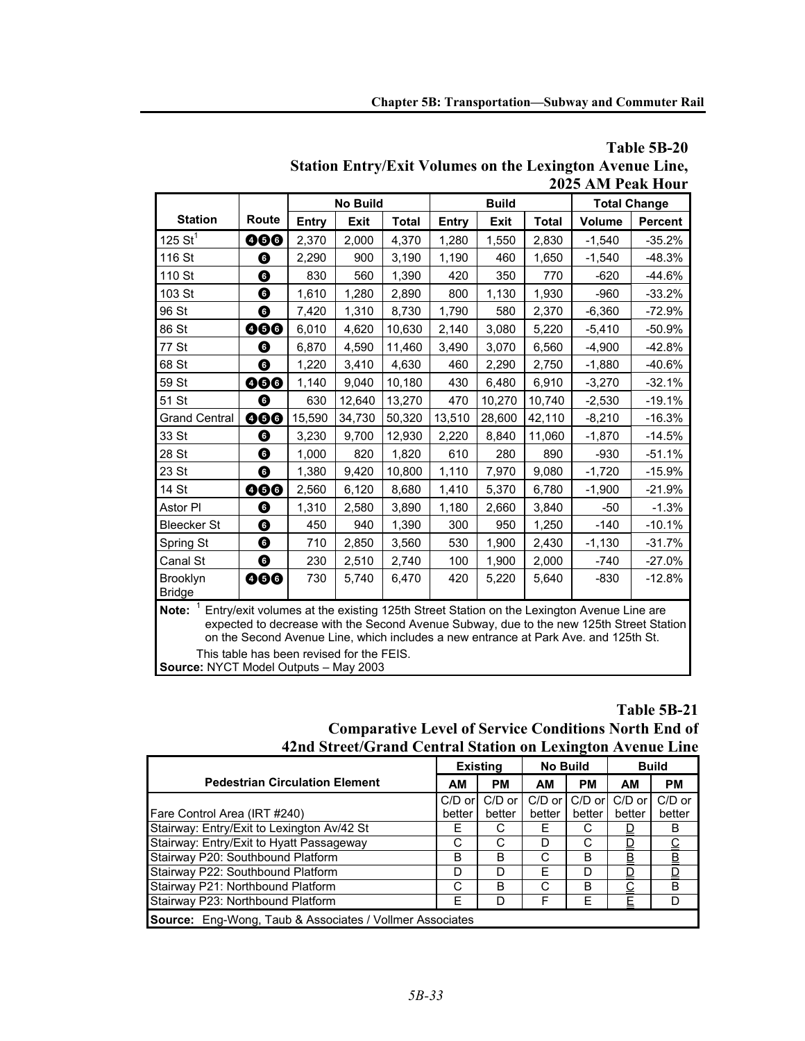|                                                                                                                                                                                                                                                                                                                                      |       |        | <b>No Build</b> |              |        | <b>Build</b> |              |               | <b>Total Change</b> |  |  |
|--------------------------------------------------------------------------------------------------------------------------------------------------------------------------------------------------------------------------------------------------------------------------------------------------------------------------------------|-------|--------|-----------------|--------------|--------|--------------|--------------|---------------|---------------------|--|--|
| <b>Station</b>                                                                                                                                                                                                                                                                                                                       | Route | Entry  | <b>Exit</b>     | <b>Total</b> | Entry  | <b>Exit</b>  | <b>Total</b> | <b>Volume</b> | <b>Percent</b>      |  |  |
| 125 $St^1$                                                                                                                                                                                                                                                                                                                           | 000   | 2,370  | 2.000           | 4,370        | 1,280  | 1,550        | 2,830        | $-1,540$      | $-35.2%$            |  |  |
| 116 St                                                                                                                                                                                                                                                                                                                               | ❻     | 2,290  | 900             | 3,190        | 1,190  | 460          | 1,650        | $-1,540$      | $-48.3%$            |  |  |
| 110 St                                                                                                                                                                                                                                                                                                                               | ❻     | 830    | 560             | 1,390        | 420    | 350          | 770          | $-620$        | $-44.6%$            |  |  |
| 103 St                                                                                                                                                                                                                                                                                                                               | ❻     | 1,610  | 1,280           | 2,890        | 800    | 1,130        | 1,930        | $-960$        | $-33.2%$            |  |  |
| 96 St                                                                                                                                                                                                                                                                                                                                | ❻     | 7,420  | 1,310           | 8,730        | 1,790  | 580          | 2,370        | $-6,360$      | $-72.9%$            |  |  |
| 86 St                                                                                                                                                                                                                                                                                                                                | 000   | 6,010  | 4,620           | 10,630       | 2,140  | 3,080        | 5,220        | $-5,410$      | $-50.9%$            |  |  |
| 77 St                                                                                                                                                                                                                                                                                                                                | ❻     | 6,870  | 4,590           | 11,460       | 3,490  | 3,070        | 6,560        | $-4,900$      | $-42.8%$            |  |  |
| 68 St                                                                                                                                                                                                                                                                                                                                | ❻     | 1,220  | 3,410           | 4,630        | 460    | 2,290        | 2,750        | $-1,880$      | $-40.6%$            |  |  |
| 59 St                                                                                                                                                                                                                                                                                                                                | 000   | 1,140  | 9,040           | 10,180       | 430    | 6,480        | 6,910        | $-3,270$      | $-32.1%$            |  |  |
| 51 St                                                                                                                                                                                                                                                                                                                                | ❻     | 630    | 12,640          | 13,270       | 470    | 10,270       | 10,740       | $-2,530$      | $-19.1%$            |  |  |
| <b>Grand Central</b>                                                                                                                                                                                                                                                                                                                 | 000   | 15,590 | 34,730          | 50,320       | 13,510 | 28,600       | 42,110       | $-8,210$      | $-16.3%$            |  |  |
| 33 St                                                                                                                                                                                                                                                                                                                                | ❻     | 3,230  | 9,700           | 12,930       | 2,220  | 8,840        | 11,060       | $-1,870$      | $-14.5%$            |  |  |
| 28 St                                                                                                                                                                                                                                                                                                                                | ❻     | 1,000  | 820             | 1,820        | 610    | 280          | 890          | $-930$        | $-51.1%$            |  |  |
| 23 St                                                                                                                                                                                                                                                                                                                                | ❻     | 1,380  | 9,420           | 10,800       | 1,110  | 7,970        | 9,080        | $-1,720$      | $-15.9%$            |  |  |
| 14 St                                                                                                                                                                                                                                                                                                                                | 000   | 2,560  | 6,120           | 8,680        | 1,410  | 5,370        | 6,780        | $-1,900$      | $-21.9%$            |  |  |
| Astor PI                                                                                                                                                                                                                                                                                                                             | ❻     | 1,310  | 2,580           | 3,890        | 1,180  | 2,660        | 3,840        | $-50$         | $-1.3%$             |  |  |
| <b>Bleecker St</b>                                                                                                                                                                                                                                                                                                                   | ❻     | 450    | 940             | 1,390        | 300    | 950          | 1,250        | $-140$        | $-10.1%$            |  |  |
| Spring St                                                                                                                                                                                                                                                                                                                            | ❻     | 710    | 2,850           | 3,560        | 530    | 1,900        | 2,430        | $-1,130$      | $-31.7%$            |  |  |
| Canal St                                                                                                                                                                                                                                                                                                                             | ❻     | 230    | 2,510           | 2,740        | 100    | 1,900        | 2,000        | $-740$        | $-27.0%$            |  |  |
| Brooklyn<br><b>Bridge</b>                                                                                                                                                                                                                                                                                                            | 000   | 730    | 5,740           | 6,470        | 420    | 5,220        | 5,640        | $-830$        | $-12.8%$            |  |  |
| Note: $1$<br>Entry/exit volumes at the existing 125th Street Station on the Lexington Avenue Line are<br>expected to decrease with the Second Avenue Subway, due to the new 125th Street Station<br>on the Second Avenue Line, which includes a new entrance at Park Ave. and 125th St.<br>This table has been revised for the FEIS. |       |        |                 |              |        |              |              |               |                     |  |  |

# **Table 5B-20 Station Entry/Exit Volumes on the Lexington Avenue Line, 2025 AM Peak Hour**

**Source:** NYCT Model Outputs – May 2003

# **Table 5B-21 Comparative Level of Service Conditions North End of 42nd Street/Grand Central Station on Lexington Avenue Line**

|                                                          |          | <b>Existing</b> | <b>No Build</b> |           |        | <b>Build</b> |  |  |  |
|----------------------------------------------------------|----------|-----------------|-----------------|-----------|--------|--------------|--|--|--|
| <b>Pedestrian Circulation Element</b>                    | AM       | <b>PM</b>       | AМ              | <b>PM</b> | AМ     | <b>PM</b>    |  |  |  |
|                                                          | $C/D$ or | $C/D$ or        | $C/D$ or        | $C/D$ or  | C/D or | $C/D$ or     |  |  |  |
| Fare Control Area (IRT #240)                             | better   | better          | better          | better    | better | better       |  |  |  |
| Stairway: Entry/Exit to Lexington Av/42 St               | Е        | С               | Е               | С         | D      | B            |  |  |  |
| Stairway: Entry/Exit to Hyatt Passageway                 | С        | C               | D               | C         | D      |              |  |  |  |
| Stairway P20: Southbound Platform                        | В        | B               | C               | B         | B      | B            |  |  |  |
| Stairway P22: Southbound Platform                        | D        | D               | F               | D         | D      | D            |  |  |  |
| Stairway P21: Northbound Platform                        | С        | B               | C               | в         | С      | B            |  |  |  |
| Stairway P23: Northbound Platform                        | E        | D               | F               | Е         | Ε      | D            |  |  |  |
| Source: Eng-Wong, Taub & Associates / Vollmer Associates |          |                 |                 |           |        |              |  |  |  |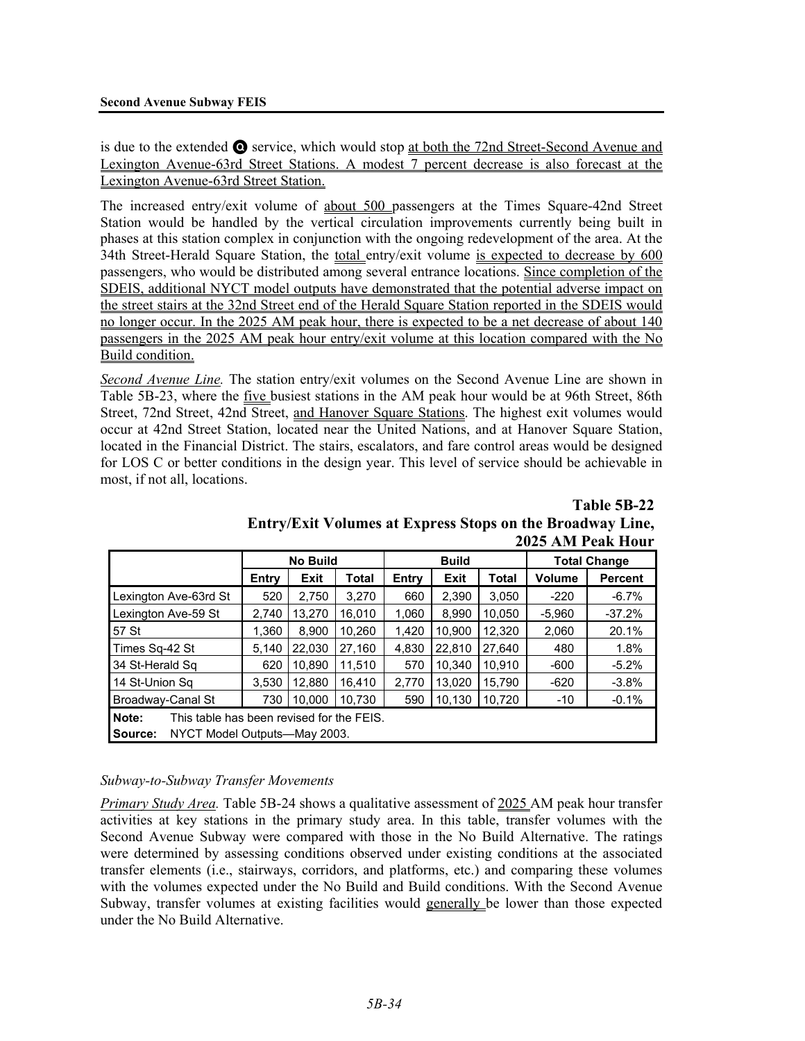is due to the extended Q service, which would stop at both the 72nd Street-Second Avenue and Lexington Avenue-63rd Street Stations. A modest 7 percent decrease is also forecast at the Lexington Avenue-63rd Street Station.

The increased entry/exit volume of about 500 passengers at the Times Square-42nd Street Station would be handled by the vertical circulation improvements currently being built in phases at this station complex in conjunction with the ongoing redevelopment of the area. At the 34th Street-Herald Square Station, the total entry/exit volume is expected to decrease by 600 passengers, who would be distributed among several entrance locations. Since completion of the SDEIS, additional NYCT model outputs have demonstrated that the potential adverse impact on the street stairs at the 32nd Street end of the Herald Square Station reported in the SDEIS would no longer occur. In the 2025 AM peak hour, there is expected to be a net decrease of about 140 passengers in the 2025 AM peak hour entry/exit volume at this location compared with the No Build condition.

*Second Avenue Line.* The station entry/exit volumes on the Second Avenue Line are shown in Table 5B-23, where the five busiest stations in the AM peak hour would be at 96th Street, 86th Street, 72nd Street, 42nd Street, and Hanover Square Stations. The highest exit volumes would occur at 42nd Street Station, located near the United Nations, and at Hanover Square Station, located in the Financial District. The stairs, escalators, and fare control areas would be designed for LOS C or better conditions in the design year. This level of service should be achievable in most, if not all, locations.

**No Build Build Total Change**  Entry | Exit | Total | Entry | Exit | Total | Volume | Percent Lexington Ave-63rd St | 520 | 2,750 | 3,270 | 660 | 2,390 | 3,050 | -220 | -6.7% Lexington Ave-59 St  $\begin{array}{|c|c|c|c|c|c|c|c|c|} \hline \end{array}$  2,740 | 13,270 | 16,010 | 1,060 | 8,990 | 10,050 | -5,960 | -37.2% 57 St 1,360 8,900 10,260 1,420 10,900 12,320 2,060 20.1% Times Sq-42 St  $\begin{array}{|c|c|c|c|c|c|c|c|}\n\hline\n5,140 & 22,030 & 27,160 & 4,830 & 22,810 & 27,640 & 480 & 1.8\% \hline\n\end{array}$ 34 St-Herald Sq  $\begin{array}{|c|c|c|c|c|c|c|c|c|} \hline \end{array}$  620 | 10,890 | 11,510 | 570 | 10,340 | 10,910 | -600 | -5.2% 14 St-Union Sq  $\begin{array}{|c|c|c|c|c|c|c|c|}\n\hline\n14.84 & 3,530 & 12,880 & 16,410 & 2,770 & 13,020 & 15,790 & -620 & -3.8\% \hline\n\end{array}$ Broadway-Canal St  $\begin{array}{|c|c|c|c|c|c|c|c|c|} \hline \end{array}$  730 | 10,000 | 10,730 | 590 | 10,130 | 10,720 | -10 | -0.1% **Note:** This table has been revised for the FEIS. **Source:** NYCT Model Outputs—May 2003.

**Table 5B-22 Entry/Exit Volumes at Express Stops on the Broadway Line, 2025 AM Peak Hour**

### *Subway-to-Subway Transfer Movements*

*Primary Study Area.* Table 5B-24 shows a qualitative assessment of 2025 AM peak hour transfer activities at key stations in the primary study area. In this table, transfer volumes with the Second Avenue Subway were compared with those in the No Build Alternative. The ratings were determined by assessing conditions observed under existing conditions at the associated transfer elements (i.e., stairways, corridors, and platforms, etc.) and comparing these volumes with the volumes expected under the No Build and Build conditions. With the Second Avenue Subway, transfer volumes at existing facilities would generally be lower than those expected under the No Build Alternative.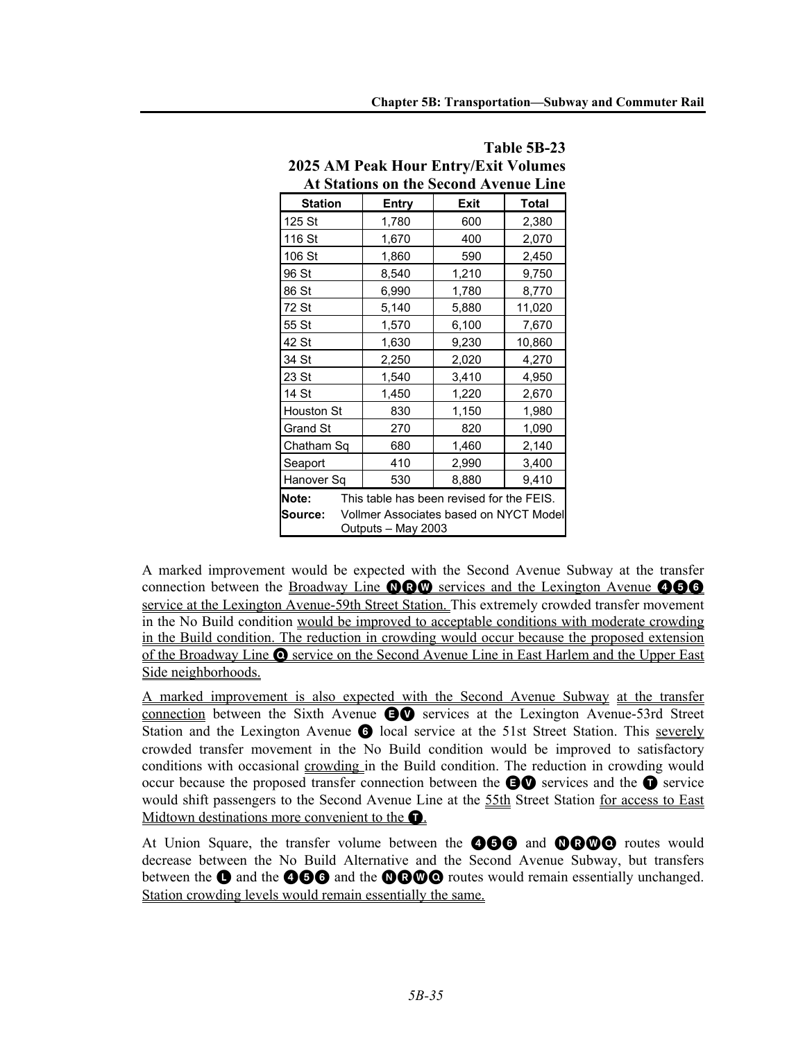| <b>At Stations on the Second Avenue Line</b> |                                                              |             |              |  |  |  |  |  |  |
|----------------------------------------------|--------------------------------------------------------------|-------------|--------------|--|--|--|--|--|--|
| <b>Station</b>                               | Entry                                                        | <b>Exit</b> | <b>Total</b> |  |  |  |  |  |  |
| 125 St                                       | 1,780                                                        | 600         | 2,380        |  |  |  |  |  |  |
| 116 St                                       | 1,670                                                        | 400         |              |  |  |  |  |  |  |
| 106 St                                       | 1,860                                                        | 590         | 2,450        |  |  |  |  |  |  |
| 96 St                                        | 8,540                                                        | 1,210       | 9,750        |  |  |  |  |  |  |
| 86 St                                        | 6,990                                                        | 1,780       | 8,770        |  |  |  |  |  |  |
| 72 St                                        | 5,140                                                        | 5,880       | 11,020       |  |  |  |  |  |  |
| 55 St                                        | 1,570                                                        | 6,100       | 7,670        |  |  |  |  |  |  |
| 42 St                                        | 1,630                                                        | 9,230       | 10,860       |  |  |  |  |  |  |
| 34 St                                        | 2,020<br>2,250                                               |             | 4,270        |  |  |  |  |  |  |
| 23 St                                        | 1,540                                                        | 3,410       | 4,950        |  |  |  |  |  |  |
| 14 St                                        | 1,450                                                        | 1,220       | 2,670        |  |  |  |  |  |  |
| Houston St                                   | 830                                                          | 1,150       | 1,980        |  |  |  |  |  |  |
| <b>Grand St</b>                              | 270                                                          | 820         |              |  |  |  |  |  |  |
| Chatham Sq                                   | 680                                                          | 1,460       | 2,140        |  |  |  |  |  |  |
| Seaport                                      | 410                                                          | 2,990       | 3,400        |  |  |  |  |  |  |
| Hanover Sq                                   | 530<br>8,880                                                 |             | 9,410        |  |  |  |  |  |  |
| Note:                                        | This table has been revised for the FEIS.                    |             |              |  |  |  |  |  |  |
| Source:                                      | Vollmer Associates based on NYCT Model<br>Outputs - May 2003 |             |              |  |  |  |  |  |  |

**Table 5B-23 2025 AM Peak Hour Entry/Exit Volumes**

A marked improvement would be expected with the Second Avenue Subway at the transfer connection between the Broadway Line  $\mathbf{QQQ}$  services and the Lexington Avenue  $\mathbf{QQ}$ service at the Lexington Avenue-59th Street Station. This extremely crowded transfer movement in the No Build condition would be improved to acceptable conditions with moderate crowding in the Build condition. The reduction in crowding would occur because the proposed extension of the Broadway Line Q service on the Second Avenue Line in East Harlem and the Upper East Side neighborhoods.

A marked improvement is also expected with the Second Avenue Subway at the transfer connection between the Sixth Avenue  $\bigoplus$  services at the Lexington Avenue-53rd Street Station and the Lexington Avenue **6** local service at the 51st Street Station. This severely crowded transfer movement in the No Build condition would be improved to satisfactory conditions with occasional crowding in the Build condition. The reduction in crowding would occur because the proposed transfer connection between the  $\bigcirc$  services and the  $\bigcirc$  service would shift passengers to the Second Avenue Line at the 55th Street Station for access to East Midtown destinations more convenient to the  $\bullet$ .

At Union Square, the transfer volume between the **466** and **OCOO** routes would decrease between the No Build Alternative and the Second Avenue Subway, but transfers between the  $\bigcirc$  and the  $\bigcirc$   $\bigcirc$  and the  $\bigcirc$   $\bigcirc$   $\bigcirc$  routes would remain essentially unchanged. Station crowding levels would remain essentially the same.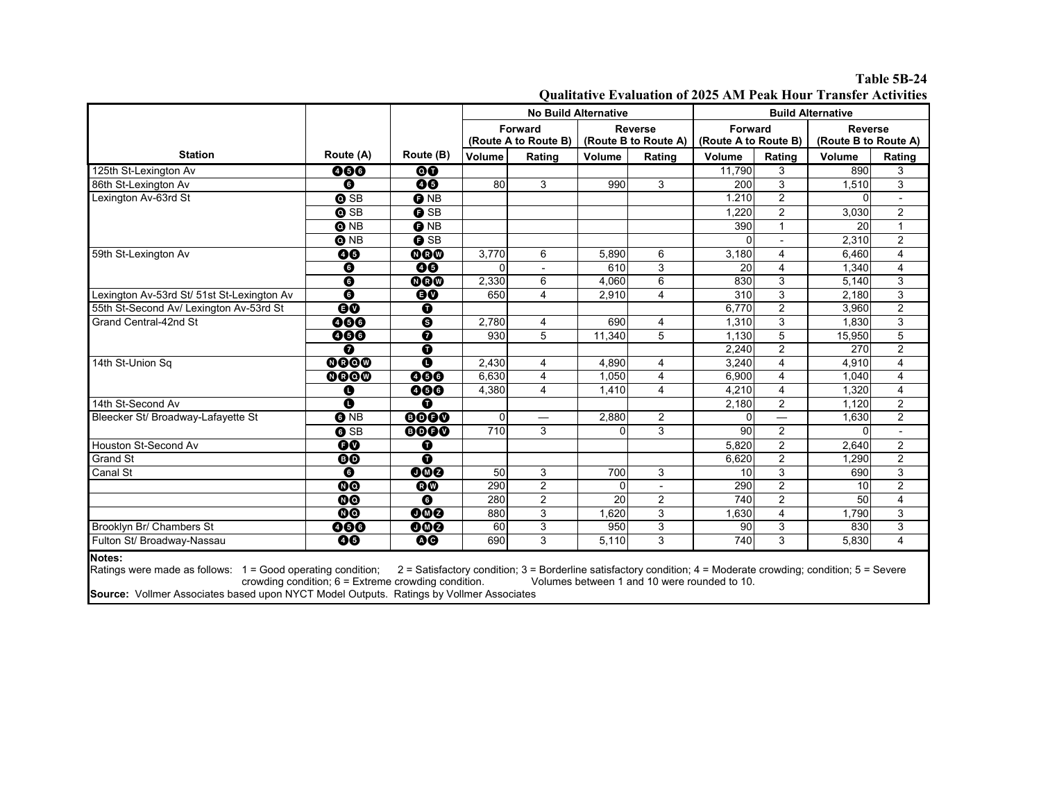**Table 5B-24 Qualitative Evaluation of 2025 AM Peak Hour Transfer Activities**

|                                                                       |                          |                          | <b>No Build Alternative</b> |                                                                                                                 |                      |                          | <b>Build Alternative</b> |                         |                      |                |
|-----------------------------------------------------------------------|--------------------------|--------------------------|-----------------------------|-----------------------------------------------------------------------------------------------------------------|----------------------|--------------------------|--------------------------|-------------------------|----------------------|----------------|
|                                                                       |                          |                          |                             | Forward<br><b>Reverse</b>                                                                                       |                      |                          | Forward                  |                         | <b>Reverse</b>       |                |
|                                                                       |                          |                          | (Route A to Route B)        |                                                                                                                 | (Route B to Route A) |                          | (Route A to Route B)     |                         | (Route B to Route A) |                |
| <b>Station</b>                                                        | Route (A)                | Route (B)                | Volume                      | Rating                                                                                                          | Volume               | Rating                   | Volume                   | Rating                  | Volume               | Rating         |
| 125th St-Lexington Av                                                 | 000                      | 00                       |                             |                                                                                                                 |                      |                          | 11,790                   | 3                       | 890                  | 3              |
| 86th St-Lexington Av                                                  | $\overline{\mathbf{O}}$  | 00                       | 80                          | 3                                                                                                               | 990                  | 3                        | 200                      | 3                       | 1,510                | 3              |
| Lexington Av-63rd St                                                  | $\bullet$ SB             | <b>O</b> NB              |                             |                                                                                                                 |                      |                          | 1.210                    | $\overline{2}$          | $\Omega$             |                |
|                                                                       | $\bullet$ SB             | <b>O</b> SB              |                             |                                                                                                                 |                      |                          | 1.220                    | $\overline{2}$          | 3,030                | 2              |
|                                                                       | <b>ONB</b>               | <b>O</b> NB              |                             |                                                                                                                 |                      |                          | 390                      | $\mathbf{1}$            | 20                   | $\mathbf{1}$   |
|                                                                       | <b>ONB</b>               | <b>O</b> SB              |                             |                                                                                                                 |                      |                          |                          |                         | 2.310                | $\overline{2}$ |
| 59th St-Lexington Av                                                  | 00                       | <b>OGO</b>               | 3,770                       | 6                                                                                                               | 5,890                | 6                        | 3,180                    | 4                       | 6,460                | $\overline{4}$ |
|                                                                       | $\overline{\mathbf{o}}$  | 00                       |                             | $\overline{a}$                                                                                                  | 610                  | $\overline{3}$           | 20                       | $\overline{\mathbf{4}}$ | 1.340                | $\overline{4}$ |
|                                                                       | $\overline{\mathbf{o}}$  | 000                      | 2,330                       | 6                                                                                                               | 4,060                | 6                        | 830                      | 3                       | 5,140                | 3              |
| Lexington Av-53rd St/ 51st St-Lexington Av                            | $\overline{\mathbf{O}}$  | $\overline{\mathbf{60}}$ | 650                         | 4                                                                                                               | 2,910                | $\overline{4}$           | 310                      | 3                       | 2,180                | $\overline{3}$ |
| 55th St-Second Av/ Lexington Av-53rd St                               | $\overline{\mathbf{60}}$ | $\overline{\bullet}$     |                             |                                                                                                                 |                      |                          | 6.770                    | $\overline{2}$          | 3,960                | $\overline{2}$ |
| Grand Central-42nd St                                                 | 000                      | $\overline{\bullet}$     | 2.780                       | 4                                                                                                               | 690                  | $\overline{4}$           | 1.310                    | $\overline{3}$          | 1.830                | $\overline{3}$ |
|                                                                       | 000                      | $\overline{\bullet}$     | 930                         | 5                                                                                                               | 11,340               | 5                        | 1,130                    | $\overline{5}$          | 15,950               | $\overline{5}$ |
|                                                                       | ⋒                        | $\overline{\mathbf{o}}$  |                             |                                                                                                                 |                      |                          | 2.240                    | $\overline{2}$          | 270                  | $\overline{2}$ |
| 14th St-Union Sq                                                      | 0000                     | $\overline{\mathbf{o}}$  | 2,430                       | 4                                                                                                               | 4,890                | $\overline{4}$           | 3,240                    | $\overline{4}$          | 4.910                | $\overline{4}$ |
|                                                                       | 0000                     | 000                      | 6.630                       | 4                                                                                                               | 1.050                | $\overline{4}$           | 6,900                    | 4                       | 1.040                | 4              |
|                                                                       | O                        | 000                      | 4,380                       | 4                                                                                                               | 1,410                | $\overline{4}$           | 4,210                    | $\overline{\mathbf{4}}$ | 1,320                | $\overline{4}$ |
| 14th St-Second Av                                                     | O                        | 0                        |                             |                                                                                                                 |                      |                          | 2.180                    | $\overline{c}$          | 1.120                | $\overline{2}$ |
| Bleecker St/ Broadway-Lafayette St                                    | <b>O</b> NB              | 0000                     | $\Omega$                    | $\overline{\phantom{0}}$                                                                                        | 2,880                | 2                        | <sup>0</sup>             |                         | 1.630                | $\overline{2}$ |
|                                                                       | <b>O</b> SB              | 0000                     | 710                         | 3                                                                                                               | 0                    | 3                        | 90                       | $\overline{2}$          | $\Omega$             | $\overline{a}$ |
| Houston St-Second Av                                                  | $\overline{\mathbf{60}}$ | ➊                        |                             |                                                                                                                 |                      |                          | 5,820                    | $\overline{2}$          | 2.640                | $\overline{2}$ |
| Grand St                                                              | $\overline{\mathbf{0}}$  | $\bullet$                |                             |                                                                                                                 |                      |                          | 6,620                    | $\overline{2}$          | 1.290                | $\overline{c}$ |
| Canal St                                                              | $\overline{\mathbf{o}}$  | 000                      | 50                          | 3                                                                                                               | 700                  | 3                        | 10 <sup>1</sup>          | 3                       | 690                  | 3              |
|                                                                       | 00                       | <b>OO</b>                | 290                         | $\overline{2}$                                                                                                  | 0                    | $\overline{\phantom{a}}$ | 290                      | $\overline{2}$          | 10                   | $\overline{2}$ |
|                                                                       | <b>OO</b>                | ❻                        | 280                         | $\overline{c}$                                                                                                  | 20                   | $\overline{2}$           | 740                      | $\overline{c}$          | 50                   | $\overline{4}$ |
|                                                                       | <b>OO</b>                | 000                      | 880                         | 3                                                                                                               | 1.620                | 3                        | 1,630                    | 4                       | 1.790                | $\overline{3}$ |
| Brooklyn Br/ Chambers St                                              | 000                      | 000                      | 60                          | 3                                                                                                               | 950                  | 3                        | 90                       | 3                       | 830                  | $\mathsf 3$    |
| Fulton St/ Broadway-Nassau                                            | 00                       | <b>OO</b>                | 690                         | 3                                                                                                               | 5,110                | 3                        | 740                      | 3                       | 5.830                | $\overline{4}$ |
| Notes:<br>Ratings were made as follows: 1 = Good operating condition; |                          |                          |                             | 2 = Satisfactory condition; 3 = Borderline satisfactory condition; 4 = Moderate crowding; condition; 5 = Severe |                      |                          |                          |                         |                      |                |

crowding condition; 6 = Extreme crowding condition. Volumes between 1 and 10 were rounded to 10. **Source:** Vollmer Associates based upon NYCT Model Outputs. Ratings by Vollmer Associates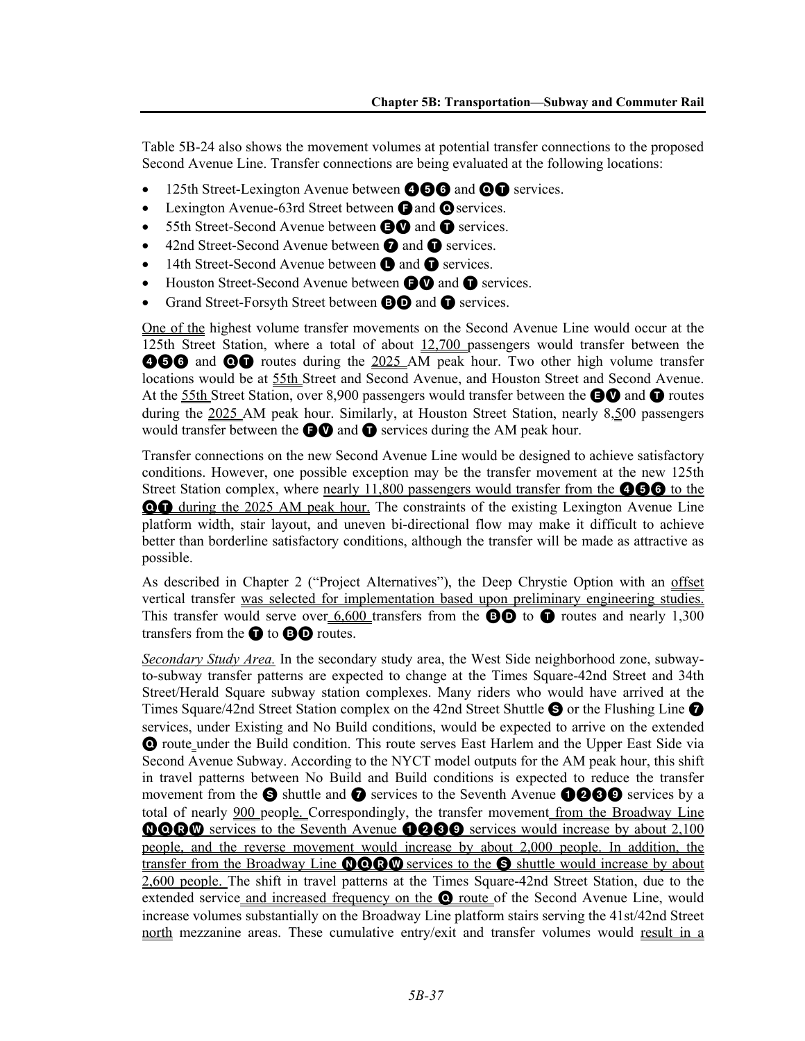Table 5B-24 also shows the movement volumes at potential transfer connections to the proposed Second Avenue Line. Transfer connections are being evaluated at the following locations:

- $\bullet$  125th Street-Lexington Avenue between  $\bullet$   $\bullet$  and  $\bullet$  services.
- Lexington Avenue-63rd Street between **O** and **O** services.
- 55th Street-Second Avenue between **AV** and **O** services.
- 42nd Street-Second Avenue between  $\bullet$  and  $\bullet$  services.
- 14th Street-Second Avenue between  $\bullet$  and  $\bullet$  services.
- Houston Street-Second Avenue between **OO** and **O** services.
- Grand Street-Forsyth Street between **BD** and **O** services.

One of the highest volume transfer movements on the Second Avenue Line would occur at the 125th Street Station, where a total of about 12,700 passengers would transfer between the **456** and **OO** routes during the 2025 AM peak hour. Two other high volume transfer locations would be at 55th Street and Second Avenue, and Houston Street and Second Avenue. At the 55th Street Station, over 8,900 passengers would transfer between the  $\bigcirc$  and  $\bigcirc$  routes during the 2025 AM peak hour. Similarly, at Houston Street Station, nearly 8,500 passengers would transfer between the  $\bigcirc$  and  $\bigcirc$  services during the AM peak hour.

Transfer connections on the new Second Avenue Line would be designed to achieve satisfactory conditions. However, one possible exception may be the transfer movement at the new 125th Street Station complex, where nearly 11,800 passengers would transfer from the  $\bullet\bullet\bullet$  to the **QT** during the 2025 AM peak hour. The constraints of the existing Lexington Avenue Line platform width, stair layout, and uneven bi-directional flow may make it difficult to achieve better than borderline satisfactory conditions, although the transfer will be made as attractive as possible.

As described in Chapter 2 ("Project Alternatives"), the Deep Chrystie Option with an offset vertical transfer was selected for implementation based upon preliminary engineering studies. This transfer would serve over  $6,600$  transfers from the **BD** to **O** routes and nearly 1,300 transfers from the  $\blacksquare$  to  $\blacksquare\blacksquare$  routes.

*Secondary Study Area.* In the secondary study area, the West Side neighborhood zone, subwayto-subway transfer patterns are expected to change at the Times Square-42nd Street and 34th Street/Herald Square subway station complexes. Many riders who would have arrived at the Times Square/42nd Street Station complex on the 42nd Street Shuttle  $\bigotimes$  or the Flushing Line  $\bigotimes$ services, under Existing and No Build conditions, would be expected to arrive on the extended Q route under the Build condition. This route serves East Harlem and the Upper East Side via Second Avenue Subway. According to the NYCT model outputs for the AM peak hour, this shift in travel patterns between No Build and Build conditions is expected to reduce the transfer movement from the  $\Theta$  shuttle and  $\Omega$  services to the Seventh Avenue  $\Theta$  $\Theta$  $\Theta$  services by a total of nearly 900 people. Correspondingly, the transfer movement from the Broadway Line **OOO** services to the Seventh Avenue **1239** services would increase by about 2,100 people, and the reverse movement would increase by about 2,000 people. In addition, the transfer from the Broadway Line **OCC** services to the S shuttle would increase by about 2,600 people. The shift in travel patterns at the Times Square-42nd Street Station, due to the extended service and increased frequency on the **Q** route of the Second Avenue Line, would increase volumes substantially on the Broadway Line platform stairs serving the 41st/42nd Street north mezzanine areas. These cumulative entry/exit and transfer volumes would result in a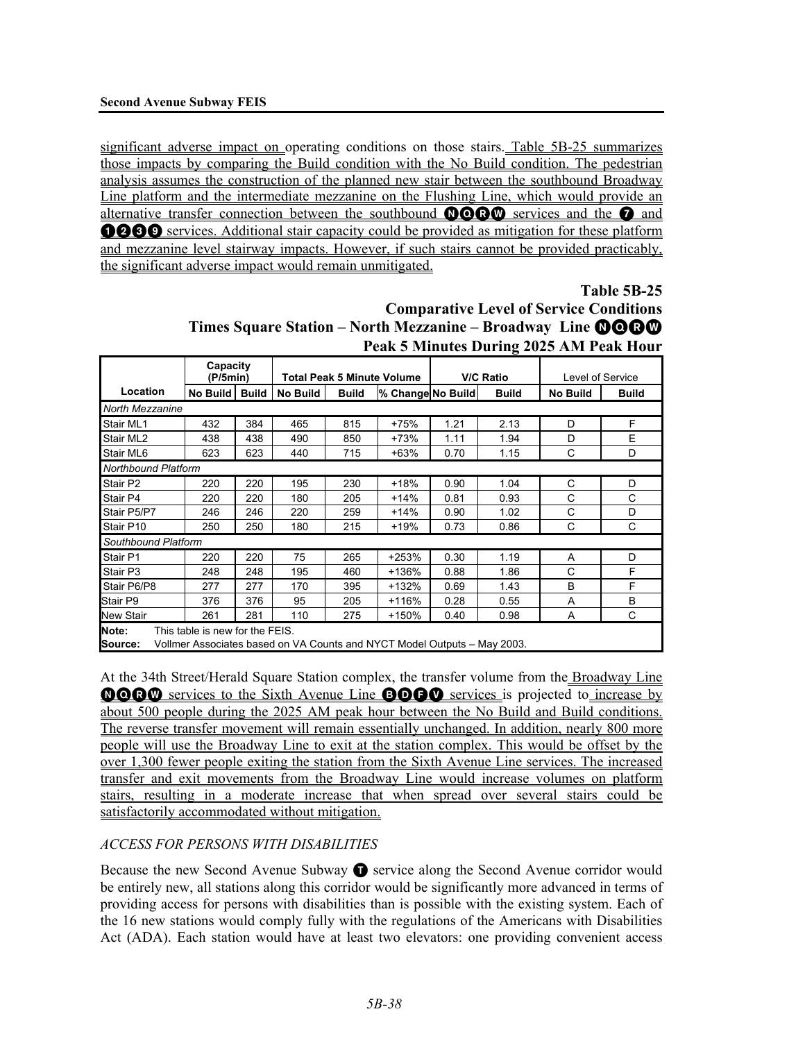significant adverse impact on operating conditions on those stairs. Table 5B-25 summarizes those impacts by comparing the Build condition with the No Build condition. The pedestrian analysis assumes the construction of the planned new stair between the southbound Broadway Line platform and the intermediate mezzanine on the Flushing Line, which would provide an alternative transfer connection between the southbound  $\mathbf{Q}\mathbf{Q}\mathbf{Q}\mathbf{Q}$  services and the  $\mathbf Q$  and **0000** services. Additional stair capacity could be provided as mitigation for these platform and mezzanine level stairway impacts. However, if such stairs cannot be provided practicably, the significant adverse impact would remain unmitigated.

**Table 5B-25**

| <b>Comparative Level of Service Conditions</b>                     |  |
|--------------------------------------------------------------------|--|
| Times Square Station – North Mezzanine – Broadway Line <b>@@@@</b> |  |
| Peak 5 Minutes During 2025 AM Peak Hour                            |  |

|                            | Capacity<br>(P/5min)                                                                                        |              | <b>V/C Ratio</b><br><b>Total Peak 5 Minute Volume</b> |              |                   | Level of Service |      |                 |              |
|----------------------------|-------------------------------------------------------------------------------------------------------------|--------------|-------------------------------------------------------|--------------|-------------------|------------------|------|-----------------|--------------|
| Location                   | No Build                                                                                                    | <b>Build</b> | No Build                                              | <b>Build</b> | % Change No Build | <b>Build</b>     |      | <b>No Build</b> | <b>Build</b> |
| North Mezzanine            |                                                                                                             |              |                                                       |              |                   |                  |      |                 |              |
| Stair ML1                  | 432                                                                                                         | 384          | 465                                                   | 815          | $+75%$            | 1.21             | 2.13 | D               | F            |
| Stair ML2                  | 438                                                                                                         | 438          | 490                                                   | 850          | $+73%$            | 1.11             | 1.94 | D               | E            |
| Stair ML6                  | 623                                                                                                         | 623          | 440                                                   | 715          | $+63%$            | 0.70             | 1.15 | C               | D            |
| <b>Northbound Platform</b> |                                                                                                             |              |                                                       |              |                   |                  |      |                 |              |
| Stair P2                   | 220                                                                                                         | 220          | 195                                                   | 230          | $+18%$            | 0.90             | 1.04 | C               | D            |
| Stair P4                   | 220                                                                                                         | 220          | 180                                                   | 205          | $+14%$            | 0.81             | 0.93 | C               | C            |
| Stair P5/P7                | 246                                                                                                         | 246          | 220                                                   | 259          | $+14%$            | 0.90             | 1.02 | C               | D            |
| Stair P10                  | 250                                                                                                         | 250          | 180                                                   | 215          | $+19%$            | 0.73             | 0.86 | C               | C            |
| Southbound Platform        |                                                                                                             |              |                                                       |              |                   |                  |      |                 |              |
| Stair P1                   | 220                                                                                                         | 220          | 75                                                    | 265          | +253%             | 0.30             | 1.19 | A               | D            |
| Stair P3                   | 248                                                                                                         | 248          | 195                                                   | 460          | +136%             | 0.88             | 1.86 | C               | F            |
| Stair P6/P8                | 277                                                                                                         | 277          | 170                                                   | 395          | +132%             | 0.69             | 1.43 | B               | F            |
| Stair P9                   | 376                                                                                                         | 376          | 95                                                    | 205          | +116%             | 0.28             | 0.55 | A               | B            |
| <b>New Stair</b>           | 261                                                                                                         | 281          | 110                                                   | 275          | +150%             | 0.40             | 0.98 | A               | C            |
| Note:<br><b>Source:</b>    | This table is new for the FEIS.<br>Vollmer Associates based on VA Counts and NYCT Model Outputs – May 2003. |              |                                                       |              |                   |                  |      |                 |              |

At the 34th Street/Herald Square Station complex, the transfer volume from the Broadway Line NQRW services to the Sixth Avenue Line BDFV services is projected to increase by about 500 people during the 2025 AM peak hour between the No Build and Build conditions. The reverse transfer movement will remain essentially unchanged. In addition, nearly 800 more people will use the Broadway Line to exit at the station complex. This would be offset by the over 1,300 fewer people exiting the station from the Sixth Avenue Line services. The increased transfer and exit movements from the Broadway Line would increase volumes on platform stairs, resulting in a moderate increase that when spread over several stairs could be satisfactorily accommodated without mitigation.

# *ACCESS FOR PERSONS WITH DISABILITIES*

Because the new Second Avenue Subway  $\bullet$  service along the Second Avenue corridor would be entirely new, all stations along this corridor would be significantly more advanced in terms of providing access for persons with disabilities than is possible with the existing system. Each of the 16 new stations would comply fully with the regulations of the Americans with Disabilities Act (ADA). Each station would have at least two elevators: one providing convenient access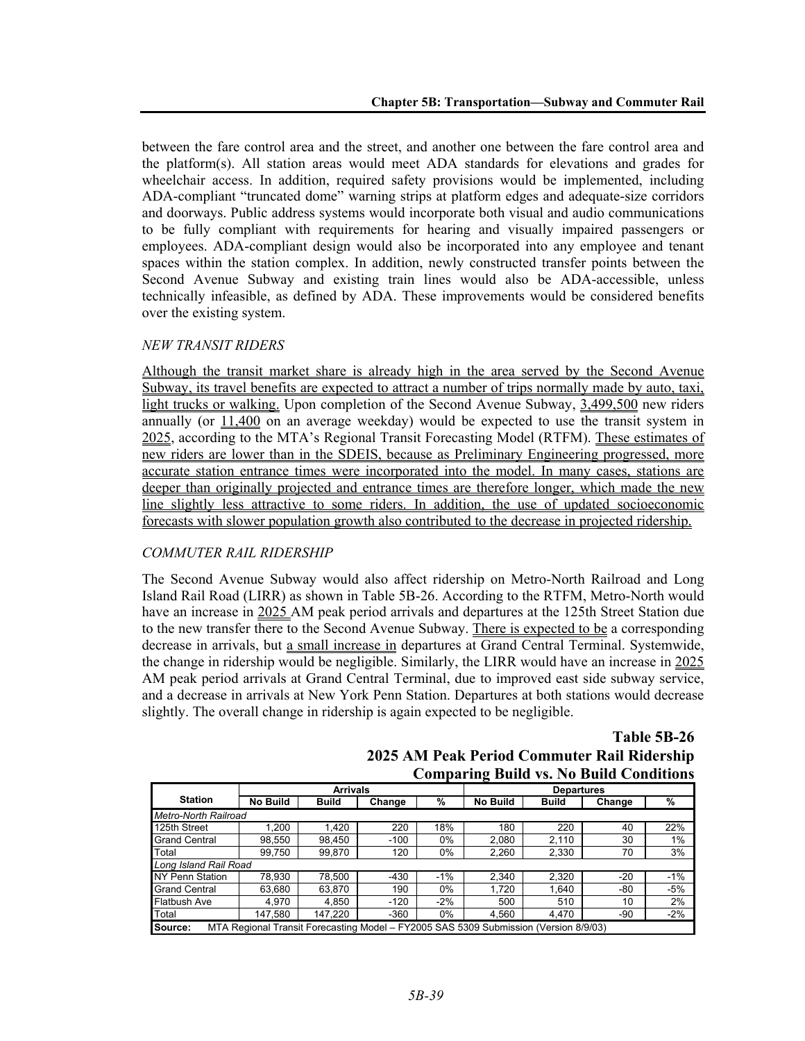between the fare control area and the street, and another one between the fare control area and the platform(s). All station areas would meet ADA standards for elevations and grades for wheelchair access. In addition, required safety provisions would be implemented, including ADA-compliant "truncated dome" warning strips at platform edges and adequate-size corridors and doorways. Public address systems would incorporate both visual and audio communications to be fully compliant with requirements for hearing and visually impaired passengers or employees. ADA-compliant design would also be incorporated into any employee and tenant spaces within the station complex. In addition, newly constructed transfer points between the Second Avenue Subway and existing train lines would also be ADA-accessible, unless technically infeasible, as defined by ADA. These improvements would be considered benefits over the existing system.

### *NEW TRANSIT RIDERS*

Although the transit market share is already high in the area served by the Second Avenue Subway, its travel benefits are expected to attract a number of trips normally made by auto, taxi, light trucks or walking. Upon completion of the Second Avenue Subway, 3,499,500 new riders annually (or  $11,400$  on an average weekday) would be expected to use the transit system in 2025, according to the MTA's Regional Transit Forecasting Model (RTFM). These estimates of new riders are lower than in the SDEIS, because as Preliminary Engineering progressed, more accurate station entrance times were incorporated into the model. In many cases, stations are deeper than originally projected and entrance times are therefore longer, which made the new line slightly less attractive to some riders. In addition, the use of updated socioeconomic forecasts with slower population growth also contributed to the decrease in projected ridership.

# *COMMUTER RAIL RIDERSHIP*

The Second Avenue Subway would also affect ridership on Metro-North Railroad and Long Island Rail Road (LIRR) as shown in Table 5B-26. According to the RTFM, Metro-North would have an increase in 2025 AM peak period arrivals and departures at the 125th Street Station due to the new transfer there to the Second Avenue Subway. There is expected to be a corresponding decrease in arrivals, but a small increase in departures at Grand Central Terminal. Systemwide, the change in ridership would be negligible. Similarly, the LIRR would have an increase in 2025 AM peak period arrivals at Grand Central Terminal, due to improved east side subway service, and a decrease in arrivals at New York Penn Station. Departures at both stations would decrease slightly. The overall change in ridership is again expected to be negligible.

> **Table 5B-26 2025 AM Peak Period Commuter Rail Ridership Comparing Build vs. No Build Conditions**

|                                                                                                 |                       | <b>Arrivals</b> |        |       | <b>Departures</b> |        |       |       |  |
|-------------------------------------------------------------------------------------------------|-----------------------|-----------------|--------|-------|-------------------|--------|-------|-------|--|
| <b>Station</b>                                                                                  | <b>No Build</b>       | <b>Build</b>    | Change | %     | <b>No Build</b>   | Change | %     |       |  |
| Metro-North Railroad                                                                            |                       |                 |        |       |                   |        |       |       |  |
| 125th Street                                                                                    | .200                  | 1.420           | 220    | 18%   | 180               | 220    | 40    | 22%   |  |
| <b>Grand Central</b>                                                                            | 98.550                | 98.450          | $-100$ | 0%    | 2.080             | 2.110  | 30    | 1%    |  |
| Total                                                                                           | 99.750                | 99.870          | 120    | 0%    | 2,260             | 2,330  | 70    | 3%    |  |
|                                                                                                 | Long Island Rail Road |                 |        |       |                   |        |       |       |  |
| NY Penn Station                                                                                 | 78.930                | 78.500          | $-430$ | $-1%$ | 2.340             | 2.320  | $-20$ | $-1%$ |  |
| <b>Grand Central</b>                                                                            | 63.680                | 63.870          | 190    | 0%    | 1.720             | 1.640  | -80   | $-5%$ |  |
| <b>Flatbush Ave</b>                                                                             | 4.970                 | 4.850           | $-120$ | $-2%$ | 500               | 510    | 10    | 2%    |  |
| Total                                                                                           | 147.580               | 147.220         | $-360$ | 0%    | 4.560             | 4.470  | -90   | $-2%$ |  |
| MTA Regional Transit Forecasting Model - FY2005 SAS 5309 Submission (Version 8/9/03)<br>Source: |                       |                 |        |       |                   |        |       |       |  |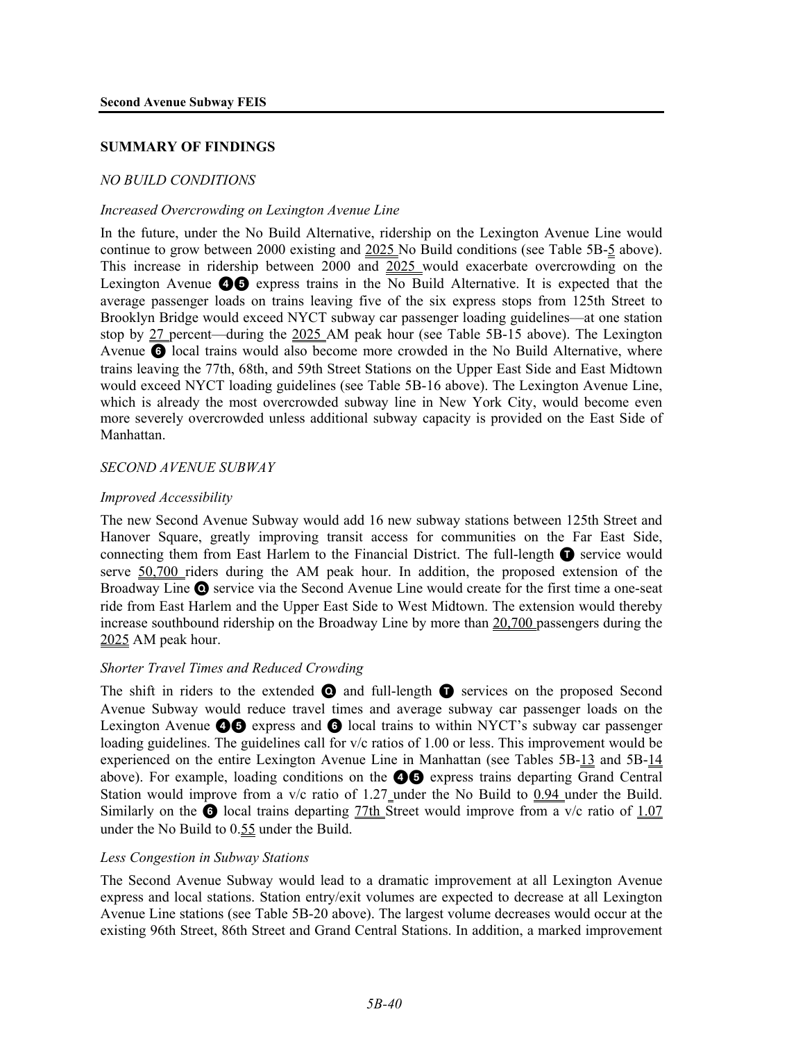### **SUMMARY OF FINDINGS**

### *NO BUILD CONDITIONS*

#### *Increased Overcrowding on Lexington Avenue Line*

In the future, under the No Build Alternative, ridership on the Lexington Avenue Line would continue to grow between 2000 existing and 2025 No Build conditions (see Table 5B-5 above). This increase in ridership between 2000 and  $2025$  would exacerbate overcrowding on the Lexington Avenue  $\bullet$  express trains in the No Build Alternative. It is expected that the average passenger loads on trains leaving five of the six express stops from 125th Street to Brooklyn Bridge would exceed NYCT subway car passenger loading guidelines—at one station stop by 27 percent—during the 2025 AM peak hour (see Table 5B-15 above). The Lexington Avenue <sup>6</sup> local trains would also become more crowded in the No Build Alternative, where trains leaving the 77th, 68th, and 59th Street Stations on the Upper East Side and East Midtown would exceed NYCT loading guidelines (see Table 5B-16 above). The Lexington Avenue Line, which is already the most overcrowded subway line in New York City, would become even more severely overcrowded unless additional subway capacity is provided on the East Side of Manhattan.

### *SECOND AVENUE SUBWAY*

### *Improved Accessibility*

The new Second Avenue Subway would add 16 new subway stations between 125th Street and Hanover Square, greatly improving transit access for communities on the Far East Side, connecting them from East Harlem to the Financial District. The full-length  $\bigcirc$  service would serve 50,700 riders during the AM peak hour. In addition, the proposed extension of the Broadway Line Q service via the Second Avenue Line would create for the first time a one-seat ride from East Harlem and the Upper East Side to West Midtown. The extension would thereby increase southbound ridership on the Broadway Line by more than 20,700 passengers during the 2025 AM peak hour.

#### *Shorter Travel Times and Reduced Crowding*

The shift in riders to the extended  $\bullet$  and full-length  $\bullet$  services on the proposed Second Avenue Subway would reduce travel times and average subway car passenger loads on the Lexington Avenue  $\bigcirc$  express and  $\bigcirc$  local trains to within NYCT's subway car passenger loading guidelines. The guidelines call for  $v/c$  ratios of 1.00 or less. This improvement would be experienced on the entire Lexington Avenue Line in Manhattan (see Tables 5B-13 and 5B-14 above). For example, loading conditions on the  $\bigcirc$  express trains departing Grand Central Station would improve from a  $v/c$  ratio of 1.27 under the No Build to  $0.94$  under the Build. Similarly on the  $\odot$  local trains departing 77th Street would improve from a v/c ratio of 1.07 under the No Build to 0.55 under the Build.

#### *Less Congestion in Subway Stations*

The Second Avenue Subway would lead to a dramatic improvement at all Lexington Avenue express and local stations. Station entry/exit volumes are expected to decrease at all Lexington Avenue Line stations (see Table 5B-20 above). The largest volume decreases would occur at the existing 96th Street, 86th Street and Grand Central Stations. In addition, a marked improvement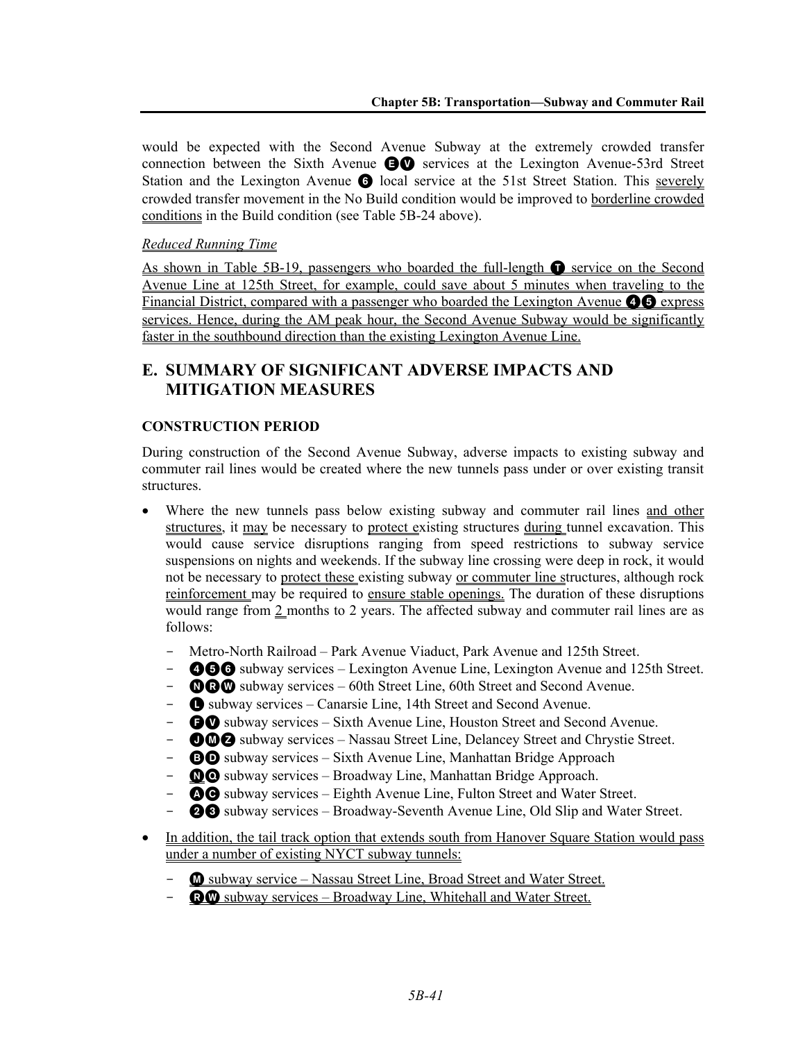would be expected with the Second Avenue Subway at the extremely crowded transfer connection between the Sixth Avenue EV services at the Lexington Avenue-53rd Street Station and the Lexington Avenue **6** local service at the 51st Street Station. This severely crowded transfer movement in the No Build condition would be improved to borderline crowded conditions in the Build condition (see Table 5B-24 above).

# *Reduced Running Time*

As shown in Table 5B-19, passengers who boarded the full-length  $\bullet$  service on the Second Avenue Line at 125th Street, for example, could save about 5 minutes when traveling to the Financial District, compared with a passenger who boarded the Lexington Avenue **46** express services. Hence, during the AM peak hour, the Second Avenue Subway would be significantly faster in the southbound direction than the existing Lexington Avenue Line.

# **E. SUMMARY OF SIGNIFICANT ADVERSE IMPACTS AND MITIGATION MEASURES**

# **CONSTRUCTION PERIOD**

During construction of the Second Avenue Subway, adverse impacts to existing subway and commuter rail lines would be created where the new tunnels pass under or over existing transit structures.

- Where the new tunnels pass below existing subway and commuter rail lines and other structures, it may be necessary to protect existing structures during tunnel excavation. This would cause service disruptions ranging from speed restrictions to subway service suspensions on nights and weekends. If the subway line crossing were deep in rock, it would not be necessary to protect these existing subway or commuter line structures, although rock reinforcement may be required to ensure stable openings. The duration of these disruptions would range from 2 months to 2 years. The affected subway and commuter rail lines are as follows:
	- Metro-North Railroad Park Avenue Viaduct, Park Avenue and 125th Street.
	- **456** subway services Lexington Avenue Line, Lexington Avenue and 125th Street.
	- $\bullet$   $\bullet$  subway services 60th Street Line, 60th Street and Second Avenue.
	- $\bullet$  subway services Canarsie Line, 14th Street and Second Avenue.
	- **CO** subway services Sixth Avenue Line, Houston Street and Second Avenue.
	- **OMZ** subway services Nassau Street Line, Delancey Street and Chrystie Street.
	- **BO** subway services Sixth Avenue Line, Manhattan Bridge Approach
	- $\Omega$  subway services Broadway Line, Manhattan Bridge Approach.
	- **4 AC** subway services Eighth Avenue Line, Fulton Street and Water Street.
	- **23** subway services Broadway-Seventh Avenue Line, Old Slip and Water Street.
- In addition, the tail track option that extends south from Hanover Square Station would pass under a number of existing NYCT subway tunnels:
	- **M** subway service Nassau Street Line, Broad Street and Water Street.
	- **RW** subway services Broadway Line, Whitehall and Water Street.